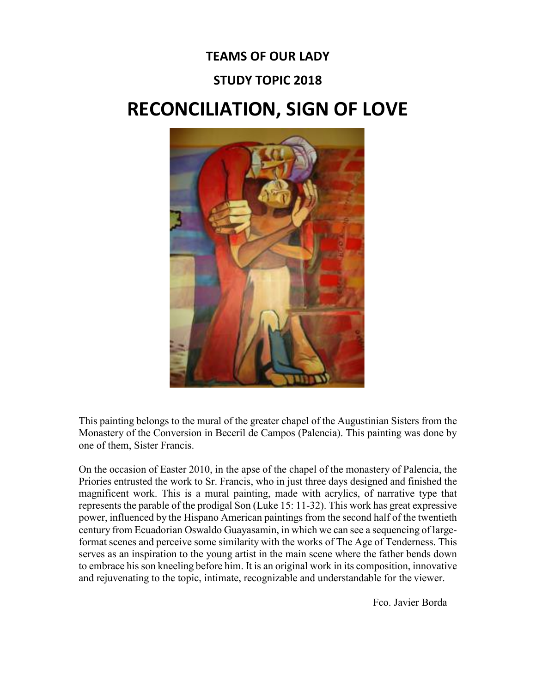## **TEAMS OF OUR LADY**

## **STUDY TOPIC 2018**

# **RECONCILIATION, SIGN OF LOVE**



This painting belongs to the mural of the greater chapel of the Augustinian Sisters from the Monastery of the Conversion in Beceril de Campos (Palencia). This painting was done by one of them, Sister Francis.

On the occasion of Easter 2010, in the apse of the chapel of the monastery of Palencia, the Priories entrusted the work to Sr. Francis, who in just three days designed and finished the magnificent work. This is a mural painting, made with acrylics, of narrative type that represents the parable of the prodigal Son (Luke 15: 11-32). This work has great expressive power, influenced by the Hispano American paintings from the second half of the twentieth century from Ecuadorian Oswaldo Guayasamin, in which we can see a sequencing of largeformat scenes and perceive some similarity with the works of The Age of Tenderness. This serves as an inspiration to the young artist in the main scene where the father bends down to embrace his son kneeling before him. It is an original work in its composition, innovative and rejuvenating to the topic, intimate, recognizable and understandable for the viewer.

Fco. Javier Borda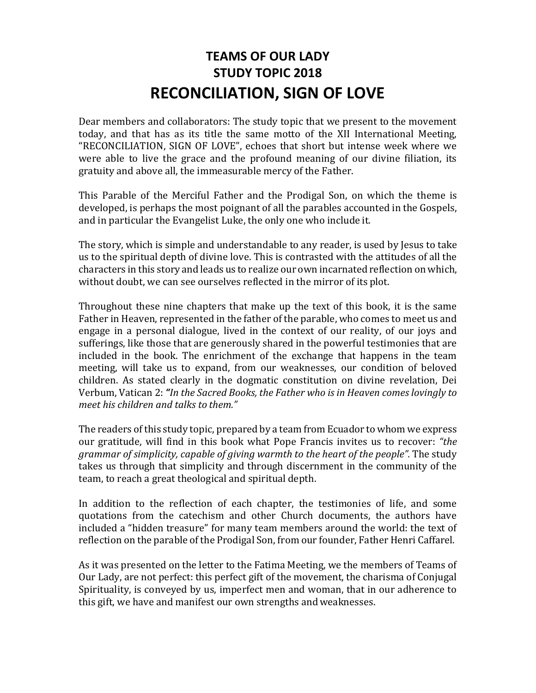# **TEAMS OF OUR LADY STUDY TOPIC 2018 RECONCILIATION, SIGN OF LOVE**

Dear members and collaborators: The study topic that we present to the movement today, and that has as its title the same motto of the XII International Meeting, "RECONCILIATION, SIGN OF LOVE", echoes that short but intense week where we were able to live the grace and the profound meaning of our divine filiation, its gratuity and above all, the immeasurable mercy of the Father.

This Parable of the Merciful Father and the Prodigal Son, on which the theme is developed, is perhaps the most poignant of all the parables accounted in the Gospels, and in particular the Evangelist Luke, the only one who include it.

The story, which is simple and understandable to any reader, is used by Jesus to take us to the spiritual depth of divine love. This is contrasted with the attitudes of all the characters in this story and leads us to realize our own incarnated reflection on which, without doubt, we can see ourselves reflected in the mirror of its plot.

Throughout these nine chapters that make up the text of this book, it is the same Father in Heaven, represented in the father of the parable, who comes to meet us and engage in a personal dialogue, lived in the context of our reality, of our joys and sufferings, like those that are generously shared in the powerful testimonies that are included in the book. The enrichment of the exchange that happens in the team meeting, will take us to expand, from our weaknesses, our condition of beloved children. As stated clearly in the dogmatic constitution on divine revelation, Dei Verbum, Vatican 2: *"In the Sacred Books, the Father who is in Heaven comes lovingly to meet his children and talks to them."*

The readers of this study topic, prepared by a team from Ecuador to whom we express our gratitude, will find in this book what Pope Francis invites us to recover: *"the grammar of simplicity, capable of giving warmth to the heart of the people".* The study takes us through that simplicity and through discernment in the community of the team, to reach a great theological and spiritual depth.

In addition to the reflection of each chapter, the testimonies of life, and some quotations from the catechism and other Church documents, the authors have included a "hidden treasure" for many team members around the world: the text of reflection on the parable of the Prodigal Son, from our founder, Father Henri Caffarel.

As it was presented on the letter to the Fatima Meeting, we the members of Teams of Our Lady, are not perfect: this perfect gift of the movement, the charisma of Conjugal Spirituality, is conveyed by us, imperfect men and woman, that in our adherence to this gift, we have and manifest our own strengths and weaknesses.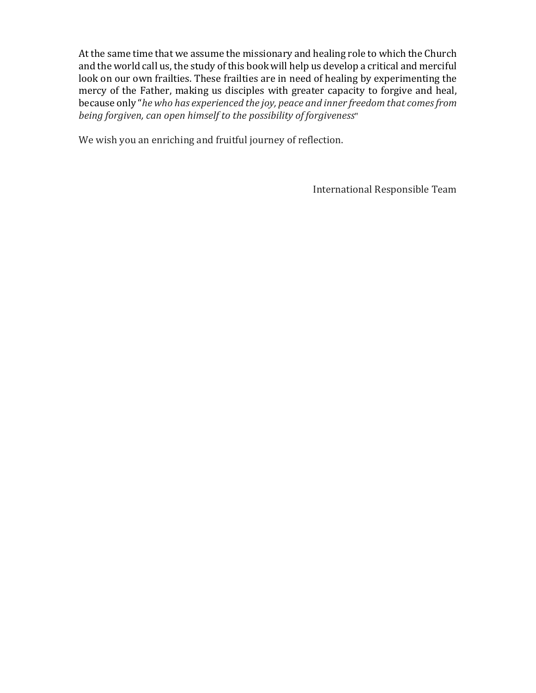At the same time that we assume the missionary and healing role to which the Church and the world call us, the study of this book will help us develop a critical and merciful look on our own frailties. These frailties are in need of healing by experimenting the mercy of the Father, making us disciples with greater capacity to forgive and heal, because only "*he who has experienced the joy, peace and inner freedom that comesfrom being forgiven, can open himself to the possibility of forgiveness*"

We wish you an enriching and fruitful journey of reflection.

International Responsible Team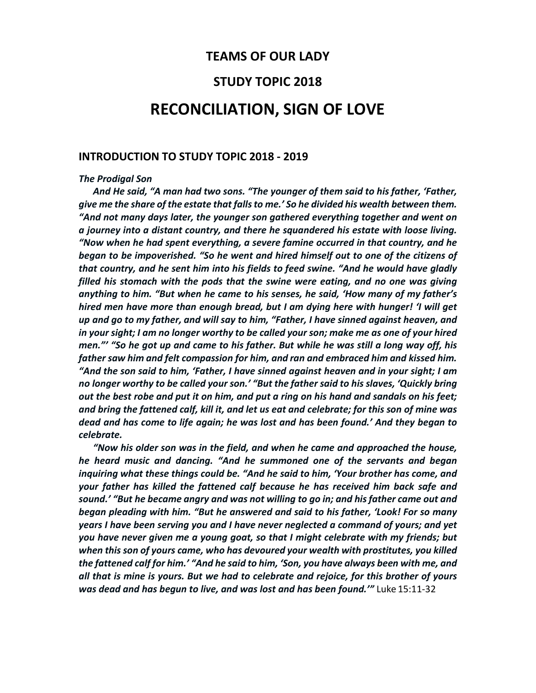## **TEAMS OF OUR LADY**

## **STUDY TOPIC 2018**

## **RECONCILIATION, SIGN OF LOVE**

#### **INTRODUCTION TO STUDY TOPIC 2018 - 2019**

#### *The Prodigal Son*

*And He said, "A man had two sons. "The younger of them said to his father, 'Father, give me the share of the estate that fallsto me.' So he divided his wealth between them. "And not many days later, the younger son gathered everything together and went on a journey into a distant country, and there he squandered his estate with loose living. "Now when he had spent everything, a severe famine occurred in that country, and he*  began to be impoverished. "So he went and hired himself out to one of the citizens of *that country, and he sent him into his fields to feed swine. "And he would have gladly filled his stomach with the pods that the swine were eating, and no one was giving anything to him. "But when he came to his senses, he said, 'How many of my father's hired men have more than enough bread, but I am dying here with hunger! 'I will get up and go to my father, and will say to him, "Father, I have sinned against heaven, and*  in your sight; I am no longer worthy to be called your son; make me as one of your hired *men."' "So he got up and came to his father. But while he was still a long way off, his father saw him and felt compassion for him, and ran and embraced him and kissed him. "And the son said to him, 'Father, I have sinned against heaven and in your sight; I am no longer worthy to be called your son.' "But the father said to his slaves, 'Quickly bring out the best robe and put it on him, and put a ring on his hand and sandals on his feet;*  and bring the fattened calf, kill it, and let us eat and celebrate; for this son of mine was *dead and has come to life again; he was lost and has been found.' And they began to celebrate.*

*"Now his older son was in the field, and when he came and approached the house, he heard music and dancing. "And he summoned one of the servants and began inquiring what these things could be. "And he said to him, 'Your brother has come, and your father has killed the fattened calf because he has received him back safe and sound.' "But he became angry and was not willing to go in; and hisfather came out and began pleading with him. "But he answered and said to his father, 'Look! For so many years I have been serving you and I have never neglected a command of yours; and yet you have never given me a young goat, so that I might celebrate with my friends; but when this son of yours came, who has devoured your wealth with prostitutes, you killed the fattened calf for him.' "And he said to him, 'Son, you have always been with me, and all that is mine is yours. But we had to celebrate and rejoice, for this brother of yours was dead and has begun to live, and was lost and has been found.'"* Luke 15:11-32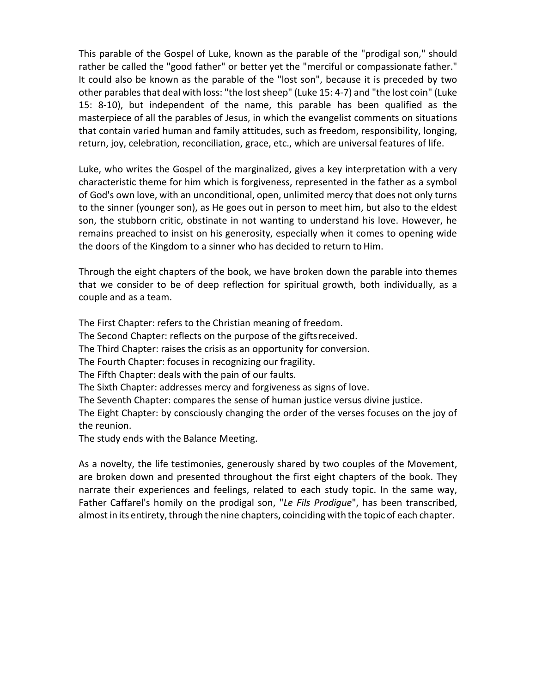This parable of the Gospel of Luke, known as the parable of the "prodigal son," should rather be called the "good father" or better yet the "merciful or compassionate father." It could also be known as the parable of the "lost son", because it is preceded by two other parables that deal with loss: "the lost sheep" (Luke 15: 4-7) and "the lost coin" (Luke 15: 8-10), but independent of the name, this parable has been qualified as the masterpiece of all the parables of Jesus, in which the evangelist comments on situations that contain varied human and family attitudes, such as freedom, responsibility, longing, return, joy, celebration, reconciliation, grace, etc., which are universal features of life.

Luke, who writes the Gospel of the marginalized, gives a key interpretation with a very characteristic theme for him which is forgiveness, represented in the father as a symbol of God's own love, with an unconditional, open, unlimited mercy that does not only turns to the sinner (younger son), as He goes out in person to meet him, but also to the eldest son, the stubborn critic, obstinate in not wanting to understand his love. However, he remains preached to insist on his generosity, especially when it comes to opening wide the doors of the Kingdom to a sinner who has decided to return to Him.

Through the eight chapters of the book, we have broken down the parable into themes that we consider to be of deep reflection for spiritual growth, both individually, as a couple and as a team.

The First Chapter: refers to the Christian meaning of freedom. The Second Chapter: reflects on the purpose of the giftsreceived. The Third Chapter: raises the crisis as an opportunity for conversion. The Fourth Chapter: focuses in recognizing our fragility. The Fifth Chapter: deals with the pain of our faults. The Sixth Chapter: addresses mercy and forgiveness as signs of love. The Seventh Chapter: compares the sense of human justice versus divine justice. The Eight Chapter: by consciously changing the order of the verses focuses on the joy of the reunion.

The study ends with the Balance Meeting.

As a novelty, the life testimonies, generously shared by two couples of the Movement, are broken down and presented throughout the first eight chapters of the book. They narrate their experiences and feelings, related to each study topic. In the same way, Father Caffarel's homily on the prodigal son, "*Le Fils Prodigue*", has been transcribed, almost in its entirety, through the nine chapters, coinciding with the topic of each chapter.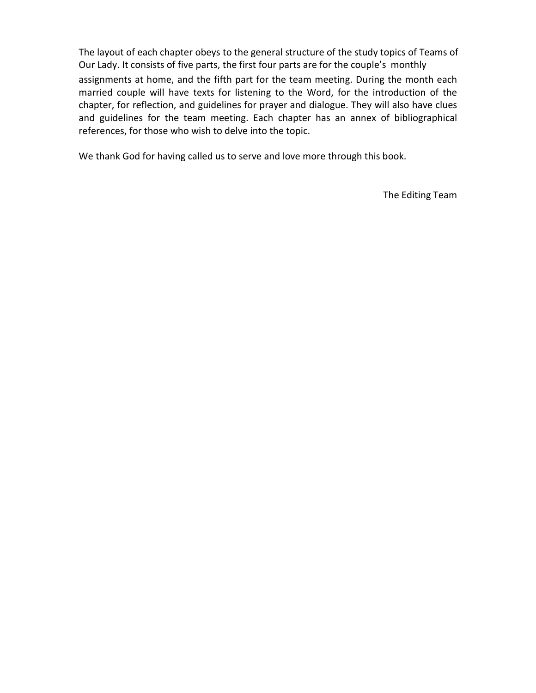The layout of each chapter obeys to the general structure of the study topics of Teams of Our Lady. It consists of five parts, the first four parts are for the couple's monthly assignments at home, and the fifth part for the team meeting. During the month each married couple will have texts for listening to the Word, for the introduction of the chapter, for reflection, and guidelines for prayer and dialogue. They will also have clues and guidelines for the team meeting. Each chapter has an annex of bibliographical references, for those who wish to delve into the topic.

We thank God for having called us to serve and love more through this book.

The Editing Team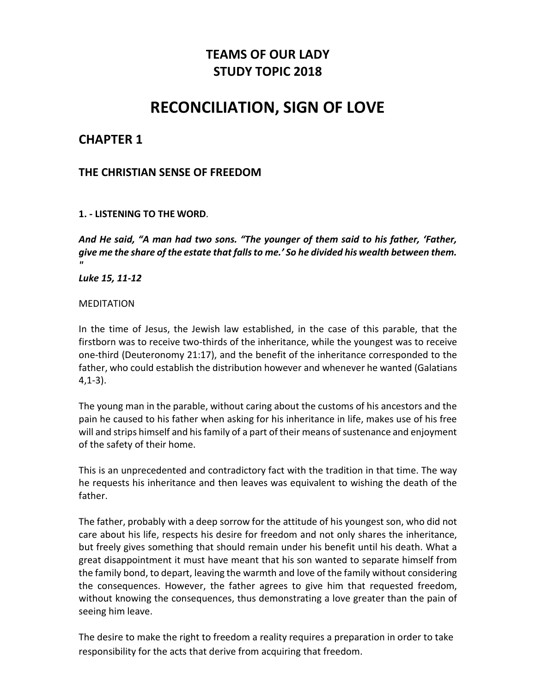## **TEAMS OF OUR LADY STUDY TOPIC 2018**

# **RECONCILIATION, SIGN OF LOVE**

## **CHAPTER 1**

## **THE CHRISTIAN SENSE OF FREEDOM**

#### **1. - LISTENING TO THE WORD**.

*And He said, "A man had two sons. "The younger of them said to his father, 'Father, give me the share of the estate that fallsto me.' So he divided his wealth between them. "*

*Luke 15, 11-12*

#### MEDITATION

In the time of Jesus, the Jewish law established, in the case of this parable, that the firstborn was to receive two-thirds of the inheritance, while the youngest was to receive one-third (Deuteronomy 21:17), and the benefit of the inheritance corresponded to the father, who could establish the distribution however and whenever he wanted (Galatians 4,1-3).

The young man in the parable, without caring about the customs of his ancestors and the pain he caused to his father when asking for his inheritance in life, makes use of his free will and strips himself and his family of a part of their means of sustenance and enjoyment of the safety of their home.

This is an unprecedented and contradictory fact with the tradition in that time. The way he requests his inheritance and then leaves was equivalent to wishing the death of the father.

The father, probably with a deep sorrow for the attitude of his youngest son, who did not care about his life, respects his desire for freedom and not only shares the inheritance, but freely gives something that should remain under his benefit until his death. What a great disappointment it must have meant that his son wanted to separate himself from the family bond, to depart, leaving the warmth and love of the family without considering the consequences. However, the father agrees to give him that requested freedom, without knowing the consequences, thus demonstrating a love greater than the pain of seeing him leave.

The desire to make the right to freedom a reality requires a preparation in order to take responsibility for the acts that derive from acquiring that freedom.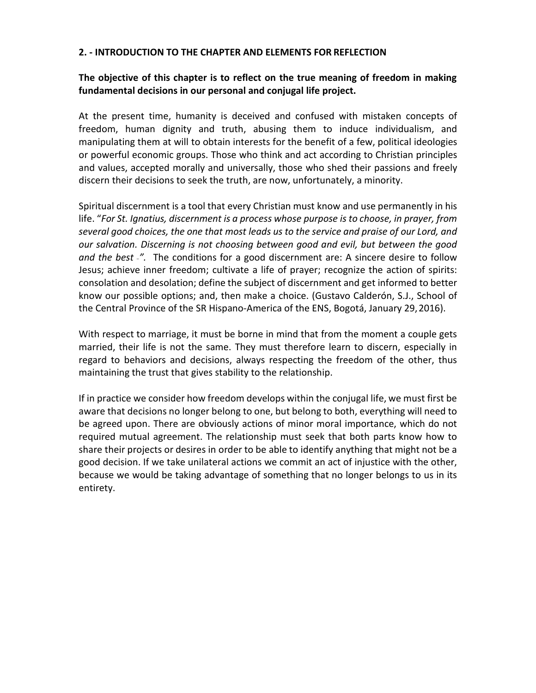#### **2. - INTRODUCTION TO THE CHAPTER AND ELEMENTS FOR REFLECTION**

#### **The objective of this chapter is to reflect on the true meaning of freedom in making fundamental decisions in our personal and conjugal life project.**

At the present time, humanity is deceived and confused with mistaken concepts of freedom, human dignity and truth, abusing them to induce individualism, and manipulating them at will to obtain interests for the benefit of a few, political ideologies or powerful economic groups. Those who think and act according to Christian principles and values, accepted morally and universally, those who shed their passions and freely discern their decisions to seek the truth, are now, unfortunately, a minority.

Spiritual discernment is a tool that every Christian must know and use permanently in his life. "*For St. Ignatius, discernment is a process whose purpose is to choose, in prayer, from several good choices, the one that most leads us to the service and praise of our Lord, and our salvation. Discerning is not choosing between good and evil, but between the good and the best \_".* The conditions for a good discernment are: A sincere desire to follow Jesus; achieve inner freedom; cultivate a life of prayer; recognize the action of spirits: consolation and desolation; define the subject of discernment and get informed to better know our possible options; and, then make a choice. (Gustavo Calderón, S.J., School of the Central Province of the SR Hispano-America of the ENS, Bogotá, January 29,2016).

With respect to marriage, it must be borne in mind that from the moment a couple gets married, their life is not the same. They must therefore learn to discern, especially in regard to behaviors and decisions, always respecting the freedom of the other, thus maintaining the trust that gives stability to the relationship.

If in practice we consider how freedom develops within the conjugal life, we must first be aware that decisions no longer belong to one, but belong to both, everything will need to be agreed upon. There are obviously actions of minor moral importance, which do not required mutual agreement. The relationship must seek that both parts know how to share their projects or desires in order to be able to identify anything that might not be a good decision. If we take unilateral actions we commit an act of injustice with the other, because we would be taking advantage of something that no longer belongs to us in its entirety.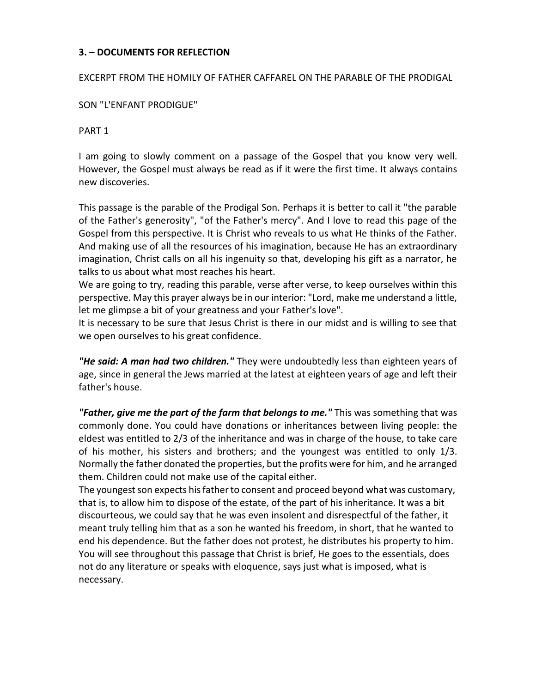#### **3. – DOCUMENTS FOR REFLECTION**

#### EXCERPT FROM THE HOMILY OF FATHER CAFFAREL ON THE PARABLE OF THE PRODIGAL

SON "L'ENFANT PRODIGUE"

#### PART 1

I am going to slowly comment on a passage of the Gospel that you know very well. However, the Gospel must always be read as if it were the first time. It always contains new discoveries.

This passage is the parable of the Prodigal Son. Perhaps it is better to call it "the parable of the Father's generosity", "of the Father's mercy". And I love to read this page of the Gospel from this perspective. It is Christ who reveals to us what He thinks of the Father. And making use of all the resources of his imagination, because He has an extraordinary imagination, Christ calls on all his ingenuity so that, developing his gift as a narrator, he talks to us about what most reaches his heart.

We are going to try, reading this parable, verse after verse, to keep ourselves within this perspective. May this prayer always be in our interior: "Lord, make me understand a little, let me glimpse a bit of your greatness and your Father's love".

It is necessary to be sure that Jesus Christ is there in our midst and is willing to see that we open ourselves to his great confidence.

*"He said: A man had two children."* They were undoubtedly less than eighteen years of age, since in general the Jews married at the latest at eighteen years of age and left their father's house.

*"Father, give me the part of the farm that belongs to me."* This was something that was commonly done. You could have donations or inheritances between living people: the eldest was entitled to 2/3 of the inheritance and was in charge of the house, to take care of his mother, his sisters and brothers; and the youngest was entitled to only 1/3. Normally the father donated the properties, but the profits were for him, and he arranged them. Children could not make use of the capital either.

The youngest son expects his father to consent and proceed beyond what was customary, that is, to allow him to dispose of the estate, of the part of his inheritance. It was a bit discourteous, we could say that he was even insolent and disrespectful of the father, it meant truly telling him that as a son he wanted his freedom, in short, that he wanted to end his dependence. But the father does not protest, he distributes his property to him. You will see throughout this passage that Christ is brief, He goes to the essentials, does not do any literature or speaks with eloquence, says just what is imposed, what is necessary.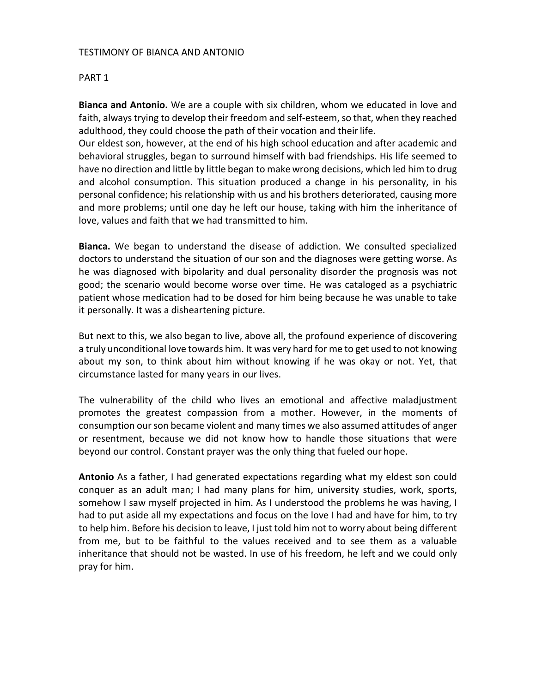#### TESTIMONY OF BIANCA AND ANTONIO

#### PART 1

**Bianca and Antonio.** We are a couple with six children, whom we educated in love and faith, always trying to develop their freedom and self-esteem, so that, when they reached adulthood, they could choose the path of their vocation and their life.

Our eldest son, however, at the end of his high school education and after academic and behavioral struggles, began to surround himself with bad friendships. His life seemed to have no direction and little by little began to make wrong decisions, which led him to drug and alcohol consumption. This situation produced a change in his personality, in his personal confidence; hisrelationship with us and his brothers deteriorated, causing more and more problems; until one day he left our house, taking with him the inheritance of love, values and faith that we had transmitted to him.

**Bianca.** We began to understand the disease of addiction. We consulted specialized doctors to understand the situation of our son and the diagnoses were getting worse. As he was diagnosed with bipolarity and dual personality disorder the prognosis was not good; the scenario would become worse over time. He was cataloged as a psychiatric patient whose medication had to be dosed for him being because he was unable to take it personally. It was a disheartening picture.

But next to this, we also began to live, above all, the profound experience of discovering a truly unconditional love towards him. It was very hard for me to get used to not knowing about my son, to think about him without knowing if he was okay or not. Yet, that circumstance lasted for many years in our lives.

The vulnerability of the child who lives an emotional and affective maladjustment promotes the greatest compassion from a mother. However, in the moments of consumption our son became violent and many times we also assumed attitudes of anger or resentment, because we did not know how to handle those situations that were beyond our control. Constant prayer was the only thing that fueled our hope.

**Antonio** As a father, I had generated expectations regarding what my eldest son could conquer as an adult man; I had many plans for him, university studies, work, sports, somehow I saw myself projected in him. As I understood the problems he was having, I had to put aside all my expectations and focus on the love I had and have for him, to try to help him. Before his decision to leave, I just told him not to worry about being different from me, but to be faithful to the values received and to see them as a valuable inheritance that should not be wasted. In use of his freedom, he left and we could only pray for him.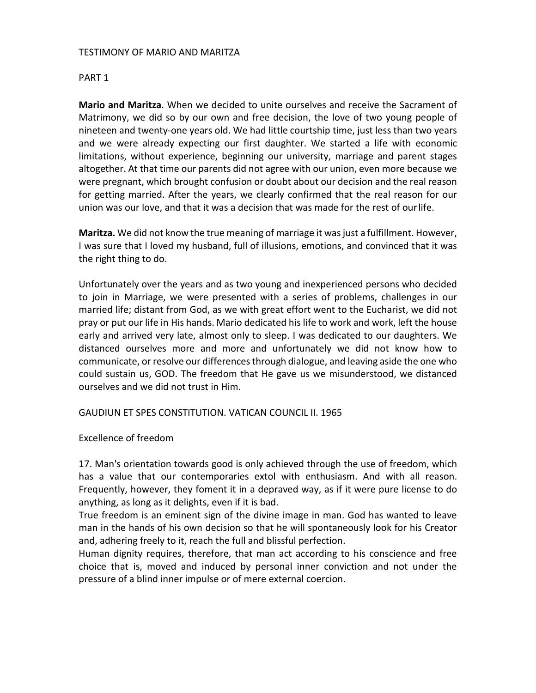#### TESTIMONY OF MARIO AND MARITZA

#### PART 1

**Mario and Maritza**. When we decided to unite ourselves and receive the Sacrament of Matrimony, we did so by our own and free decision, the love of two young people of nineteen and twenty-one years old. We had little courtship time, just less than two years and we were already expecting our first daughter. We started a life with economic limitations, without experience, beginning our university, marriage and parent stages altogether. At that time our parents did not agree with our union, even more because we were pregnant, which brought confusion or doubt about our decision and the real reason for getting married. After the years, we clearly confirmed that the real reason for our union was our love, and that it was a decision that was made for the rest of ourlife.

**Maritza.** We did not know the true meaning of marriage it wasjust a fulfillment. However, I was sure that I loved my husband, full of illusions, emotions, and convinced that it was the right thing to do.

Unfortunately over the years and as two young and inexperienced persons who decided to join in Marriage, we were presented with a series of problems, challenges in our married life; distant from God, as we with great effort went to the Eucharist, we did not pray or put our life in His hands. Mario dedicated his life to work and work, left the house early and arrived very late, almost only to sleep. I was dedicated to our daughters. We distanced ourselves more and more and unfortunately we did not know how to communicate, or resolve our differencesthrough dialogue, and leaving aside the one who could sustain us, GOD. The freedom that He gave us we misunderstood, we distanced ourselves and we did not trust in Him.

GAUDIUN ET SPES CONSTITUTION. VATICAN COUNCIL II. 1965

#### Excellence of freedom

17. Man's orientation towards good is only achieved through the use of freedom, which has a value that our contemporaries extol with enthusiasm. And with all reason. Frequently, however, they foment it in a depraved way, as if it were pure license to do anything, as long as it delights, even if it is bad.

True freedom is an eminent sign of the divine image in man. God has wanted to leave man in the hands of his own decision so that he will spontaneously look for his Creator and, adhering freely to it, reach the full and blissful perfection.

Human dignity requires, therefore, that man act according to his conscience and free choice that is, moved and induced by personal inner conviction and not under the pressure of a blind inner impulse or of mere external coercion.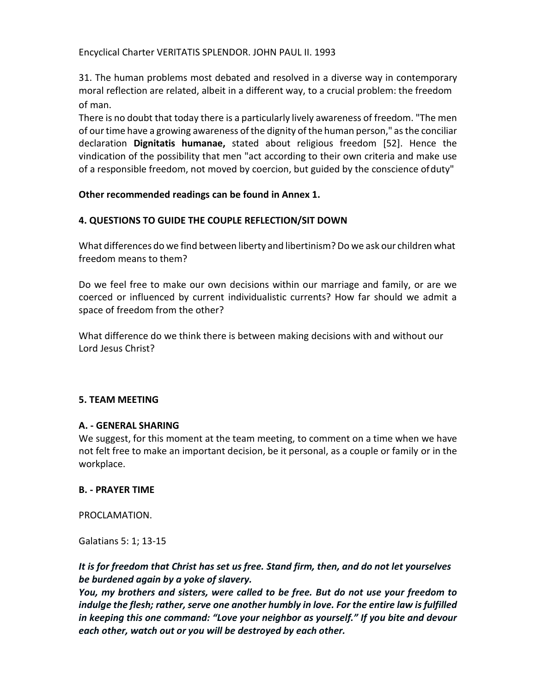Encyclical Charter VERITATIS SPLENDOR. JOHN PAUL II. 1993

31. The human problems most debated and resolved in a diverse way in contemporary moral reflection are related, albeit in a different way, to a crucial problem: the freedom of man.

There is no doubt that today there is a particularly lively awareness of freedom. "The men of ourtime have a growing awareness of the dignity ofthe human person," asthe conciliar declaration **Dignitatis humanae,** stated about religious freedom [52]. Hence the vindication of the possibility that men "act according to their own criteria and make use of a responsible freedom, not moved by coercion, but guided by the conscience ofduty"

## **Other recommended readings can be found in Annex 1.**

#### **4. QUESTIONS TO GUIDE THE COUPLE REFLECTION/SIT DOWN**

What differences do we find between liberty and libertinism? Do we ask our children what freedom means to them?

Do we feel free to make our own decisions within our marriage and family, or are we coerced or influenced by current individualistic currents? How far should we admit a space of freedom from the other?

What difference do we think there is between making decisions with and without our Lord Jesus Christ?

#### **5. TEAM MEETING**

#### **A. - GENERAL SHARING**

We suggest, for this moment at the team meeting, to comment on a time when we have not felt free to make an important decision, be it personal, as a couple or family or in the workplace.

#### **B. - PRAYER TIME**

PROCLAMATION.

Galatians 5: 1; 13-15

*It is for freedom that Christ has set us free. Stand firm, then, and do not let yourselves be burdened again by a yoke of slavery.*

*You, my brothers and sisters, were called to be free. But do not use your freedom to indulge the flesh; rather, serve one another humbly in love. For the entire law isfulfilled in keeping this one command: "Love your neighbor as yourself." If you bite and devour each other, watch out or you will be destroyed by each other.*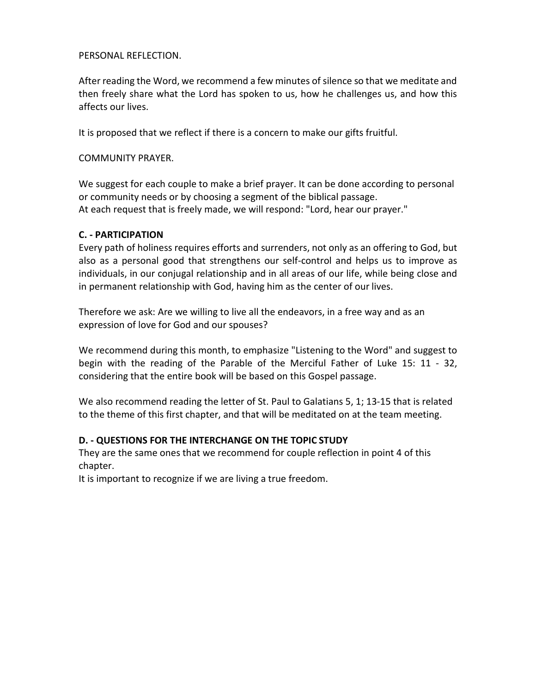#### PERSONAL REFLECTION.

After reading the Word, we recommend a few minutes of silence so that we meditate and then freely share what the Lord has spoken to us, how he challenges us, and how this affects our lives.

It is proposed that we reflect if there is a concern to make our gifts fruitful.

#### COMMUNITY PRAYER.

We suggest for each couple to make a brief prayer. It can be done according to personal or community needs or by choosing a segment of the biblical passage. At each request that is freely made, we will respond: "Lord, hear our prayer."

#### **C. - PARTICIPATION**

Every path of holiness requires efforts and surrenders, not only as an offering to God, but also as a personal good that strengthens our self-control and helps us to improve as individuals, in our conjugal relationship and in all areas of our life, while being close and in permanent relationship with God, having him as the center of our lives.

Therefore we ask: Are we willing to live all the endeavors, in a free way and as an expression of love for God and our spouses?

We recommend during this month, to emphasize "Listening to the Word" and suggest to begin with the reading of the Parable of the Merciful Father of Luke 15: 11 - 32, considering that the entire book will be based on this Gospel passage.

We also recommend reading the letter of St. Paul to Galatians 5, 1; 13-15 that is related to the theme of this first chapter, and that will be meditated on at the team meeting.

#### **D. - QUESTIONS FOR THE INTERCHANGE ON THE TOPIC STUDY**

They are the same ones that we recommend for couple reflection in point 4 of this chapter.

It is important to recognize if we are living a true freedom.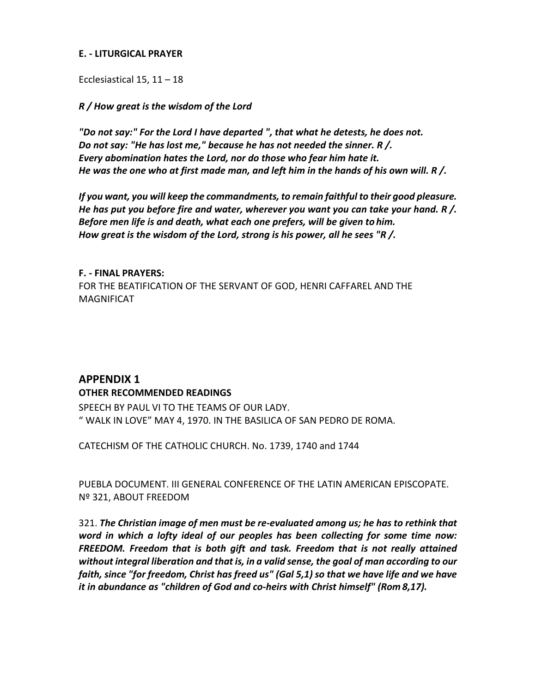#### **E. - LITURGICAL PRAYER**

Ecclesiastical 15, 11 – 18

*R / How great is the wisdom of the Lord*

*"Do not say:" For the Lord I have departed ", that what he detests, he does not. Do not say: "He has lost me," because he has not needed the sinner. R /. Every abomination hates the Lord, nor do those who fear him hate it. He was the one who at first made man, and left him in the hands of his own will. R /.*

*If you want, you will keep the commandments, to remain faithful to their good pleasure. He has put you before fire and water, wherever you want you can take your hand. R /. Before men life is and death, what each one prefers, will be given to him. How great is the wisdom of the Lord, strong is his power, all he sees "R /.*

#### **F. - FINAL PRAYERS:**

FOR THE BEATIFICATION OF THE SERVANT OF GOD, HENRI CAFFAREL AND THE MAGNIFICAT

## **APPENDIX 1 OTHER RECOMMENDED READINGS**

SPEECH BY PAUL VI TO THE TEAMS OF OUR LADY. " WALK IN LOVE" MAY 4, 1970. IN THE BASILICA OF SAN PEDRO DE ROMA.

CATECHISM OF THE CATHOLIC CHURCH. No. 1739, 1740 and 1744

PUEBLA DOCUMENT. III GENERAL CONFERENCE OF THE LATIN AMERICAN EPISCOPATE. Nº 321, ABOUT FREEDOM

321. *The Christian image of men must be re-evaluated among us; he has to rethink that word in which a lofty ideal of our peoples has been collecting for some time now: FREEDOM. Freedom that is both gift and task. Freedom that is not really attained without integral liberation and that is, in a valid sense, the goal of man according to our faith, since "for freedom, Christ has freed us" (Gal 5,1) so that we have life and we have it in abundance as "children of God and co-heirs with Christ himself" (Rom 8,17).*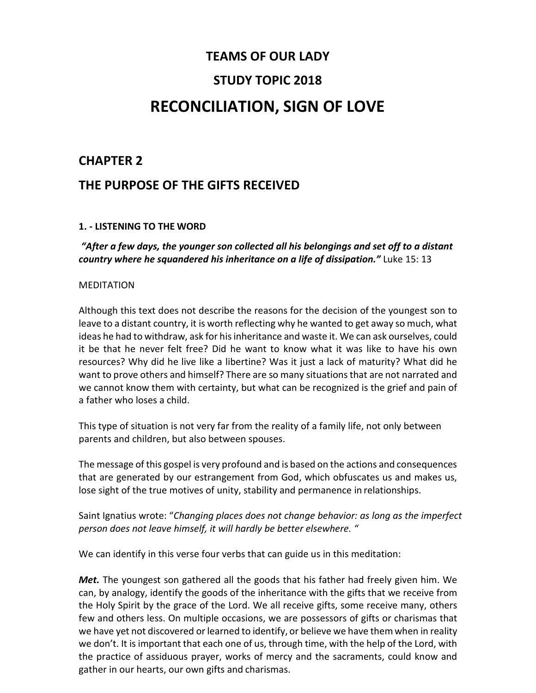## **TEAMS OF OUR LADY**

## **STUDY TOPIC 2018**

# **RECONCILIATION, SIGN OF LOVE**

## **CHAPTER 2**

## **THE PURPOSE OF THE GIFTS RECEIVED**

#### **1. - LISTENING TO THE WORD**

#### *"After a few days, the younger son collected all his belongings and set off to a distant country where he squandered his inheritance on a life of dissipation."* Luke 15: 13

#### MEDITATION

Although this text does not describe the reasons for the decision of the youngest son to leave to a distant country, it is worth reflecting why he wanted to get away so much, what ideas he had to withdraw, ask for his inheritance and waste it. We can ask ourselves, could it be that he never felt free? Did he want to know what it was like to have his own resources? Why did he live like a libertine? Was it just a lack of maturity? What did he want to prove others and himself? There are so many situations that are not narrated and we cannot know them with certainty, but what can be recognized is the grief and pain of a father who loses a child.

This type of situation is not very far from the reality of a family life, not only between parents and children, but also between spouses.

The message of this gospel is very profound and is based on the actions and consequences that are generated by our estrangement from God, which obfuscates us and makes us, lose sight of the true motives of unity, stability and permanence in relationships.

Saint Ignatius wrote: "*Changing places does not change behavior: as long as the imperfect person does not leave himself, it will hardly be better elsewhere. "*

We can identify in this verse four verbs that can guide us in this meditation:

*Met.* The youngest son gathered all the goods that his father had freely given him. We can, by analogy, identify the goods of the inheritance with the gifts that we receive from the Holy Spirit by the grace of the Lord. We all receive gifts, some receive many, others few and others less. On multiple occasions, we are possessors of gifts or charismas that we have yet not discovered or learned to identify, or believe we have them when in reality we don't. It is important that each one of us, through time, with the help of the Lord, with the practice of assiduous prayer, works of mercy and the sacraments, could know and gather in our hearts, our own gifts and charismas.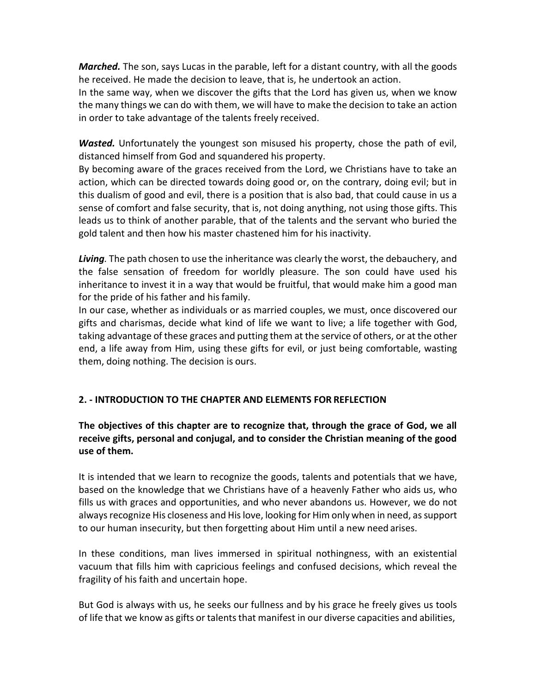*Marched.* The son, says Lucas in the parable, left for a distant country, with all the goods he received. He made the decision to leave, that is, he undertook an action.

In the same way, when we discover the gifts that the Lord has given us, when we know the many things we can do with them, we will have to make the decision to take an action in order to take advantage of the talents freely received.

*Wasted.* Unfortunately the youngest son misused his property, chose the path of evil, distanced himself from God and squandered his property.

By becoming aware of the graces received from the Lord, we Christians have to take an action, which can be directed towards doing good or, on the contrary, doing evil; but in this dualism of good and evil, there is a position that is also bad, that could cause in us a sense of comfort and false security, that is, not doing anything, not using those gifts. This leads us to think of another parable, that of the talents and the servant who buried the gold talent and then how his master chastened him for his inactivity.

*Living.* The path chosen to use the inheritance was clearly the worst, the debauchery, and the false sensation of freedom for worldly pleasure. The son could have used his inheritance to invest it in a way that would be fruitful, that would make him a good man for the pride of his father and his family.

In our case, whether as individuals or as married couples, we must, once discovered our gifts and charismas, decide what kind of life we want to live; a life together with God, taking advantage of these graces and putting them at the service of others, or at the other end, a life away from Him, using these gifts for evil, or just being comfortable, wasting them, doing nothing. The decision is ours.

#### **2. - INTRODUCTION TO THE CHAPTER AND ELEMENTS FOR REFLECTION**

**The objectives of this chapter are to recognize that, through the grace of God, we all receive gifts, personal and conjugal, and to consider the Christian meaning of the good use of them.**

It is intended that we learn to recognize the goods, talents and potentials that we have, based on the knowledge that we Christians have of a heavenly Father who aids us, who fills us with graces and opportunities, and who never abandons us. However, we do not always recognize His closeness and His love, looking for Him only when in need, as support to our human insecurity, but then forgetting about Him until a new need arises.

In these conditions, man lives immersed in spiritual nothingness, with an existential vacuum that fills him with capricious feelings and confused decisions, which reveal the fragility of his faith and uncertain hope.

But God is always with us, he seeks our fullness and by his grace he freely gives us tools of life that we know as gifts or talents that manifest in our diverse capacities and abilities,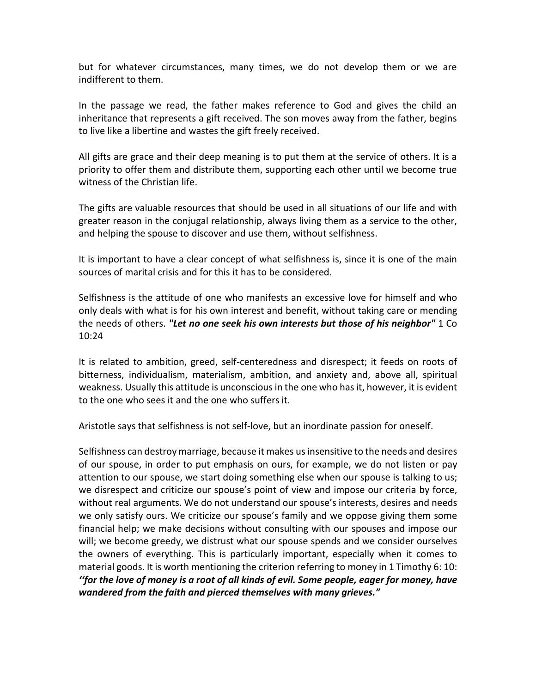but for whatever circumstances, many times, we do not develop them or we are indifferent to them.

In the passage we read, the father makes reference to God and gives the child an inheritance that represents a gift received. The son moves away from the father, begins to live like a libertine and wastes the gift freely received.

All gifts are grace and their deep meaning is to put them at the service of others. It is a priority to offer them and distribute them, supporting each other until we become true witness of the Christian life.

The gifts are valuable resources that should be used in all situations of our life and with greater reason in the conjugal relationship, always living them as a service to the other, and helping the spouse to discover and use them, without selfishness.

It is important to have a clear concept of what selfishness is, since it is one of the main sources of marital crisis and for this it has to be considered.

Selfishness is the attitude of one who manifests an excessive love for himself and who only deals with what is for his own interest and benefit, without taking care or mending the needs of others. *"Let no one seek his own interests but those of his neighbor"* 1 Co 10:24

It is related to ambition, greed, self-centeredness and disrespect; it feeds on roots of bitterness, individualism, materialism, ambition, and anxiety and, above all, spiritual weakness. Usually this attitude is unconscious in the one who has it, however, it is evident to the one who sees it and the one who suffersit.

Aristotle says that selfishness is not self-love, but an inordinate passion for oneself.

Selfishness can destroy marriage, because it makes us insensitive to the needs and desires of our spouse, in order to put emphasis on ours, for example, we do not listen or pay attention to our spouse, we start doing something else when our spouse is talking to us; we disrespect and criticize our spouse's point of view and impose our criteria by force, without real arguments. We do not understand our spouse's interests, desires and needs we only satisfy ours. We criticize our spouse's family and we oppose giving them some financial help; we make decisions without consulting with our spouses and impose our will; we become greedy, we distrust what our spouse spends and we consider ourselves the owners of everything. This is particularly important, especially when it comes to material goods. It is worth mentioning the criterion referring to money in 1 Timothy 6: 10: *''for the love of money is a root of all kinds of evil. Some people, eager for money, have wandered from the faith and pierced themselves with many grieves."*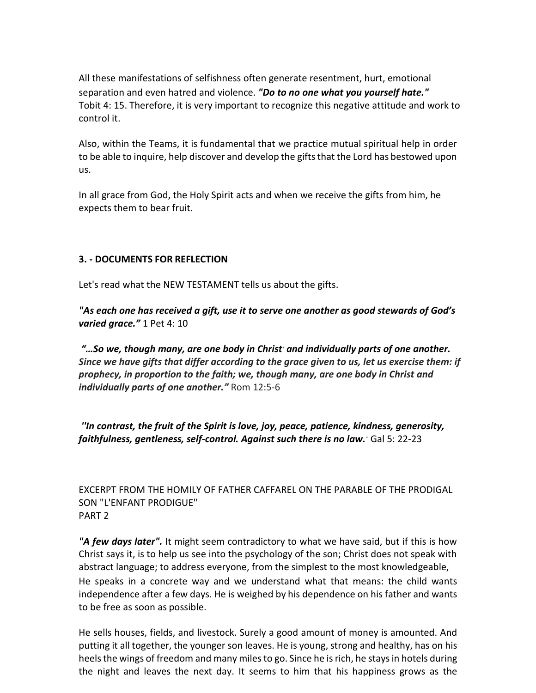All these manifestations of selfishness often generate resentment, hurt, emotional separation and even hatred and violence. *"Do to no one what you yourself hate."* Tobit 4: 15. Therefore, it is very important to recognize this negative attitude and work to control it.

Also, within the Teams, it is fundamental that we practice mutual spiritual help in order to be able to inquire, help discover and develop the gifts that the Lord has bestowed upon us.

In all grace from God, the Holy Spirit acts and when we receive the gifts from him, he expects them to bear fruit.

## **3. - DOCUMENTS FOR REFLECTION**

Let's read what the NEW TESTAMENT tells us about the gifts.

*"As each one has received a gift, use it to serve one another as good stewards of God's varied grace."* 1 Pet 4: 10

*"…So we, though many, are one body in Christ\* and individually parts of one another. Since we have gifts that differ according to the grace given to us, let us exercise them: if prophecy, in proportion to the faith; we, though many, are one body in Christ and individually parts of one another."* Rom 12:5-6

*''In contrast, the fruit of the Spirit is love, joy, peace, patience, kindness, generosity, faithfulness, gentleness, self-control. Against such there is no law."* Gal 5: 22-23

EXCERPT FROM THE HOMILY OF FATHER CAFFAREL ON THE PARABLE OF THE PRODIGAL SON "L'ENFANT PRODIGUE" PART 2

*"A few days later".* It might seem contradictory to what we have said, but if this is how Christ says it, is to help us see into the psychology of the son; Christ does not speak with abstract language; to address everyone, from the simplest to the most knowledgeable, He speaks in a concrete way and we understand what that means: the child wants independence after a few days. He is weighed by his dependence on his father and wants to be free as soon as possible.

He sells houses, fields, and livestock. Surely a good amount of money is amounted. And putting it all together, the younger son leaves. He is young, strong and healthy, has on his heels the wings of freedom and many miles to go. Since he is rich, he stays in hotels during the night and leaves the next day. It seems to him that his happiness grows as the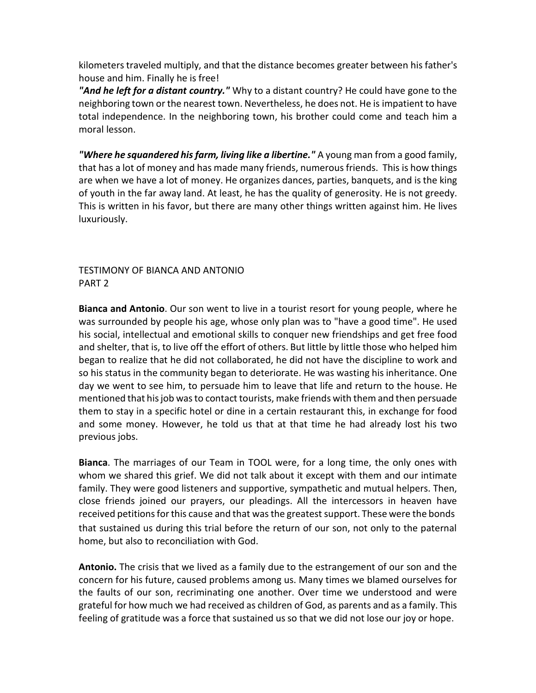kilometers traveled multiply, and that the distance becomes greater between his father's house and him. Finally he is free!

*"And he left for a distant country."* Why to a distant country? He could have gone to the neighboring town or the nearest town. Nevertheless, he does not. He is impatient to have total independence. In the neighboring town, his brother could come and teach him a moral lesson.

*"Where he squandered hisfarm, living like a libertine."* A young man from a good family, that has a lot of money and has made many friends, numerousfriends. This is how things are when we have a lot of money. He organizes dances, parties, banquets, and is the king of youth in the far away land. At least, he has the quality of generosity. He is not greedy. This is written in his favor, but there are many other things written against him. He lives luxuriously.

#### TESTIMONY OF BIANCA AND ANTONIO PART 2

**Bianca and Antonio**. Our son went to live in a tourist resort for young people, where he was surrounded by people his age, whose only plan was to "have a good time". He used his social, intellectual and emotional skills to conquer new friendships and get free food and shelter, that is, to live off the effort of others. But little by little those who helped him began to realize that he did not collaborated, he did not have the discipline to work and so his status in the community began to deteriorate. He was wasting his inheritance. One day we went to see him, to persuade him to leave that life and return to the house. He mentioned that hisjob wasto contact tourists, make friends with them and then persuade them to stay in a specific hotel or dine in a certain restaurant this, in exchange for food and some money. However, he told us that at that time he had already lost his two previous jobs.

**Bianca**. The marriages of our Team in TOOL were, for a long time, the only ones with whom we shared this grief. We did not talk about it except with them and our intimate family. They were good listeners and supportive, sympathetic and mutual helpers. Then, close friends joined our prayers, our pleadings. All the intercessors in heaven have received petitions for this cause and that was the greatest support. These were the bonds that sustained us during this trial before the return of our son, not only to the paternal home, but also to reconciliation with God.

**Antonio.** The crisis that we lived as a family due to the estrangement of our son and the concern for his future, caused problems among us. Many times we blamed ourselves for the faults of our son, recriminating one another. Over time we understood and were grateful for how much we had received as children of God, as parents and as a family. This feeling of gratitude was a force that sustained us so that we did not lose our joy or hope.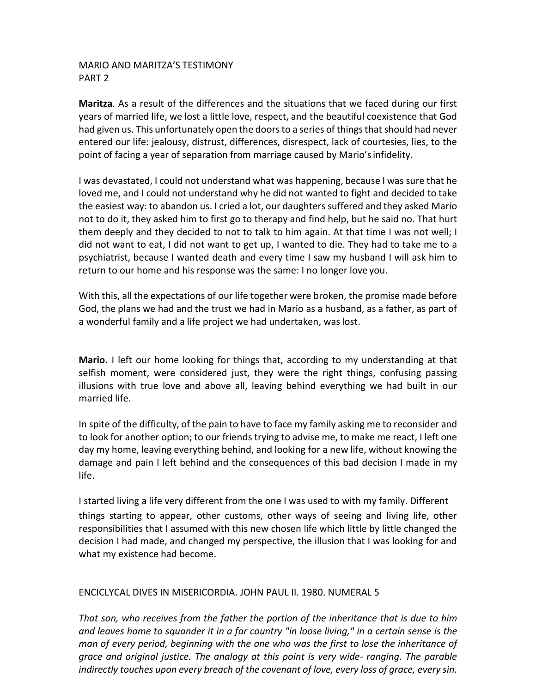#### MARIO AND MARITZA'S TESTIMONY PART 2

**Maritza**. As a result of the differences and the situations that we faced during our first years of married life, we lost a little love, respect, and the beautiful coexistence that God had given us. This unfortunately open the doors to a series of things that should had never entered our life: jealousy, distrust, differences, disrespect, lack of courtesies, lies, to the point of facing a year of separation from marriage caused by Mario's infidelity.

I was devastated, I could not understand what was happening, because I was sure that he loved me, and I could not understand why he did not wanted to fight and decided to take the easiest way: to abandon us. I cried a lot, our daughters suffered and they asked Mario not to do it, they asked him to first go to therapy and find help, but he said no. That hurt them deeply and they decided to not to talk to him again. At that time I was not well; I did not want to eat, I did not want to get up, I wanted to die. They had to take me to a psychiatrist, because I wanted death and every time I saw my husband I will ask him to return to our home and his response was the same: I no longer love you.

With this, all the expectations of our life together were broken, the promise made before God, the plans we had and the trust we had in Mario as a husband, as a father, as part of a wonderful family and a life project we had undertaken, waslost.

**Mario.** I left our home looking for things that, according to my understanding at that selfish moment, were considered just, they were the right things, confusing passing illusions with true love and above all, leaving behind everything we had built in our married life.

In spite of the difficulty, of the pain to have to face my family asking me to reconsider and to look for another option; to our friends trying to advise me, to make me react, I left one day my home, leaving everything behind, and looking for a new life, without knowing the damage and pain I left behind and the consequences of this bad decision I made in my life.

I started living a life very different from the one I was used to with my family. Different things starting to appear, other customs, other ways of seeing and living life, other responsibilities that I assumed with this new chosen life which little by little changed the decision I had made, and changed my perspective, the illusion that I was looking for and what my existence had become.

#### ENCICLYCAL DIVES IN MISERICORDIA. JOHN PAUL II. 1980. NUMERAL 5

*That son, who receives from the father the portion of the inheritance that is due to him and leaves home to squander it in a far country "in loose living," in a certain sense is the man of every period, beginning with the one who was the first to lose the inheritance of grace and original justice. The analogy at this point is very wide- ranging. The parable indirectly touches upon every breach of the covenant of love, every loss of grace, every sin.*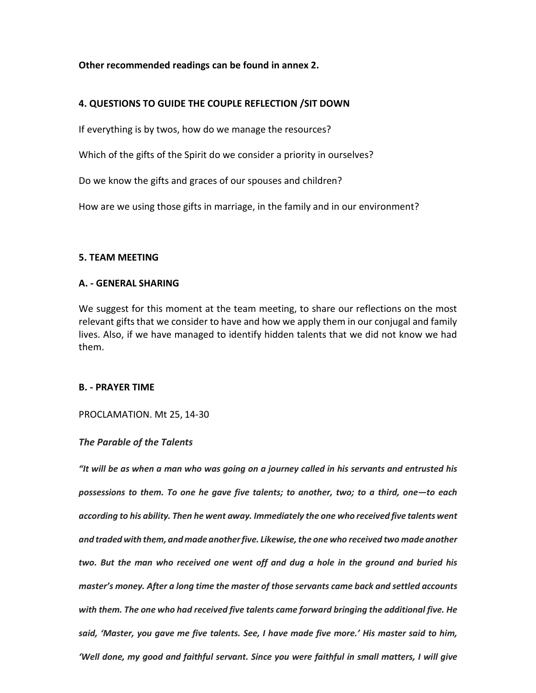#### **Other recommended readings can be found in annex 2.**

#### **4. QUESTIONS TO GUIDE THE COUPLE REFLECTION /SIT DOWN**

If everything is by twos, how do we manage the resources?

Which of the gifts of the Spirit do we consider a priority in ourselves?

Do we know the gifts and graces of our spouses and children?

How are we using those gifts in marriage, in the family and in our environment?

#### **5. TEAM MEETING**

#### **A. - GENERAL SHARING**

We suggest for this moment at the team meeting, to share our reflections on the most relevant gifts that we consider to have and how we apply them in our conjugal and family lives. Also, if we have managed to identify hidden talents that we did not know we had them.

#### **B. - PRAYER TIME**

PROCLAMATION. Mt 25, 14-30

#### *The Parable of the Talents*

*"It will be as when a man who was going on a journey called in his servants and entrusted his possessions to them. To one he gave five talents; to another, two; to a third, one—to each according to his ability. Then he went away. Immediately the one who received five talents went and tradedwith them, and made anotherfive. Likewise, the one who received two made another two. But the man who received one went off and dug a hole in the ground and buried his master's money. After a long time the master of those servants came back and settled accounts with them. The one who had received five talents came forward bringing the additional five. He said, 'Master, you gave me five talents. See, I have made five more.' His master said to him, 'Well done, my good and faithful servant. Since you were faithful in small matters, I will give*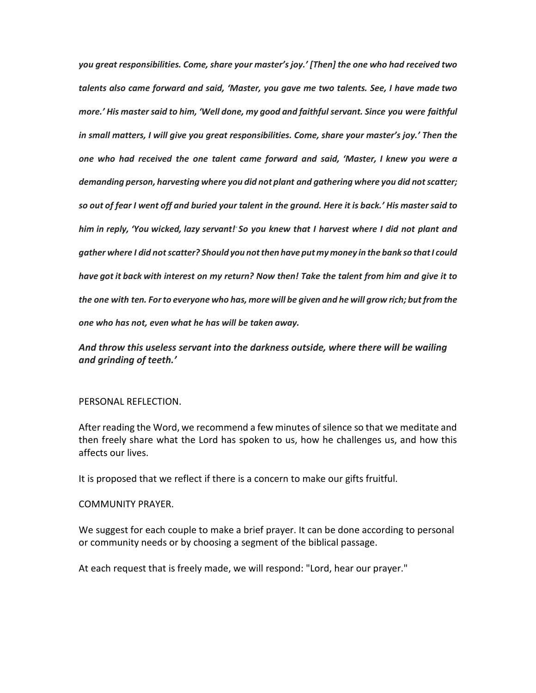*you great responsibilities. Come, share your master's joy.' [Then] the one who had received two talents also came forward and said, 'Master, you gave me two talents. See, I have made two more.' His master said to him, 'Well done, my good and faithful servant. Since you were faithful in small matters, I will give you great responsibilities. Come, share your master's joy.' Then the one who had received the one talent came forward and said, 'Master, I knew you were a demanding person, harvesting where you did not plant and gathering where you did notscatter;* so out of fear I went off and buried your talent in the ground. Here it is back.' His master said to *him in reply, 'You wicked, lazy servant!" So you knew that I harvest where I did not plant and gather where I did not scatter? Should you notthen have put my money in the bank so thatI could have got it back with interest on my return? Now then! Take the talent from him and give it to the one with ten. Forto everyone who has, more will be given and he will grow rich; but from the one who has not, even what he has will be taken away.*

*And throw this useless servant into the darkness outside, where there will be wailing and grinding of teeth.'*

#### PERSONAL REFLECTION.

After reading the Word, we recommend a few minutes of silence so that we meditate and then freely share what the Lord has spoken to us, how he challenges us, and how this affects our lives.

It is proposed that we reflect if there is a concern to make our gifts fruitful.

#### COMMUNITY PRAYER.

We suggest for each couple to make a brief prayer. It can be done according to personal or community needs or by choosing a segment of the biblical passage.

At each request that is freely made, we will respond: "Lord, hear our prayer."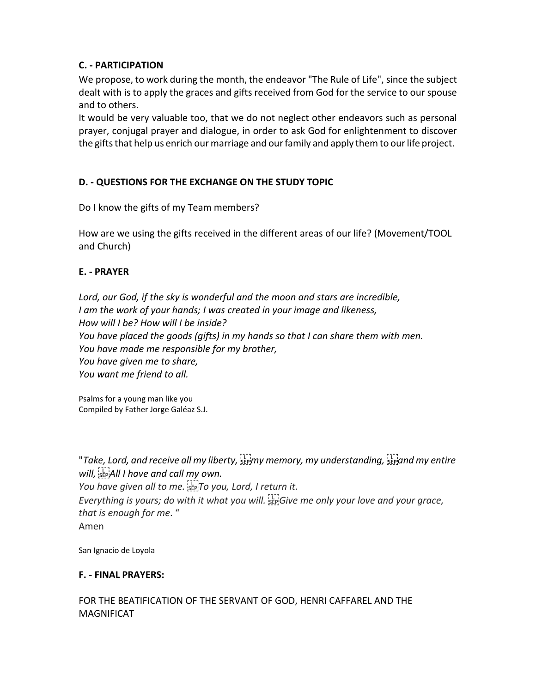## **C. - PARTICIPATION**

We propose, to work during the month, the endeavor "The Rule of Life", since the subject dealt with is to apply the graces and gifts received from God for the service to our spouse and to others.

It would be very valuable too, that we do not neglect other endeavors such as personal prayer, conjugal prayer and dialogue, in order to ask God for enlightenment to discover the gifts that help us enrich our marriage and our family and apply them to our life project.

## **D. - QUESTIONS FOR THE EXCHANGE ON THE STUDY TOPIC**

Do I know the gifts of my Team members?

How are we using the gifts received in the different areas of our life? (Movement/TOOL and Church)

## **E. - PRAYER**

*Lord, our God, if the sky is wonderful and the moon and stars are incredible, I am the work of your hands; I was created in your image and likeness, How will I be? How will I be inside? You have placed the goods (gifts) in my hands so that I can share them with men. You have made me responsible for my brother, You have given me to share, You want me friend to all.*

Psalms for a young man like you Compiled by Father Jorge Galéaz S.J.

"*Take, Lord, and receive all my liberty, my memory, my understanding, and my entire will,*  ${}_{s}^{L}$   $\uparrow$  *All I have and call my own. You have given all to me. To you, Lord, I return it. Everything is yours; do with it what you will. Give me only your love and your grace, that is enough for me*. " Amen

San Ignacio de Loyola

#### **F. - FINAL PRAYERS:**

FOR THE BEATIFICATION OF THE SERVANT OF GOD, HENRI CAFFAREL AND THE MAGNIFICAT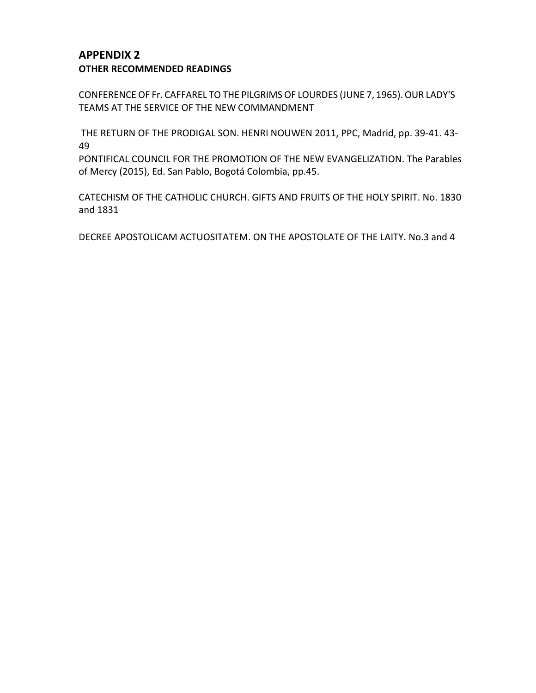## **APPENDIX 2 OTHER RECOMMENDED READINGS**

CONFERENCE OF Fr. CAFFAREL TO THE PILGRIMS OF LOURDES (JUNE 7, 1965). OUR LADY'S TEAMS AT THE SERVICE OF THE NEW COMMANDMENT

THE RETURN OF THE PRODIGAL SON. HENRI NOUWEN 2011, PPC, Madrid, pp. 39-41. 43- 49

PONTIFICAL COUNCIL FOR THE PROMOTION OF THE NEW EVANGELIZATION. The Parables of Mercy (2015), Ed. San Pablo, Bogotá Colombia, pp.45.

CATECHISM OF THE CATHOLIC CHURCH. GIFTS AND FRUITS OF THE HOLY SPIRIT. No. 1830 and 1831

DECREE APOSTOLICAM ACTUOSITATEM. ON THE APOSTOLATE OF THE LAITY. No.3 and 4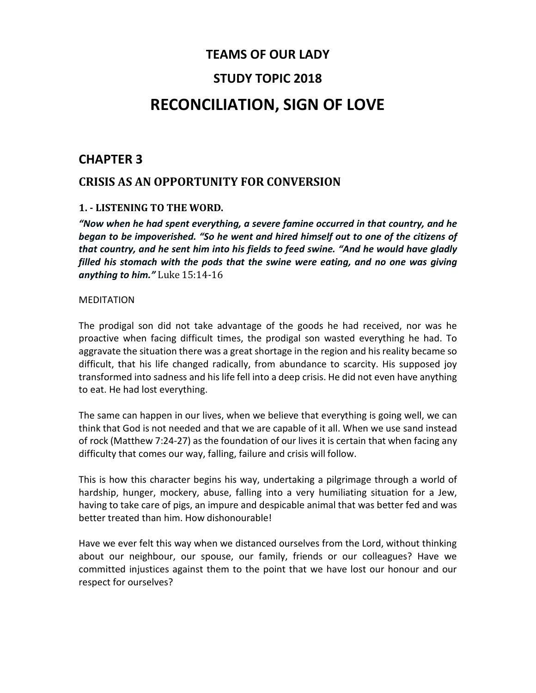## **TEAMS OF OUR LADY**

## **STUDY TOPIC 2018**

## **RECONCILIATION, SIGN OF LOVE**

## **CHAPTER 3**

## **CRISIS AS AN OPPORTUNITY FOR CONVERSION**

#### **1. - LISTENING TO THE WORD.**

*"Now when he had spent everything, a severe famine occurred in that country, and he*  began to be impoverished. "So he went and hired himself out to one of the citizens of *that country, and he sent him into his fields to feed swine. "And he would have gladly filled his stomach with the pods that the swine were eating, and no one was giving anything to him."* Luke 15:14-16

#### MEDITATION

The prodigal son did not take advantage of the goods he had received, nor was he proactive when facing difficult times, the prodigal son wasted everything he had. To aggravate the situation there was a great shortage in the region and his reality became so difficult, that his life changed radically, from abundance to scarcity. His supposed joy transformed into sadness and his life fell into a deep crisis. He did not even have anything to eat. He had lost everything.

The same can happen in our lives, when we believe that everything is going well, we can think that God is not needed and that we are capable of it all. When we use sand instead of rock (Matthew 7:24-27) as the foundation of our lives it is certain that when facing any difficulty that comes our way, falling, failure and crisis will follow.

This is how this character begins his way, undertaking a pilgrimage through a world of hardship, hunger, mockery, abuse, falling into a very humiliating situation for a Jew, having to take care of pigs, an impure and despicable animal that was better fed and was better treated than him. How dishonourable!

Have we ever felt this way when we distanced ourselves from the Lord, without thinking about our neighbour, our spouse, our family, friends or our colleagues? Have we committed injustices against them to the point that we have lost our honour and our respect for ourselves?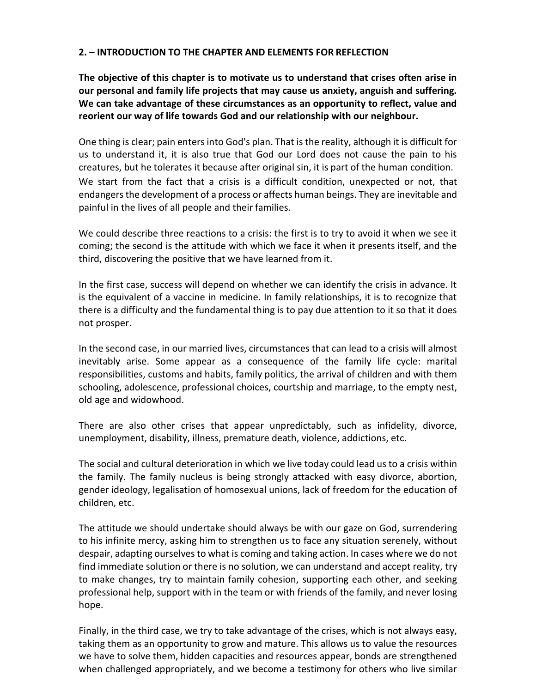#### **2. – INTRODUCTION TO THE CHAPTER AND ELEMENTS FOR REFLECTION**

**The objective of this chapter is to motivate us to understand that crises often arise in our personal and family life projects that may cause us anxiety, anguish and suffering. We can take advantage of these circumstances as an opportunity to reflect, value and reorient our way of life towards God and our relationship with our neighbour.**

One thing is clear; pain enters into God's plan. That is the reality, although it is difficult for us to understand it, it is also true that God our Lord does not cause the pain to his creatures, but he tolerates it because after original sin, it is part of the human condition. We start from the fact that a crisis is a difficult condition, unexpected or not, that endangersthe development of a process or affects human beings. They are inevitable and painful in the lives of all people and their families.

We could describe three reactions to a crisis: the first is to try to avoid it when we see it coming; the second is the attitude with which we face it when it presents itself, and the third, discovering the positive that we have learned from it.

In the first case, success will depend on whether we can identify the crisis in advance. It is the equivalent of a vaccine in medicine. In family relationships, it is to recognize that there is a difficulty and the fundamental thing is to pay due attention to it so that it does not prosper.

In the second case, in our married lives, circumstances that can lead to a crisis will almost inevitably arise. Some appear as a consequence of the family life cycle: marital responsibilities, customs and habits, family politics, the arrival of children and with them schooling, adolescence, professional choices, courtship and marriage, to the empty nest, old age and widowhood.

There are also other crises that appear unpredictably, such as infidelity, divorce, unemployment, disability, illness, premature death, violence, addictions, etc.

The social and cultural deterioration in which we live today could lead us to a crisis within the family. The family nucleus is being strongly attacked with easy divorce, abortion, gender ideology, legalisation of homosexual unions, lack of freedom for the education of children, etc.

The attitude we should undertake should always be with our gaze on God, surrendering to his infinite mercy, asking him to strengthen us to face any situation serenely, without despair, adapting ourselves to what is coming and taking action. In cases where we do not find immediate solution or there is no solution, we can understand and accept reality, try to make changes, try to maintain family cohesion, supporting each other, and seeking professional help, support with in the team or with friends of the family, and never losing hope.

Finally, in the third case, we try to take advantage of the crises, which is not always easy, taking them as an opportunity to grow and mature. This allows us to value the resources we have to solve them, hidden capacities and resources appear, bonds are strengthened when challenged appropriately, and we become a testimony for others who live similar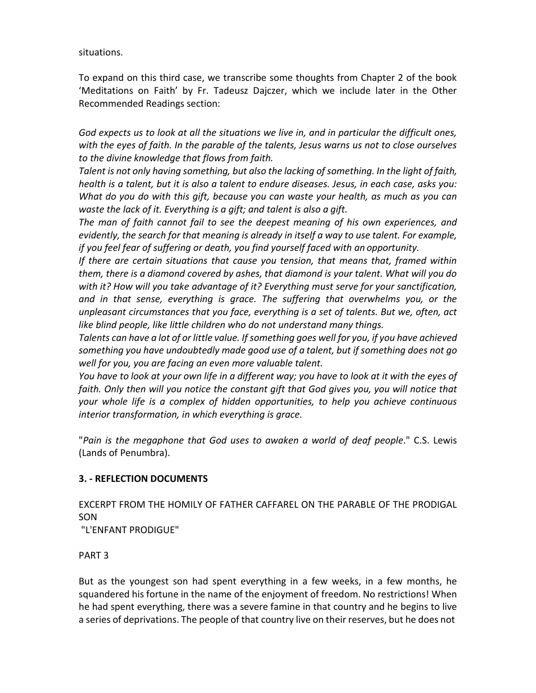situations.

To expand on this third case, we transcribe some thoughts from Chapter 2 of the book 'Meditations on Faith' by Fr. Tadeusz Dajczer, which we include later in the Other Recommended Readings section:

*God expects us to look at all the situations we live in, and in particular the difficult ones, with the eyes of faith. In the parable of the talents, Jesus warns us not to close ourselves to the divine knowledge that flows from faith.*

*Talent is not only having something, but also the lacking of something. In the light of faith, health is a talent, but it is also a talent to endure diseases. Jesus, in each case, asks you: What do you do with this gift, because you can waste your health, as much as you can waste the lack of it. Everything is a gift; and talent is also a gift.*

*The man of faith cannot fail to see the deepest meaning of his own experiences, and evidently, the search for that meaning is already in itself a way to use talent. For example, if you feel fear of suffering or death, you find yourself faced with an opportunity.*

*If there are certain situations that cause you tension, that means that, framed within them, there is a diamond covered by ashes, that diamond is your talent. What will you do with it? How will you take advantage of it? Everything must serve for your sanctification, and in that sense, everything is grace. The suffering that overwhelms you, or the unpleasant circumstances that you face, everything is a set of talents. But we, often, act like blind people, like little children who do not understand many things.*

Talents can have a lot of or little value. If something goes well for you, if you have achieved *something you have undoubtedly made good use of a talent, but if something does not go well for you, you are facing an even more valuable talent.*

You have to look at your own life in a different way; you have to look at it with the eyes of *faith. Only then will you notice the constant gift that God gives you, you will notice that your whole life is a complex of hidden opportunities, to help you achieve continuous interior transformation, in which everything is grace.*

"*Pain is the megaphone that God uses to awaken a world of deaf people*." C.S. Lewis (Lands of Penumbra).

## **3. - REFLECTION DOCUMENTS**

EXCERPT FROM THE HOMILY OF FATHER CAFFAREL ON THE PARABLE OF THE PRODIGAL SON

"L'ENFANT PRODIGUE"

## PART 3

But as the youngest son had spent everything in a few weeks, in a few months, he squandered his fortune in the name of the enjoyment of freedom. No restrictions! When he had spent everything, there was a severe famine in that country and he begins to live a series of deprivations. The people of that country live on their reserves, but he does not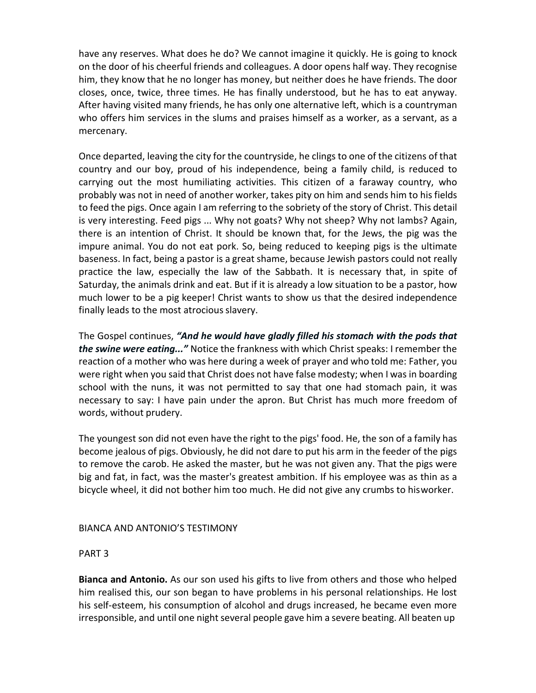have any reserves. What does he do? We cannot imagine it quickly. He is going to knock on the door of his cheerful friends and colleagues. A door opens half way. They recognise him, they know that he no longer has money, but neither does he have friends. The door closes, once, twice, three times. He has finally understood, but he has to eat anyway. After having visited many friends, he has only one alternative left, which is a countryman who offers him services in the slums and praises himself as a worker, as a servant, as a mercenary.

Once departed, leaving the city for the countryside, he clings to one of the citizens of that country and our boy, proud of his independence, being a family child, is reduced to carrying out the most humiliating activities. This citizen of a faraway country, who probably was not in need of another worker, takes pity on him and sends him to his fields to feed the pigs. Once again I am referring to the sobriety of the story of Christ. This detail is very interesting. Feed pigs ... Why not goats? Why not sheep? Why not lambs? Again, there is an intention of Christ. It should be known that, for the Jews, the pig was the impure animal. You do not eat pork. So, being reduced to keeping pigs is the ultimate baseness. In fact, being a pastor is a great shame, because Jewish pastors could not really practice the law, especially the law of the Sabbath. It is necessary that, in spite of Saturday, the animals drink and eat. But if it is already a low situation to be a pastor, how much lower to be a pig keeper! Christ wants to show us that the desired independence finally leads to the most atrocious slavery.

The Gospel continues, *"And he would have gladly filled his stomach with the pods that the swine were eating..."* Notice the frankness with which Christ speaks: I remember the reaction of a mother who was here during a week of prayer and who told me: Father, you were right when you said that Christ does not have false modesty; when I was in boarding school with the nuns, it was not permitted to say that one had stomach pain, it was necessary to say: I have pain under the apron. But Christ has much more freedom of words, without prudery.

The youngest son did not even have the right to the pigs' food. He, the son of a family has become jealous of pigs. Obviously, he did not dare to put his arm in the feeder of the pigs to remove the carob. He asked the master, but he was not given any. That the pigs were big and fat, in fact, was the master's greatest ambition. If his employee was as thin as a bicycle wheel, it did not bother him too much. He did not give any crumbs to hisworker.

#### BIANCA AND ANTONIO'S TESTIMONY

#### PART 3

**Bianca and Antonio.** As our son used his gifts to live from others and those who helped him realised this, our son began to have problems in his personal relationships. He lost his self-esteem, his consumption of alcohol and drugs increased, he became even more irresponsible, and until one night several people gave him a severe beating. All beaten up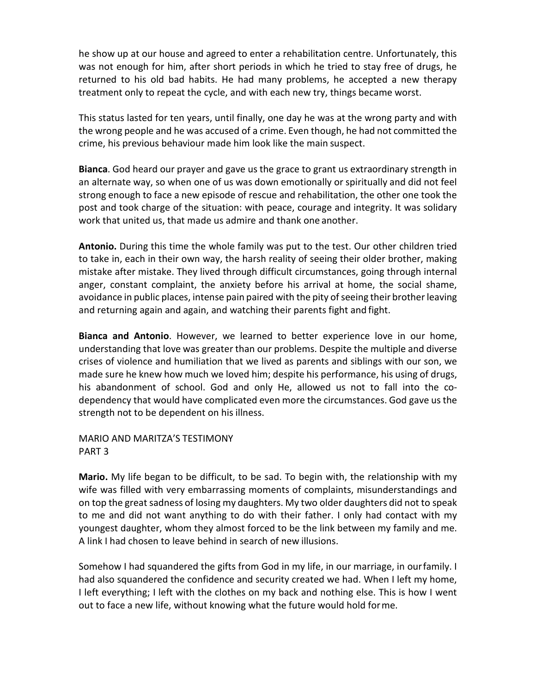he show up at our house and agreed to enter a rehabilitation centre. Unfortunately, this was not enough for him, after short periods in which he tried to stay free of drugs, he returned to his old bad habits. He had many problems, he accepted a new therapy treatment only to repeat the cycle, and with each new try, things became worst.

This status lasted for ten years, until finally, one day he was at the wrong party and with the wrong people and he was accused of a crime. Even though, he had not committed the crime, his previous behaviour made him look like the main suspect.

**Bianca**. God heard our prayer and gave us the grace to grant us extraordinary strength in an alternate way, so when one of us was down emotionally or spiritually and did not feel strong enough to face a new episode of rescue and rehabilitation, the other one took the post and took charge of the situation: with peace, courage and integrity. It was solidary work that united us, that made us admire and thank one another.

**Antonio.** During this time the whole family was put to the test. Our other children tried to take in, each in their own way, the harsh reality of seeing their older brother, making mistake after mistake. They lived through difficult circumstances, going through internal anger, constant complaint, the anxiety before his arrival at home, the social shame, avoidance in public places, intense pain paired with the pity of seeing their brother leaving and returning again and again, and watching their parents fight and fight.

**Bianca and Antonio**. However, we learned to better experience love in our home, understanding that love was greater than our problems. Despite the multiple and diverse crises of violence and humiliation that we lived as parents and siblings with our son, we made sure he knew how much we loved him; despite his performance, his using of drugs, his abandonment of school. God and only He, allowed us not to fall into the codependency that would have complicated even more the circumstances. God gave usthe strength not to be dependent on his illness.

MARIO AND MARITZA'S TESTIMONY PART 3

**Mario.** My life began to be difficult, to be sad. To begin with, the relationship with my wife was filled with very embarrassing moments of complaints, misunderstandings and on top the great sadness of losing my daughters. My two older daughters did not to speak to me and did not want anything to do with their father. I only had contact with my youngest daughter, whom they almost forced to be the link between my family and me. A link I had chosen to leave behind in search of new illusions.

Somehow I had squandered the gifts from God in my life, in our marriage, in ourfamily. I had also squandered the confidence and security created we had. When I left my home, I left everything; I left with the clothes on my back and nothing else. This is how I went out to face a new life, without knowing what the future would hold forme.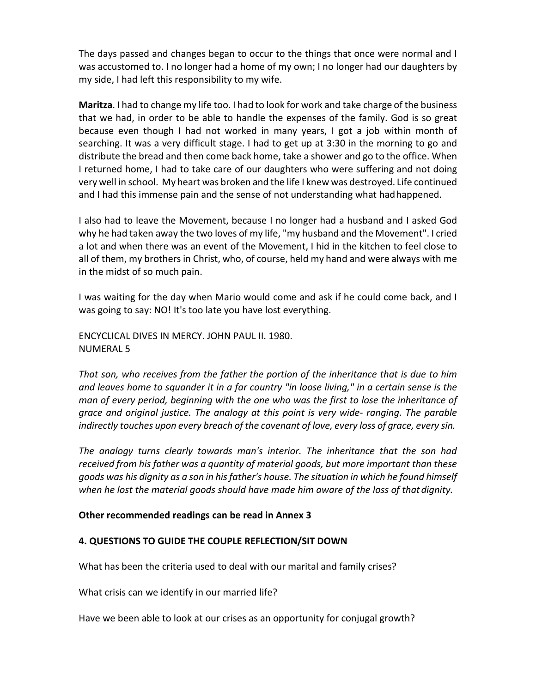The days passed and changes began to occur to the things that once were normal and I was accustomed to. I no longer had a home of my own; I no longer had our daughters by my side, I had left this responsibility to my wife.

**Maritza**. I had to change my life too. I had to look for work and take charge of the business that we had, in order to be able to handle the expenses of the family. God is so great because even though I had not worked in many years, I got a job within month of searching. It was a very difficult stage. I had to get up at 3:30 in the morning to go and distribute the bread and then come back home, take a shower and go to the office. When I returned home, I had to take care of our daughters who were suffering and not doing very well in school. My heart was broken and the life I knew was destroyed. Life continued and I had this immense pain and the sense of not understanding what hadhappened.

I also had to leave the Movement, because I no longer had a husband and I asked God why he had taken away the two loves of my life, "my husband and the Movement". I cried a lot and when there was an event of the Movement, I hid in the kitchen to feel close to all of them, my brothers in Christ, who, of course, held my hand and were always with me in the midst of so much pain.

I was waiting for the day when Mario would come and ask if he could come back, and I was going to say: NO! It's too late you have lost everything.

ENCYCLICAL DIVES IN MERCY. JOHN PAUL II. 1980. NUMERAL 5

*That son, who receives from the father the portion of the inheritance that is due to him and leaves home to squander it in a far country "in loose living," in a certain sense is the man of every period, beginning with the one who was the first to lose the inheritance of grace and original justice. The analogy at this point is very wide- ranging. The parable indirectly touches upon every breach of the covenant of love, every loss of grace, every sin.*

*The analogy turns clearly towards man's interior. The inheritance that the son had received from his father was a quantity of material goods, but more important than these goods was his dignity as a son in hisfather's house. The situation in which he found himself when he lost the material goods should have made him aware of the loss of thatdignity.*

#### **Other recommended readings can be read in Annex 3**

#### **4. QUESTIONS TO GUIDE THE COUPLE REFLECTION/SIT DOWN**

What has been the criteria used to deal with our marital and family crises?

What crisis can we identify in our married life?

Have we been able to look at our crises as an opportunity for conjugal growth?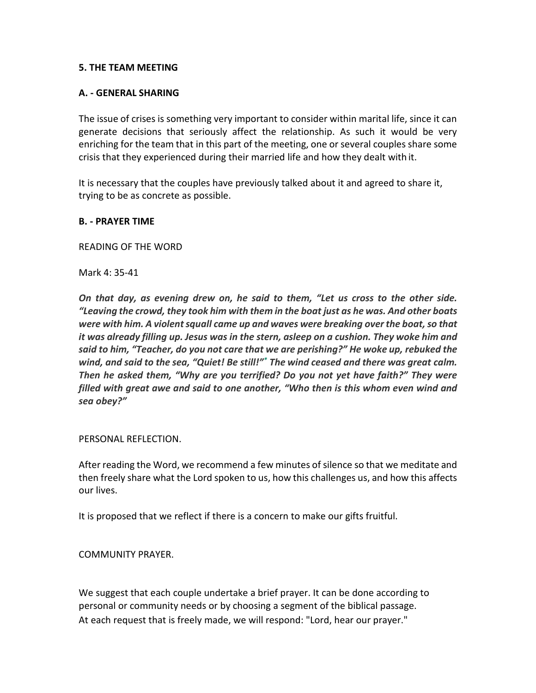#### **5. THE TEAM MEETING**

#### **A. - GENERAL SHARING**

The issue of crises is something very important to consider within marital life, since it can generate decisions that seriously affect the relationship. As such it would be very enriching for the team that in this part of the meeting, one or several couples share some crisis that they experienced during their married life and how they dealt with it.

It is necessary that the couples have previously talked about it and agreed to share it, trying to be as concrete as possible.

#### **B. - PRAYER TIME**

READING OF THE WORD

Mark 4: 35-41

*On that day, as evening drew on, he said to them, "Let us cross to the other side. "Leaving the crowd, they took him with them in the boat just as he was. And other boats were with him. A violentsquall came up and waves were breaking over the boat,so that it was already filling up. Jesus was in the stern, asleep on a cushion. They woke him and said to him, "Teacher, do you not care that we are perishing?" He woke up, rebuked the wind, and said to the sea, "Quiet! Be still!["\\*](http://www.usccb.org/bible/mark/4#49004039-1) The wind ceased and there was great calm. Then he asked them, "Why are you terrified? Do you not yet have faith?" They were filled with great awe and said to one another, "Who then is this whom even wind and sea obey?"*

PERSONAL REFLECTION.

After reading the Word, we recommend a few minutes of silence so that we meditate and then freely share what the Lord spoken to us, how this challenges us, and how this affects our lives.

It is proposed that we reflect if there is a concern to make our gifts fruitful.

COMMUNITY PRAYER.

We suggest that each couple undertake a brief prayer. It can be done according to personal or community needs or by choosing a segment of the biblical passage. At each request that is freely made, we will respond: "Lord, hear our prayer."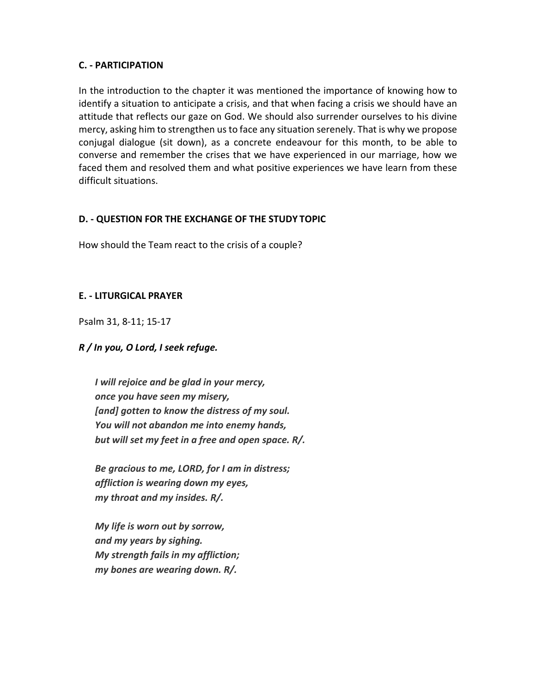#### **C. - PARTICIPATION**

In the introduction to the chapter it was mentioned the importance of knowing how to identify a situation to anticipate a crisis, and that when facing a crisis we should have an attitude that reflects our gaze on God. We should also surrender ourselves to his divine mercy, asking him to strengthen us to face any situation serenely. That is why we propose conjugal dialogue (sit down), as a concrete endeavour for this month, to be able to converse and remember the crises that we have experienced in our marriage, how we faced them and resolved them and what positive experiences we have learn from these difficult situations.

#### **D. - QUESTION FOR THE EXCHANGE OF THE STUDY TOPIC**

How should the Team react to the crisis of a couple?

#### **E. - LITURGICAL PRAYER**

Psalm 31, 8-11; 15-17

*R / In you, O Lord, I seek refuge.*

*I will rejoice and be glad in your mercy, once you have seen my misery, [and] gotten to know the distress of my soul. You will not abandon me into enemy hands, but will set my feet in a free and open space. R/.*

*Be gracious to me, LORD, for I am in distress; affliction is wearing down my eyes, my throat and my insides. R/.*

*My life is worn out by sorrow, and my years by sighing. My strength fails in my affliction; my bones are wearing down. R/.*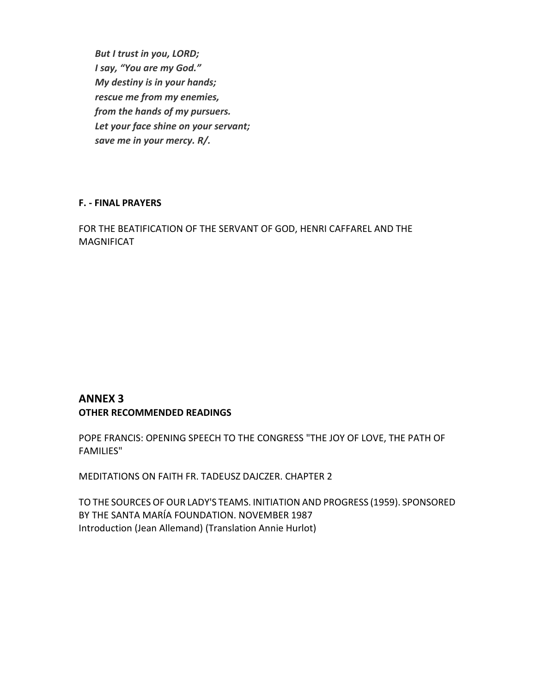*But I trust in you, LORD; I say, "You are my God." My destiny is in your hands; rescue me from my enemies, from the hands of my pursuers. Let your face shine on your servant; save me in your mercy. R/.*

#### **F. - FINAL PRAYERS**

FOR THE BEATIFICATION OF THE SERVANT OF GOD, HENRI CAFFAREL AND THE MAGNIFICAT

## **ANNEX 3 OTHER RECOMMENDED READINGS**

POPE FRANCIS: OPENING SPEECH TO THE CONGRESS "THE JOY OF LOVE, THE PATH OF FAMILIES"

MEDITATIONS ON FAITH FR. TADEUSZ DAJCZER. CHAPTER 2

TO THE SOURCES OF OUR LADY'S TEAMS. INITIATION AND PROGRESS (1959). SPONSORED BY THE SANTA MARÍA FOUNDATION. NOVEMBER 1987 Introduction (Jean Allemand) (Translation Annie Hurlot)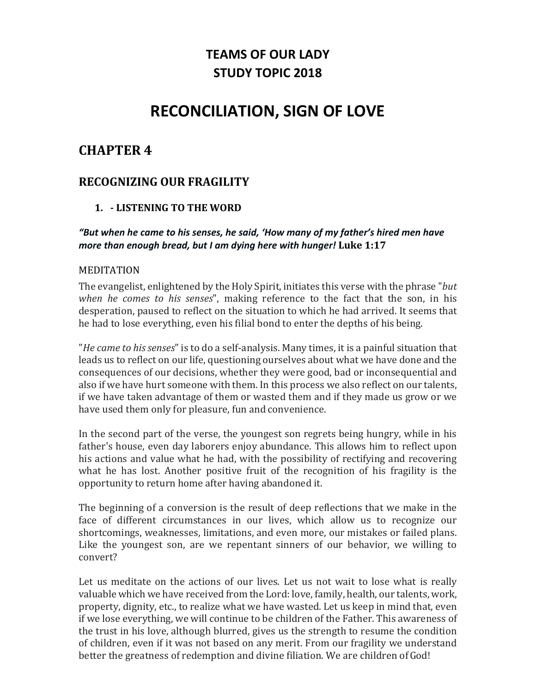## **TEAMS OF OUR LADY STUDY TOPIC 2018**

# **RECONCILIATION, SIGN OF LOVE**

## **CHAPTER 4**

## **RECOGNIZING OUR FRAGILITY**

## **1. - LISTENING TO THE WORD**

## *"But when he came to his senses, he said, 'How many of my father's hired men have more than enough bread, but I am dying here with hunger!* **Luke 1:17**

#### MEDITATION

The evangelist, enlightened by the Holy Spirit, initiates this verse with the phrase "*but when he comes to his senses*", making reference to the fact that the son, in his desperation, paused to reflect on the situation to which he had arrived. It seems that he had to lose everything, even his filial bond to enter the depths of his being.

"*He came to hissenses*"is to do a self-analysis. Many times, it is a painful situation that leads us to reflect on our life, questioning ourselves about what we have done and the consequences of our decisions, whether they were good, bad or inconsequential and also if we have hurt someone with them. In this process we also reflect on our talents, if we have taken advantage of them or wasted them and if they made us grow or we have used them only for pleasure, fun and convenience.

In the second part of the verse, the youngest son regrets being hungry, while in his father's house, even day laborers enjoy abundance. This allows him to reflect upon his actions and value what he had, with the possibility of rectifying and recovering what he has lost. Another positive fruit of the recognition of his fragility is the opportunity to return home after having abandoned it.

The beginning of a conversion is the result of deep reflections that we make in the face of different circumstances in our lives, which allow us to recognize our shortcomings, weaknesses, limitations, and even more, our mistakes or failed plans. Like the youngest son, are we repentant sinners of our behavior, we willing to convert?

Let us meditate on the actions of our lives. Let us not wait to lose what is really valuable which we have received from the Lord: love, family, health, our talents, work, property, dignity, etc., to realize what we have wasted. Let us keep in mind that, even if we lose everything, we will continue to be children of the Father. This awareness of the trust in his love, although blurred, gives us the strength to resume the condition of children, even if it was not based on any merit. From our fragility we understand better the greatness of redemption and divine filiation. We are children of God!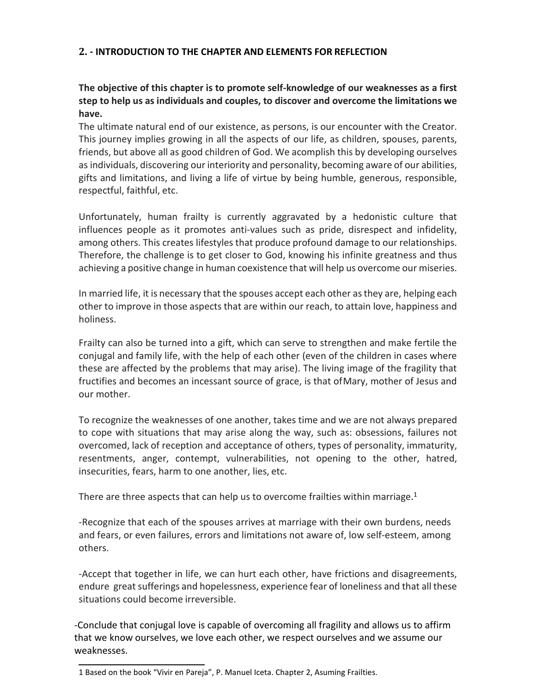#### **2. - INTRODUCTION TO THE CHAPTER AND ELEMENTS FOR REFLECTION**

## **The objective of this chapter is to promote self-knowledge of our weaknesses as a first step to help us as individuals and couples, to discover and overcome the limitations we have.**

The ultimate natural end of our existence, as persons, is our encounter with the Creator. This journey implies growing in all the aspects of our life, as children, spouses, parents, friends, but above all as good children of God. We acomplish this by developing ourselves as individuals, discovering our interiority and personality, becoming aware of our abilities, gifts and limitations, and living a life of virtue by being humble, generous, responsible, respectful, faithful, etc.

Unfortunately, human frailty is currently aggravated by a hedonistic culture that influences people as it promotes anti-values such as pride, disrespect and infidelity, among others. This creates lifestyles that produce profound damage to our relationships. Therefore, the challenge is to get closer to God, knowing his infinite greatness and thus achieving a positive change in human coexistence that will help us overcome our miseries.

In married life, it is necessary that the spouses accept each other asthey are, helping each other to improve in those aspects that are within our reach, to attain love, happiness and holiness.

Frailty can also be turned into a gift, which can serve to strengthen and make fertile the conjugal and family life, with the help of each other (even of the children in cases where these are affected by the problems that may arise). The living image of the fragility that fructifies and becomes an incessant source of grace, is that ofMary, mother of Jesus and our mother.

To recognize the weaknesses of one another, takes time and we are not always prepared to cope with situations that may arise along the way, such as: obsessions, failures not overcomed, lack of reception and acceptance of others, types of personality, immaturity, resentments, anger, contempt, vulnerabilities, not opening to the other, hatred, insecurities, fears, harm to one another, lies, etc.

There are three aspects that can help us to overcome frailties within marriage.<sup>1</sup>

-Recognize that each of the spouses arrives at marriage with their own burdens, needs and fears, or even failures, errors and limitations not aware of, low self-esteem, among others.

-Accept that together in life, we can hurt each other, have frictions and disagreements, endure great sufferings and hopelessness, experience fear of loneliness and that all these situations could become irreversible.

-Conclude that conjugal love is capable of overcoming all fragility and allows us to affirm that we know ourselves, we love each other, we respect ourselves and we assume our weaknesses.

<sup>1</sup> Based on the book "Vivir en Pareja", P. Manuel Iceta. Chapter 2, Asuming Frailties.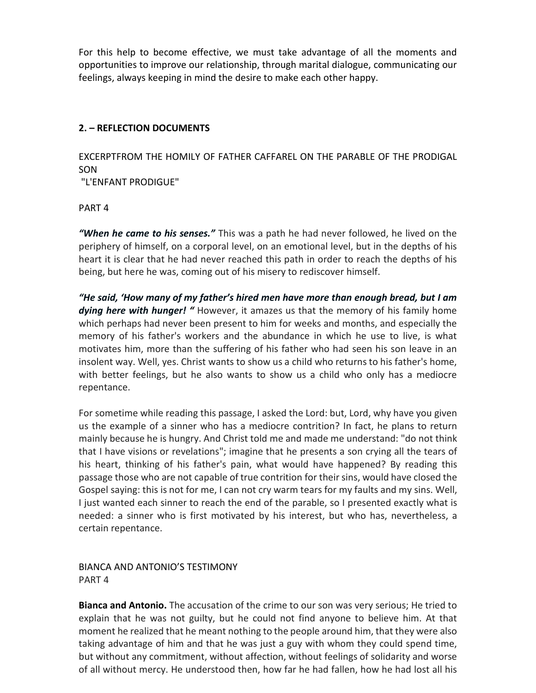For this help to become effective, we must take advantage of all the moments and opportunities to improve our relationship, through marital dialogue, communicating our feelings, always keeping in mind the desire to make each other happy.

#### **2. – REFLECTION DOCUMENTS**

EXCERPTFROM THE HOMILY OF FATHER CAFFAREL ON THE PARABLE OF THE PRODIGAL SON

"L'ENFANT PRODIGUE"

PART 4

*"When he came to his senses."* This was a path he had never followed, he lived on the periphery of himself, on a corporal level, on an emotional level, but in the depths of his heart it is clear that he had never reached this path in order to reach the depths of his being, but here he was, coming out of his misery to rediscover himself.

*"He said, 'How many of my father's hired men have more than enough bread, but I am dying here with hunger! "* However, it amazes us that the memory of his family home which perhaps had never been present to him for weeks and months, and especially the memory of his father's workers and the abundance in which he use to live, is what motivates him, more than the suffering of his father who had seen his son leave in an insolent way. Well, yes. Christ wants to show us a child who returns to his father's home, with better feelings, but he also wants to show us a child who only has a mediocre repentance.

For sometime while reading this passage, I asked the Lord: but, Lord, why have you given us the example of a sinner who has a mediocre contrition? In fact, he plans to return mainly because he is hungry. And Christ told me and made me understand: "do not think that I have visions or revelations"; imagine that he presents a son crying all the tears of his heart, thinking of his father's pain, what would have happened? By reading this passage those who are not capable of true contrition for their sins, would have closed the Gospel saying: this is not for me, I can not cry warm tears for my faults and my sins. Well, I just wanted each sinner to reach the end of the parable, so I presented exactly what is needed: a sinner who is first motivated by his interest, but who has, nevertheless, a certain repentance.

BIANCA AND ANTONIO'S TESTIMONY PART 4

**Bianca and Antonio.** The accusation of the crime to our son was very serious; He tried to explain that he was not guilty, but he could not find anyone to believe him. At that moment he realized that he meant nothing to the people around him, that they were also taking advantage of him and that he was just a guy with whom they could spend time, but without any commitment, without affection, without feelings of solidarity and worse of all without mercy. He understood then, how far he had fallen, how he had lost all his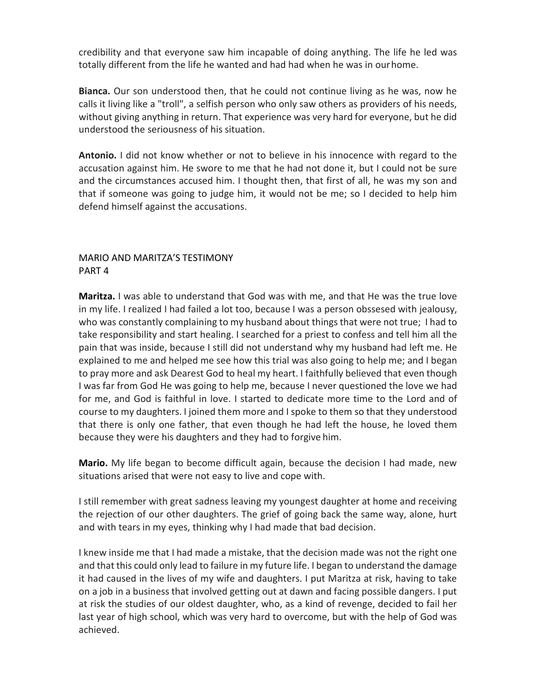credibility and that everyone saw him incapable of doing anything. The life he led was totally different from the life he wanted and had had when he was in ourhome.

**Bianca.** Our son understood then, that he could not continue living as he was, now he calls it living like a "troll", a selfish person who only saw others as providers of his needs, without giving anything in return. That experience was very hard for everyone, but he did understood the seriousness of his situation.

**Antonio.** I did not know whether or not to believe in his innocence with regard to the accusation against him. He swore to me that he had not done it, but I could not be sure and the circumstances accused him. I thought then, that first of all, he was my son and that if someone was going to judge him, it would not be me; so I decided to help him defend himself against the accusations.

# MARIO AND MARITZA'S TESTIMONY PART 4

**Maritza.** I was able to understand that God was with me, and that He was the true love in my life. I realized I had failed a lot too, because I was a person obssesed with jealousy, who was constantly complaining to my husband about things that were not true; I had to take responsibility and start healing. I searched for a priest to confess and tell him all the pain that was inside, because I still did not understand why my husband had left me. He explained to me and helped me see how this trial was also going to help me; and I began to pray more and ask Dearest God to heal my heart. I faithfully believed that even though I was far from God He was going to help me, because I never questioned the love we had for me, and God is faithful in love. I started to dedicate more time to the Lord and of course to my daughters. I joined them more and I spoke to them so that they understood that there is only one father, that even though he had left the house, he loved them because they were his daughters and they had to forgive him.

**Mario.** My life began to become difficult again, because the decision I had made, new situations arised that were not easy to live and cope with.

I still remember with great sadness leaving my youngest daughter at home and receiving the rejection of our other daughters. The grief of going back the same way, alone, hurt and with tears in my eyes, thinking why I had made that bad decision.

I knew inside me that I had made a mistake, that the decision made was not the right one and that this could only lead to failure in my future life. I began to understand the damage it had caused in the lives of my wife and daughters. I put Maritza at risk, having to take on a job in a business that involved getting out at dawn and facing possible dangers. I put at risk the studies of our oldest daughter, who, as a kind of revenge, decided to fail her last year of high school, which was very hard to overcome, but with the help of God was achieved.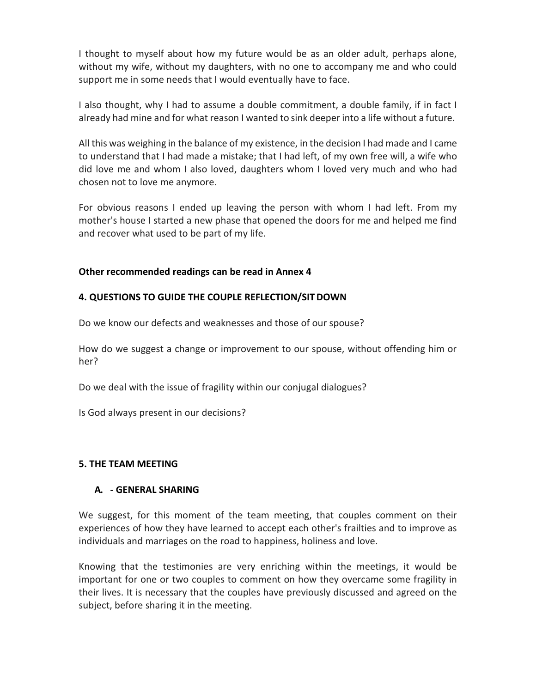I thought to myself about how my future would be as an older adult, perhaps alone, without my wife, without my daughters, with no one to accompany me and who could support me in some needs that I would eventually have to face.

I also thought, why I had to assume a double commitment, a double family, if in fact I already had mine and for what reason I wanted to sink deeper into a life without a future.

All this was weighing in the balance of my existence, in the decision I had made and I came to understand that I had made a mistake; that I had left, of my own free will, a wife who did love me and whom I also loved, daughters whom I loved very much and who had chosen not to love me anymore.

For obvious reasons I ended up leaving the person with whom I had left. From my mother's house I started a new phase that opened the doors for me and helped me find and recover what used to be part of my life.

# **Other recommended readings can be read in Annex 4**

# **4. QUESTIONS TO GUIDE THE COUPLE REFLECTION/SITDOWN**

Do we know our defects and weaknesses and those of our spouse?

How do we suggest a change or improvement to our spouse, without offending him or her?

Do we deal with the issue of fragility within our conjugal dialogues?

Is God always present in our decisions?

### **5. THE TEAM MEETING**

### **A. - GENERAL SHARING**

We suggest, for this moment of the team meeting, that couples comment on their experiences of how they have learned to accept each other's frailties and to improve as individuals and marriages on the road to happiness, holiness and love.

Knowing that the testimonies are very enriching within the meetings, it would be important for one or two couples to comment on how they overcame some fragility in their lives. It is necessary that the couples have previously discussed and agreed on the subject, before sharing it in the meeting.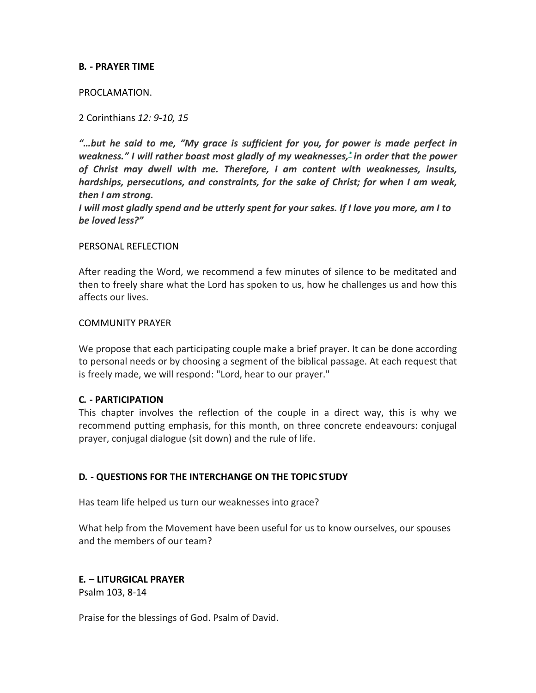### **B. - PRAYER TIME**

PROCLAMATION.

2 Corinthians *12: 9-10, 15*

*"…but he said to me, "My grace is sufficient for you, for power is made perfect in weakness." I will rather boast most gladly of my weaknesses[,\\*](http://www.usccb.org/bible/2corinthians/12#55012009-2) in order that the power of Christ may dwell with me. Therefore, I am content with weaknesses, insults, hardships, persecutions, and constraints, for the sake of Christ; for when I am weak, then I am strong.*

*I will most gladly spend and be utterly spent for your sakes. If I love you more, am I to be loved less?"*

#### PERSONAL REFLECTION

After reading the Word, we recommend a few minutes of silence to be meditated and then to freely share what the Lord has spoken to us, how he challenges us and how this affects our lives.

#### COMMUNITY PRAYER

We propose that each participating couple make a brief prayer. It can be done according to personal needs or by choosing a segment of the biblical passage. At each request that is freely made, we will respond: "Lord, hear to our prayer."

#### **C. - PARTICIPATION**

This chapter involves the reflection of the couple in a direct way, this is why we recommend putting emphasis, for this month, on three concrete endeavours: conjugal prayer, conjugal dialogue (sit down) and the rule of life.

### **D. - QUESTIONS FOR THE INTERCHANGE ON THE TOPIC STUDY**

Has team life helped us turn our weaknesses into grace?

What help from the Movement have been useful for us to know ourselves, our spouses and the members of our team?

#### **E. – LITURGICAL PRAYER**

Psalm 103, 8-14

Praise for the blessings of God. Psalm of David.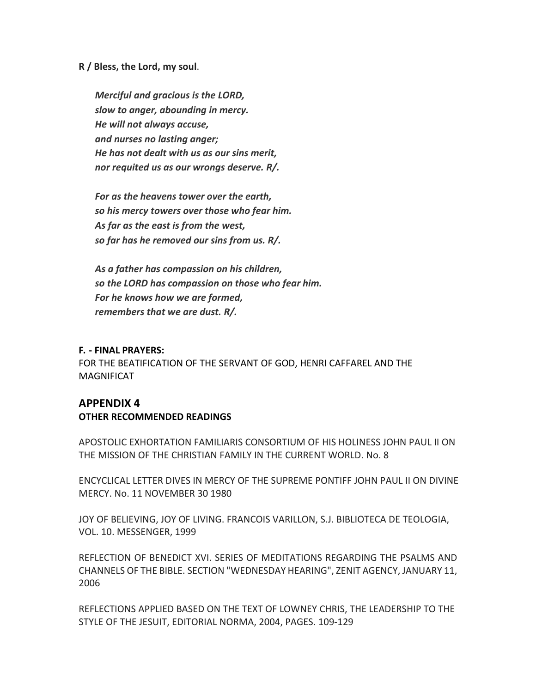**R / Bless, the Lord, my soul**.

*Merciful and gracious is the LORD, slow to anger, abounding in mercy. He will not always accuse, and nurses no lasting anger; He has not dealt with us as our sins merit, nor requited us as our wrongs deserve. R/.*

*For as the heavens tower over the earth, so his mercy towers over those who fear him. As far as the east is from the west, so far has he removed our sins from us. R/.*

*As a father has compassion on his children, so the LORD has compassion on those who fear him. For he knows how we are formed, remembers that we are dust. R/.*

#### **F. - FINAL PRAYERS:**

FOR THE BEATIFICATION OF THE SERVANT OF GOD, HENRI CAFFAREL AND THE MAGNIFICAT

# **APPENDIX 4**

### **OTHER RECOMMENDED READINGS**

APOSTOLIC EXHORTATION FAMILIARIS CONSORTIUM OF HIS HOLINESS JOHN PAUL II ON THE MISSION OF THE CHRISTIAN FAMILY IN THE CURRENT WORLD. No. 8

ENCYCLICAL LETTER DIVES IN MERCY OF THE SUPREME PONTIFF JOHN PAUL II ON DIVINE MERCY. No. 11 NOVEMBER 30 1980

JOY OF BELIEVING, JOY OF LIVING. FRANCOIS VARILLON, S.J. BIBLIOTECA DE TEOLOGIA, VOL. 10. MESSENGER, 1999

REFLECTION OF BENEDICT XVI. SERIES OF MEDITATIONS REGARDING THE PSALMS AND CHANNELS OF THE BIBLE. SECTION "WEDNESDAY HEARING", ZENIT AGENCY, JANUARY 11, 2006

REFLECTIONS APPLIED BASED ON THE TEXT OF LOWNEY CHRIS, THE LEADERSHIP TO THE STYLE OF THE JESUIT, EDITORIAL NORMA, 2004, PAGES. 109-129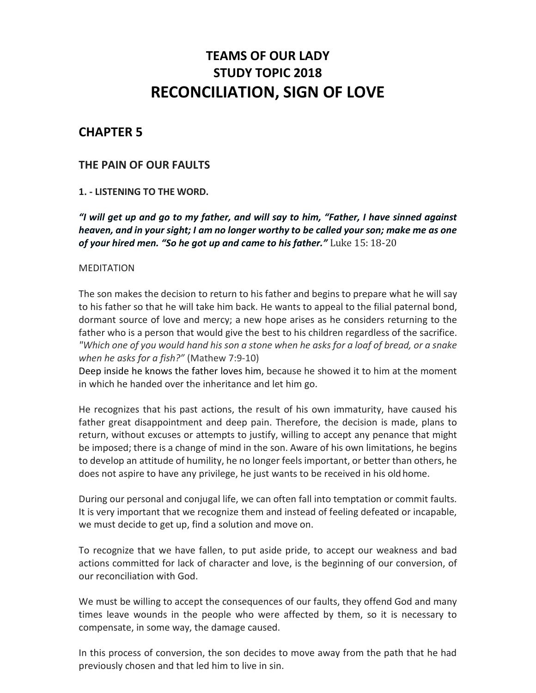# **TEAMS OF OUR LADY STUDY TOPIC 2018 RECONCILIATION, SIGN OF LOVE**

# **CHAPTER 5**

# **THE PAIN OF OUR FAULTS**

### **1. - LISTENING TO THE WORD.**

*"I will get up and go to my father, and will say to him, "Father, I have sinned against heaven, and in your sight; I am no longer worthy to be called your son; make me as one of your hired men. "So he got up and came to his father."* Luke 15: 18-20

#### MEDITATION

The son makes the decision to return to his father and begins to prepare what he will say to his father so that he will take him back. He wants to appeal to the filial paternal bond, dormant source of love and mercy; a new hope arises as he considers returning to the father who is a person that would give the best to his children regardless of the sacrifice. "Which one of you would hand his son a stone when he asks for a loaf of bread, or a snake *when he asks for a fish?"* (Mathew 7:9-10)

Deep inside he knows the father loves him, because he showed it to him at the moment in which he handed over the inheritance and let him go.

He recognizes that his past actions, the result of his own immaturity, have caused his father great disappointment and deep pain. Therefore, the decision is made, plans to return, without excuses or attempts to justify, willing to accept any penance that might be imposed; there is a change of mind in the son. Aware of his own limitations, he begins to develop an attitude of humility, he no longer feels important, or better than others, he does not aspire to have any privilege, he just wants to be received in his old home.

During our personal and conjugal life, we can often fall into temptation or commit faults. It is very important that we recognize them and instead of feeling defeated or incapable, we must decide to get up, find a solution and move on.

To recognize that we have fallen, to put aside pride, to accept our weakness and bad actions committed for lack of character and love, is the beginning of our conversion, of our reconciliation with God.

We must be willing to accept the consequences of our faults, they offend God and many times leave wounds in the people who were affected by them, so it is necessary to compensate, in some way, the damage caused.

In this process of conversion, the son decides to move away from the path that he had previously chosen and that led him to live in sin.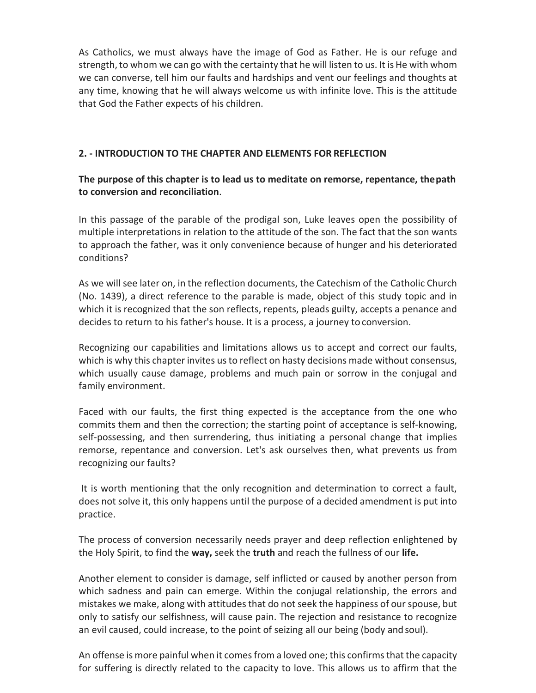As Catholics, we must always have the image of God as Father. He is our refuge and strength, to whom we can go with the certainty that he will listen to us. It is He with whom we can converse, tell him our faults and hardships and vent our feelings and thoughts at any time, knowing that he will always welcome us with infinite love. This is the attitude that God the Father expects of his children.

# **2. - INTRODUCTION TO THE CHAPTER AND ELEMENTS FOR REFLECTION**

# **The purpose of this chapter is to lead us to meditate on remorse, repentance, thepath to conversion and reconciliation**.

In this passage of the parable of the prodigal son, Luke leaves open the possibility of multiple interpretations in relation to the attitude of the son. The fact that the son wants to approach the father, was it only convenience because of hunger and his deteriorated conditions?

As we will see later on, in the reflection documents, the Catechism of the Catholic Church (No. 1439), a direct reference to the parable is made, object of this study topic and in which it is recognized that the son reflects, repents, pleads guilty, accepts a penance and decides to return to his father's house. It is a process, a journey to conversion.

Recognizing our capabilities and limitations allows us to accept and correct our faults, which is why this chapter invites us to reflect on hasty decisions made without consensus, which usually cause damage, problems and much pain or sorrow in the conjugal and family environment.

Faced with our faults, the first thing expected is the acceptance from the one who commits them and then the correction; the starting point of acceptance is self-knowing, self-possessing, and then surrendering, thus initiating a personal change that implies remorse, repentance and conversion. Let's ask ourselves then, what prevents us from recognizing our faults?

It is worth mentioning that the only recognition and determination to correct a fault, does not solve it, this only happens until the purpose of a decided amendment is put into practice.

The process of conversion necessarily needs prayer and deep reflection enlightened by the Holy Spirit, to find the **way,** seek the **truth** and reach the fullness of our **life.**

Another element to consider is damage, self inflicted or caused by another person from which sadness and pain can emerge. Within the conjugal relationship, the errors and mistakes we make, along with attitudes that do not seek the happiness of our spouse, but only to satisfy our selfishness, will cause pain. The rejection and resistance to recognize an evil caused, could increase, to the point of seizing all our being (body and soul).

An offense is more painful when it comes from a loved one; this confirms that the capacity for suffering is directly related to the capacity to love. This allows us to affirm that the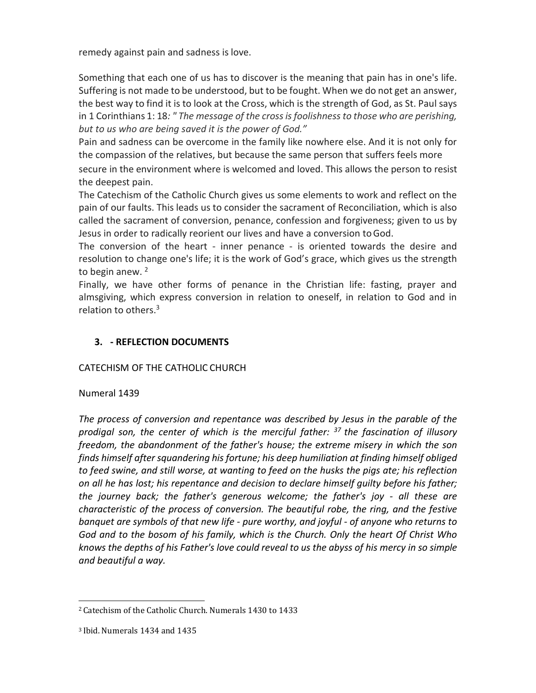remedy against pain and sadness is love.

Something that each one of us has to discover is the meaning that pain has in one's life. Suffering is not made to be understood, but to be fought. When we do not get an answer, the best way to find it is to look at the Cross, which is the strength of God, as St. Paul says in 1 Corinthians 1: 18*: " The message of the crossisfoolishnessto those who are perishing, but to us who are being saved it is the power of God."*

Pain and sadness can be overcome in the family like nowhere else. And it is not only for the compassion of the relatives, but because the same person that suffers feels more

secure in the environment where is welcomed and loved. This allows the person to resist the deepest pain.

The Catechism of the Catholic Church gives us some elements to work and reflect on the pain of our faults. This leads us to consider the sacrament of Reconciliation, which is also called the sacrament of conversion, penance, confession and forgiveness; given to us by Jesus in order to radically reorient our lives and have a conversion toGod.

The conversion of the heart - inner penance - is oriented towards the desire and resolution to change one's life; it is the work of God's grace, which gives us the strength to begin anew.<sup>2</sup>

Finally, we have other forms of penance in the Christian life: fasting, prayer and almsgiving, which express conversion in relation to oneself, in relation to God and in relation to others.3

# **3. - REFLECTION DOCUMENTS**

# CATECHISM OF THE CATHOLIC CHURCH

Numeral 1439

*The process of conversion and repentance was described by Jesus in the parable of the prodigal son, the center of which is the merciful father: 37 the fascination of illusory freedom, the abandonment of the father's house; the extreme misery in which the son finds himself aftersquandering his fortune; his deep humiliation at finding himself obliged to feed swine, and still worse, at wanting to feed on the husks the pigs ate; his reflection on all he has lost; his repentance and decision to declare himself guilty before his father; the journey back; the father's generous welcome; the father's joy - all these are characteristic of the process of conversion. The beautiful robe, the ring, and the festive banquet are symbols of that new life - pure worthy, and joyful - of anyone who returns to God and to the bosom of his family, which is the Church. Only the heart Of Christ Who*  knows the depths of his Father's love could reveal to us the abyss of his mercy in so simple *and beautiful a way.*

<sup>2</sup> Catechism of the Catholic Church. Numerals 1430 to 1433

<sup>3</sup> Ibid. Numerals 1434 and 1435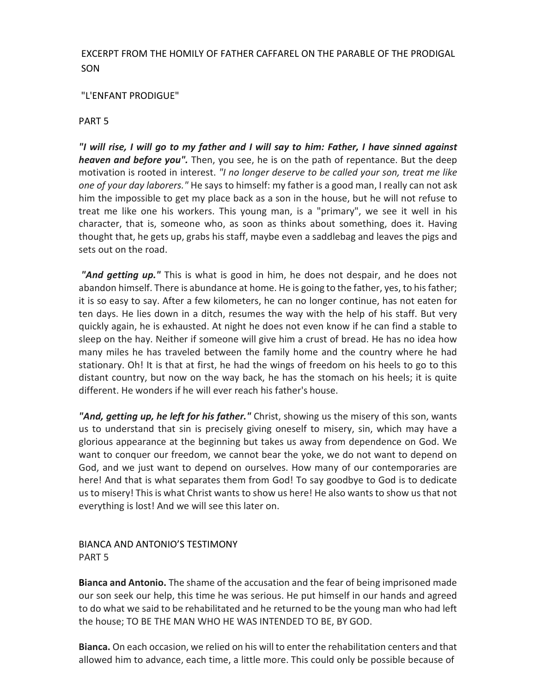# EXCERPT FROM THE HOMILY OF FATHER CAFFAREL ON THE PARABLE OF THE PRODIGAL SON

### "L'ENFANT PRODIGUE"

### PART 5

*"I will rise, I will go to my father and I will say to him: Father, I have sinned against heaven and before you".* Then, you see, he is on the path of repentance. But the deep motivation is rooted in interest. *"I no longer deserve to be called your son, treat me like one of your day laborers."* He says to himself: my father is a good man, I really can not ask him the impossible to get my place back as a son in the house, but he will not refuse to treat me like one his workers. This young man, is a "primary", we see it well in his character, that is, someone who, as soon as thinks about something, does it. Having thought that, he gets up, grabs his staff, maybe even a saddlebag and leaves the pigs and sets out on the road.

*"And getting up."* This is what is good in him, he does not despair, and he does not abandon himself. There is abundance at home. He is going to the father, yes, to hisfather; it is so easy to say. After a few kilometers, he can no longer continue, has not eaten for ten days. He lies down in a ditch, resumes the way with the help of his staff. But very quickly again, he is exhausted. At night he does not even know if he can find a stable to sleep on the hay. Neither if someone will give him a crust of bread. He has no idea how many miles he has traveled between the family home and the country where he had stationary. Oh! It is that at first, he had the wings of freedom on his heels to go to this distant country, but now on the way back, he has the stomach on his heels; it is quite different. He wonders if he will ever reach his father's house.

*"And, getting up, he left for his father."* Christ, showing us the misery of this son, wants us to understand that sin is precisely giving oneself to misery, sin, which may have a glorious appearance at the beginning but takes us away from dependence on God. We want to conquer our freedom, we cannot bear the yoke, we do not want to depend on God, and we just want to depend on ourselves. How many of our contemporaries are here! And that is what separates them from God! To say goodbye to God is to dedicate us to misery! This is what Christ wants to show us here! He also wants to show us that not everything is lost! And we will see this later on.

# BIANCA AND ANTONIO'S TESTIMONY PART 5

**Bianca and Antonio.** The shame of the accusation and the fear of being imprisoned made our son seek our help, this time he was serious. He put himself in our hands and agreed to do what we said to be rehabilitated and he returned to be the young man who had left the house; TO BE THE MAN WHO HE WAS INTENDED TO BE, BY GOD.

**Bianca.** On each occasion, we relied on his will to enterthe rehabilitation centers and that allowed him to advance, each time, a little more. This could only be possible because of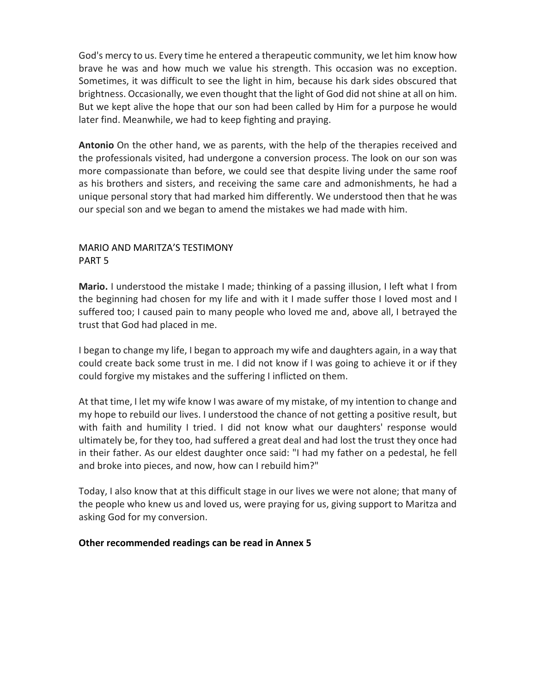God's mercy to us. Every time he entered a therapeutic community, we let him know how brave he was and how much we value his strength. This occasion was no exception. Sometimes, it was difficult to see the light in him, because his dark sides obscured that brightness. Occasionally, we even thought that the light of God did not shine at all on him. But we kept alive the hope that our son had been called by Him for a purpose he would later find. Meanwhile, we had to keep fighting and praying.

**Antonio** On the other hand, we as parents, with the help of the therapies received and the professionals visited, had undergone a conversion process. The look on our son was more compassionate than before, we could see that despite living under the same roof as his brothers and sisters, and receiving the same care and admonishments, he had a unique personal story that had marked him differently. We understood then that he was our special son and we began to amend the mistakes we had made with him.

# MARIO AND MARITZA'S TESTIMONY PART 5

**Mario.** I understood the mistake I made; thinking of a passing illusion, I left what I from the beginning had chosen for my life and with it I made suffer those I loved most and I suffered too; I caused pain to many people who loved me and, above all, I betrayed the trust that God had placed in me.

I began to change my life, I began to approach my wife and daughters again, in a way that could create back some trust in me. I did not know if I was going to achieve it or if they could forgive my mistakes and the suffering I inflicted on them.

At that time, I let my wife know I was aware of my mistake, of my intention to change and my hope to rebuild our lives. I understood the chance of not getting a positive result, but with faith and humility I tried. I did not know what our daughters' response would ultimately be, for they too, had suffered a great deal and had lost the trust they once had in their father. As our eldest daughter once said: "I had my father on a pedestal, he fell and broke into pieces, and now, how can I rebuild him?"

Today, I also know that at this difficult stage in our lives we were not alone; that many of the people who knew us and loved us, were praying for us, giving support to Maritza and asking God for my conversion.

### **Other recommended readings can be read in Annex 5**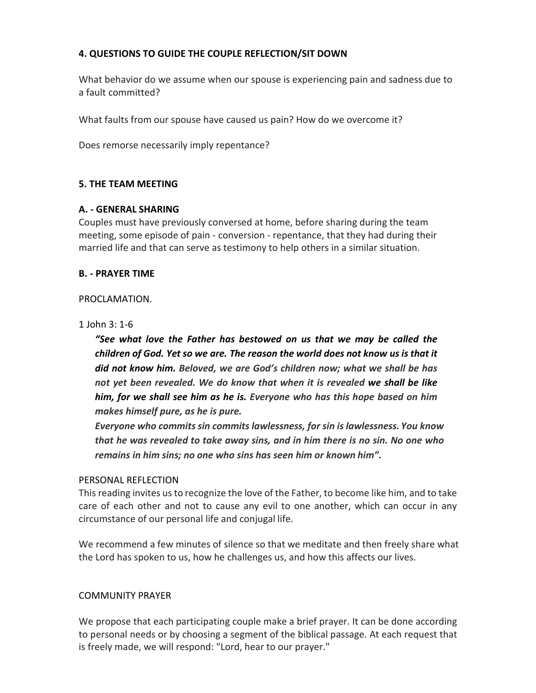# **4. QUESTIONS TO GUIDE THE COUPLE REFLECTION/SIT DOWN**

What behavior do we assume when our spouse is experiencing pain and sadness due to a fault committed?

What faults from our spouse have caused us pain? How do we overcome it?

Does remorse necessarily imply repentance?

### **5. THE TEAM MEETING**

### **A. - GENERAL SHARING**

Couples must have previously conversed at home, before sharing during the team meeting, some episode of pain - conversion - repentance, that they had during their married life and that can serve as testimony to help others in a similar situation.

# **B. - PRAYER TIME**

### PROCLAMATION.

# 1 John 3: 1-6

*"See what love the Father has bestowed on us that we may be called the children of God. Yet so we are. The reason the world does not know usis that it did not know him. Beloved, we are God's children now; what we shall be has not yet been revealed. We do know that when it is revealed we shall be like him, for we shall see him as he is. Everyone who has this hope based on him makes himself pure, as he is pure.*

*Everyone who commits sin commits lawlessness, for sin is lawlessness. You know that he was revealed to take away sins, and in him there is no sin. No one who remains in him sins; no one who sins has seen him or known him".*

### PERSONAL REFLECTION

This reading invites usto recognize the love of the Father, to become like him, and to take care of each other and not to cause any evil to one another, which can occur in any circumstance of our personal life and conjugal life.

We recommend a few minutes of silence so that we meditate and then freely share what the Lord has spoken to us, how he challenges us, and how this affects our lives.

### COMMUNITY PRAYER

We propose that each participating couple make a brief prayer. It can be done according to personal needs or by choosing a segment of the biblical passage. At each request that is freely made, we will respond: "Lord, hear to our prayer."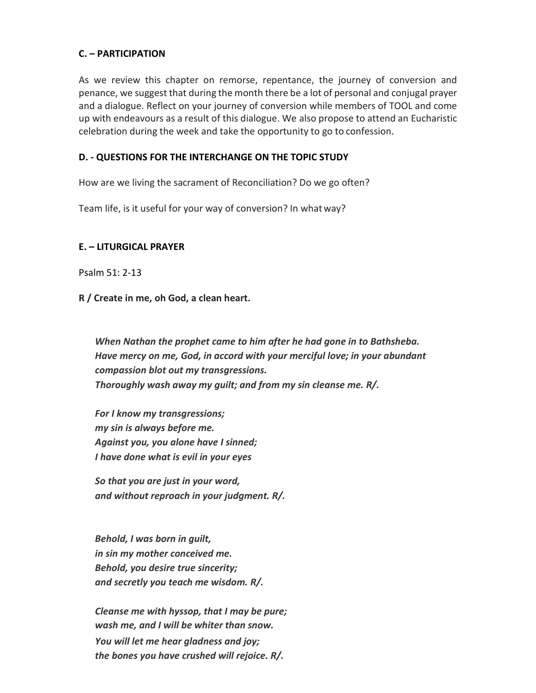### **C. – PARTICIPATION**

As we review this chapter on remorse, repentance, the journey of conversion and penance, we suggest that during the month there be a lot of personal and conjugal prayer and a dialogue. Reflect on your journey of conversion while members of TOOL and come up with endeavours as a result of this dialogue. We also propose to attend an Eucharistic celebration during the week and take the opportunity to go to confession.

# **D. - QUESTIONS FOR THE INTERCHANGE ON THE TOPIC STUDY**

How are we living the sacrament of Reconciliation? Do we go often?

Team life, is it useful for your way of conversion? In what way?

### **E. – LITURGICAL PRAYER**

Psalm 51: 2-13

**R / Create in me, oh God, a clean heart.**

*When Nathan the prophet came to him after he had gone in to Bathsheba. Have mercy on me, God, in accord with your merciful love; in your abundant compassion blot out my transgressions. Thoroughly wash away my guilt; and from my sin cleanse me. R/.*

*For I know my transgressions; my sin is always before me. Against you, you alone have I sinned; I have done what is evil in your eyes*

*So that you are just in your word, and without reproach in your judgment. R/.*

*Behold, I was born in guilt, in sin my mother conceived me. Behold, you desire true sincerity; and secretly you teach me wisdom. R/.*

*Cleanse me with hyssop, that I may be pure; wash me, and I will be whiter than snow. You will let me hear gladness and joy; the bones you have crushed will rejoice. R/.*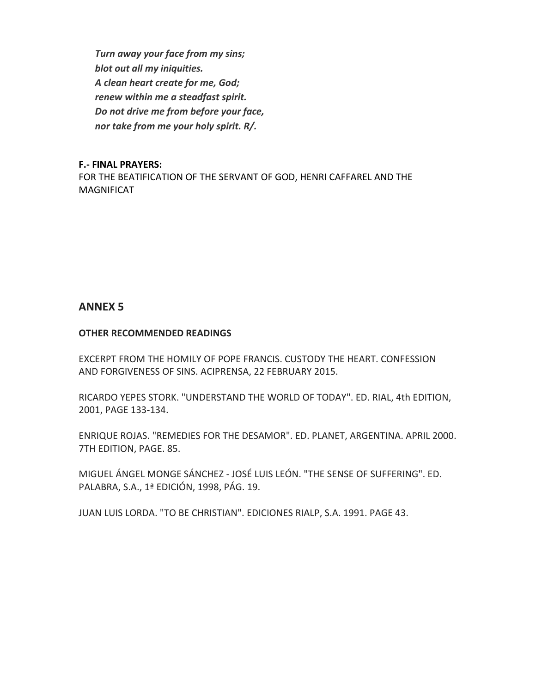*Turn away your face from my sins; blot out all my iniquities. A clean heart create for me, God; renew within me a steadfast spirit. Do not drive me from before your face, nor take from me your holy spirit. R/.*

#### **F.- FINAL PRAYERS:**

FOR THE BEATIFICATION OF THE SERVANT OF GOD, HENRI CAFFAREL AND THE MAGNIFICAT

# **ANNEX 5**

#### **OTHER RECOMMENDED READINGS**

EXCERPT FROM THE HOMILY OF POPE FRANCIS. CUSTODY THE HEART. CONFESSION AND FORGIVENESS OF SINS. ACIPRENSA, 22 FEBRUARY 2015.

RICARDO YEPES STORK. "UNDERSTAND THE WORLD OF TODAY". ED. RIAL, 4th EDITION, 2001, PAGE 133-134.

ENRIQUE ROJAS. "REMEDIES FOR THE DESAMOR". ED. PLANET, ARGENTINA. APRIL 2000. 7TH EDITION, PAGE. 85.

MIGUEL ÁNGEL MONGE SÁNCHEZ - JOSÉ LUIS LEÓN. "THE SENSE OF SUFFERING". ED. PALABRA, S.A., 1ª EDICIÓN, 1998, PÁG. 19.

JUAN LUIS LORDA. "TO BE CHRISTIAN". EDICIONES RIALP, S.A. 1991. PAGE 43.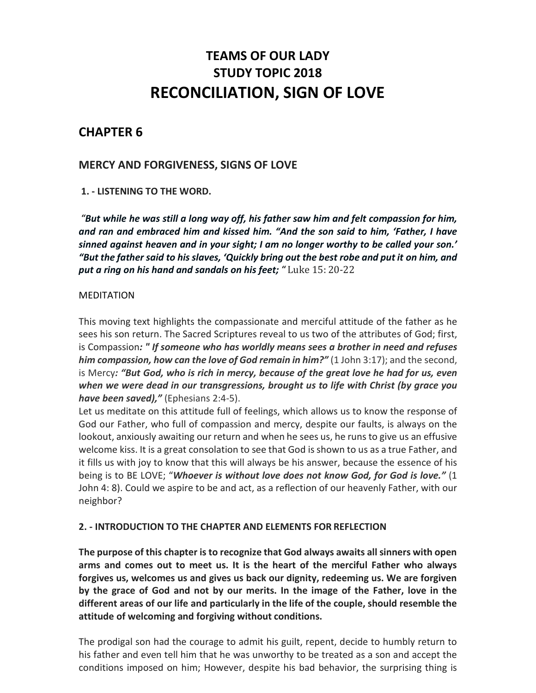# **TEAMS OF OUR LADY STUDY TOPIC 2018 RECONCILIATION, SIGN OF LOVE**

# **CHAPTER 6**

# **MERCY AND FORGIVENESS, SIGNS OF LOVE**

# **1. - LISTENING TO THE WORD.**

*"But while he was still a long way off, his father saw him and felt compassion for him, and ran and embraced him and kissed him. "And the son said to him, 'Father, I have sinned against heaven and in your sight; I am no longer worthy to be called your son.'*  "But the father said to his slaves, 'Quickly bring out the best robe and put it on him, and *put a ring on his hand and sandals on his feet; "* Luke 15: 20-22

# MEDITATION

This moving text highlights the compassionate and merciful attitude of the father as he sees his son return. The Sacred Scriptures reveal to us two of the attributes of God; first, is Compassion*: " If someone who has worldly means sees a brother in need and refuses him compassion, how can the love of God remain in him?"* (1 John 3:17); and the second, is Mercy*: "But God, who is rich in mercy, because of the great love he had for us, even when we were dead in our transgressions, brought us to life with Christ (by grace you have been saved),"* (Ephesians 2:4-5).

Let us meditate on this attitude full of feelings, which allows us to know the response of God our Father, who full of compassion and mercy, despite our faults, is always on the lookout, anxiously awaiting our return and when he sees us, he runs to give us an effusive welcome kiss. It is a great consolation to see that God is shown to us as a true Father, and it fills us with joy to know that this will always be his answer, because the essence of his being is to BE LOVE; "*Whoever is without love does not know God, for God is love."* (1 John 4: 8). Could we aspire to be and act, as a reflection of our heavenly Father, with our neighbor?

### **2. - INTRODUCTION TO THE CHAPTER AND ELEMENTS FOR REFLECTION**

**The purpose of this chapter is to recognize that God always awaits all sinners with open arms and comes out to meet us. It is the heart of the merciful Father who always forgives us, welcomes us and gives us back our dignity, redeeming us. We are forgiven by the grace of God and not by our merits. In the image of the Father, love in the different areas of our life and particularly in the life of the couple, should resemble the attitude of welcoming and forgiving without conditions.**

The prodigal son had the courage to admit his guilt, repent, decide to humbly return to his father and even tell him that he was unworthy to be treated as a son and accept the conditions imposed on him; However, despite his bad behavior, the surprising thing is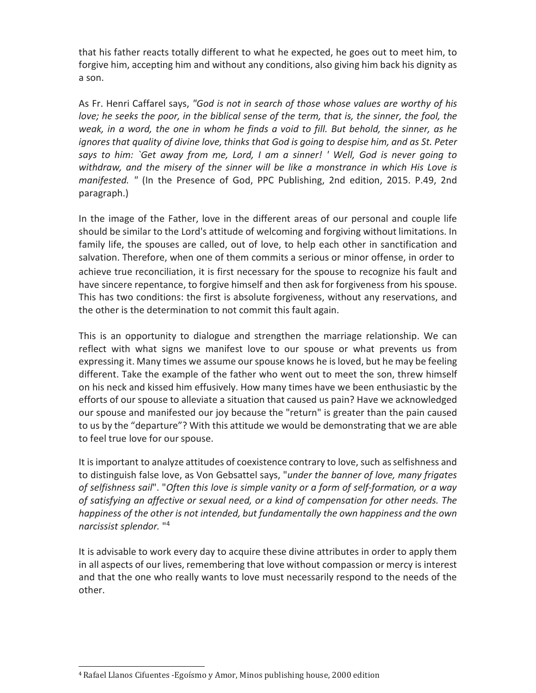that his father reacts totally different to what he expected, he goes out to meet him, to forgive him, accepting him and without any conditions, also giving him back his dignity as a son.

As Fr. Henri Caffarel says, *"God is not in search of those whose values are worthy of his love; he seeks the poor, in the biblical sense of the term, that is, the sinner, the fool, the weak, in a word, the one in whom he finds a void to fill. But behold, the sinner, as he ignores that quality of divine love, thinks that God is going to despise him, and as St. Peter says to him: `Get away from me, Lord, I am a sinner! ' Well, God is never going to withdraw, and the misery of the sinner will be like a monstrance in which His Love is manifested. "* (In the Presence of God, PPC Publishing, 2nd edition, 2015. P.49, 2nd paragraph.)

In the image of the Father, love in the different areas of our personal and couple life should be similar to the Lord's attitude of welcoming and forgiving without limitations. In family life, the spouses are called, out of love, to help each other in sanctification and salvation. Therefore, when one of them commits a serious or minor offense, in order to achieve true reconciliation, it is first necessary for the spouse to recognize his fault and have sincere repentance, to forgive himself and then ask for forgiveness from his spouse. This has two conditions: the first is absolute forgiveness, without any reservations, and the other is the determination to not commit this fault again.

This is an opportunity to dialogue and strengthen the marriage relationship. We can reflect with what signs we manifest love to our spouse or what prevents us from expressing it. Many times we assume ourspouse knows he is loved, but he may be feeling different. Take the example of the father who went out to meet the son, threw himself on his neck and kissed him effusively. How many times have we been enthusiastic by the efforts of our spouse to alleviate a situation that caused us pain? Have we acknowledged our spouse and manifested our joy because the "return" is greater than the pain caused to us by the "departure"? With this attitude we would be demonstrating that we are able to feel true love for our spouse.

It is important to analyze attitudes of coexistence contrary to love, such as selfishness and to distinguish false love, as Von Gebsattel says, "*under the banner of love, many frigates of selfishness sail*". "*Often this love is simple vanity or a form of self-formation, or a way of satisfying an affective or sexual need, or a kind of compensation for other needs. The happiness of the other is not intended, but fundamentally the own happiness and the own narcissist splendor.* "4

It is advisable to work every day to acquire these divine attributes in order to apply them in all aspects of our lives, remembering that love without compassion or mercy is interest and that the one who really wants to love must necessarily respond to the needs of the other.

<sup>4</sup> Rafael Llanos Cifuentes -Egoísmo y Amor, Minos publishing house, 2000 edition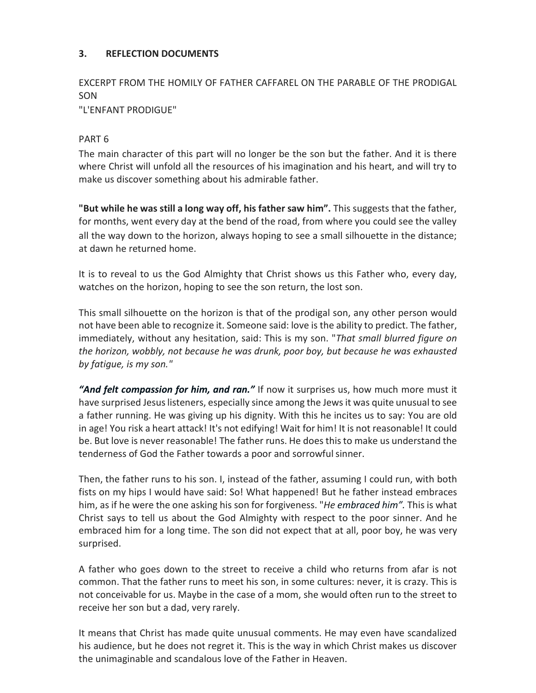# **3. REFLECTION DOCUMENTS**

EXCERPT FROM THE HOMILY OF FATHER CAFFAREL ON THE PARABLE OF THE PRODIGAL SON

"L'ENFANT PRODIGUE"

# PART 6

The main character of this part will no longer be the son but the father. And it is there where Christ will unfold all the resources of his imagination and his heart, and will try to make us discover something about his admirable father.

**"But while he was still a long way off, his father saw him".** This suggests that the father, for months, went every day at the bend of the road, from where you could see the valley all the way down to the horizon, always hoping to see a small silhouette in the distance; at dawn he returned home.

It is to reveal to us the God Almighty that Christ shows us this Father who, every day, watches on the horizon, hoping to see the son return, the lost son.

This small silhouette on the horizon is that of the prodigal son, any other person would not have been able to recognize it. Someone said: love is the ability to predict. The father, immediately, without any hesitation, said: This is my son. "*That small blurred figure on the horizon, wobbly, not because he was drunk, poor boy, but because he was exhausted by fatigue, is my son."*

"And felt compassion for him, and ran." If now it surprises us, how much more must it have surprised Jesus listeners, especially since among the Jews it was quite unusual to see a father running. He was giving up his dignity. With this he incites us to say: You are old in age! You risk a heart attack! It's not edifying! Wait for him! It is not reasonable! It could be. But love is never reasonable! The father runs. He doesthisto make us understand the tenderness of God the Father towards a poor and sorrowful sinner.

Then, the father runs to his son. I, instead of the father, assuming I could run, with both fists on my hips I would have said: So! What happened! But he father instead embraces him, as if he were the one asking his son for forgiveness. "*He embraced him".* This is what Christ says to tell us about the God Almighty with respect to the poor sinner. And he embraced him for a long time. The son did not expect that at all, poor boy, he was very surprised.

A father who goes down to the street to receive a child who returns from afar is not common. That the father runs to meet his son, in some cultures: never, it is crazy. This is not conceivable for us. Maybe in the case of a mom, she would often run to the street to receive her son but a dad, very rarely.

It means that Christ has made quite unusual comments. He may even have scandalized his audience, but he does not regret it. This is the way in which Christ makes us discover the unimaginable and scandalous love of the Father in Heaven.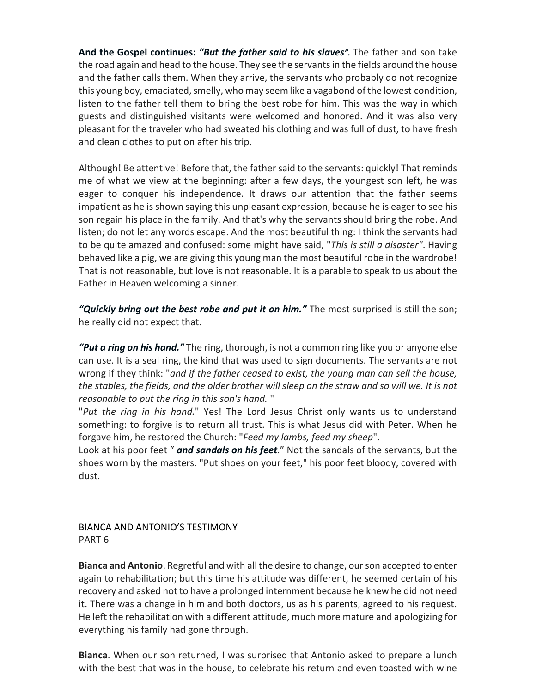**And the Gospel continues:** *"But the father said to his slaves".* The father and son take the road again and head to the house. They see the servants in the fields around the house and the father calls them. When they arrive, the servants who probably do not recognize this young boy, emaciated, smelly, who may seem like a vagabond of the lowest condition, listen to the father tell them to bring the best robe for him. This was the way in which guests and distinguished visitants were welcomed and honored. And it was also very pleasant for the traveler who had sweated his clothing and was full of dust, to have fresh and clean clothes to put on after histrip.

Although! Be attentive! Before that, the father said to the servants: quickly! That reminds me of what we view at the beginning: after a few days, the youngest son left, he was eager to conquer his independence. It draws our attention that the father seems impatient as he is shown saying this unpleasant expression, because he is eager to see his son regain his place in the family. And that's why the servants should bring the robe. And listen; do not let any words escape. And the most beautiful thing: I think the servants had to be quite amazed and confused: some might have said, "*This is still a disaster"*. Having behaved like a pig, we are giving this young man the most beautiful robe in the wardrobe! That is not reasonable, but love is not reasonable. It is a parable to speak to us about the Father in Heaven welcoming a sinner.

*"Quickly bring out the best robe and put it on him."* The most surprised is still the son; he really did not expect that.

*"Put a ring on his hand."* The ring, thorough, is not a common ring like you or anyone else can use. It is a seal ring, the kind that was used to sign documents. The servants are not wrong if they think: "*and if the father ceased to exist, the young man can sell the house,*  the stables, the fields, and the older brother will sleep on the straw and so will we. It is not *reasonable to put the ring in this son's hand.* "

"*Put the ring in his hand.*" Yes! The Lord Jesus Christ only wants us to understand something: to forgive is to return all trust. This is what Jesus did with Peter. When he forgave him, he restored the Church: "*Feed my lambs, feed my sheep*".

Look at his poor feet " *and sandals on his feet*." Not the sandals of the servants, but the shoes worn by the masters. "Put shoes on your feet," his poor feet bloody, covered with dust.

BIANCA AND ANTONIO'S TESTIMONY PART 6

**Bianca and Antonio**. Regretful and with allthe desire to change, ourson accepted to enter again to rehabilitation; but this time his attitude was different, he seemed certain of his recovery and asked not to have a prolonged internment because he knew he did not need it. There was a change in him and both doctors, us as his parents, agreed to his request. He left the rehabilitation with a different attitude, much more mature and apologizing for everything his family had gone through.

**Bianca**. When our son returned, I was surprised that Antonio asked to prepare a lunch with the best that was in the house, to celebrate his return and even toasted with wine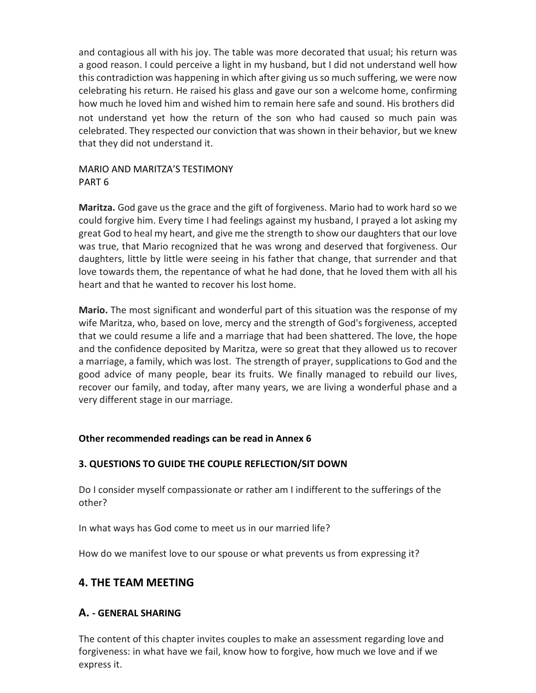and contagious all with his joy. The table was more decorated that usual; his return was a good reason. I could perceive a light in my husband, but I did not understand well how this contradiction was happening in which after giving usso much suffering, we were now celebrating his return. He raised his glass and gave our son a welcome home, confirming how much he loved him and wished him to remain here safe and sound. His brothers did not understand yet how the return of the son who had caused so much pain was celebrated. They respected our conviction that was shown in their behavior, but we knew that they did not understand it.

# MARIO AND MARITZA'S TESTIMONY PART 6

**Maritza.** God gave us the grace and the gift of forgiveness. Mario had to work hard so we could forgive him. Every time I had feelings against my husband, I prayed a lot asking my great God to heal my heart, and give me the strength to show our daughters that our love was true, that Mario recognized that he was wrong and deserved that forgiveness. Our daughters, little by little were seeing in his father that change, that surrender and that love towards them, the repentance of what he had done, that he loved them with all his heart and that he wanted to recover his lost home.

**Mario.** The most significant and wonderful part of this situation was the response of my wife Maritza, who, based on love, mercy and the strength of God's forgiveness, accepted that we could resume a life and a marriage that had been shattered. The love, the hope and the confidence deposited by Maritza, were so great that they allowed us to recover a marriage, a family, which was lost. The strength of prayer, supplications to God and the good advice of many people, bear its fruits. We finally managed to rebuild our lives, recover our family, and today, after many years, we are living a wonderful phase and a very different stage in our marriage.

# **Other recommended readings can be read in Annex 6**

# **3. QUESTIONS TO GUIDE THE COUPLE REFLECTION/SIT DOWN**

Do I consider myself compassionate or rather am I indifferent to the sufferings of the other?

In what ways has God come to meet us in our married life?

How do we manifest love to our spouse or what prevents us from expressing it?

# **4. THE TEAM MEETING**

# **A. - GENERAL SHARING**

The content of this chapter invites couples to make an assessment regarding love and forgiveness: in what have we fail, know how to forgive, how much we love and if we express it.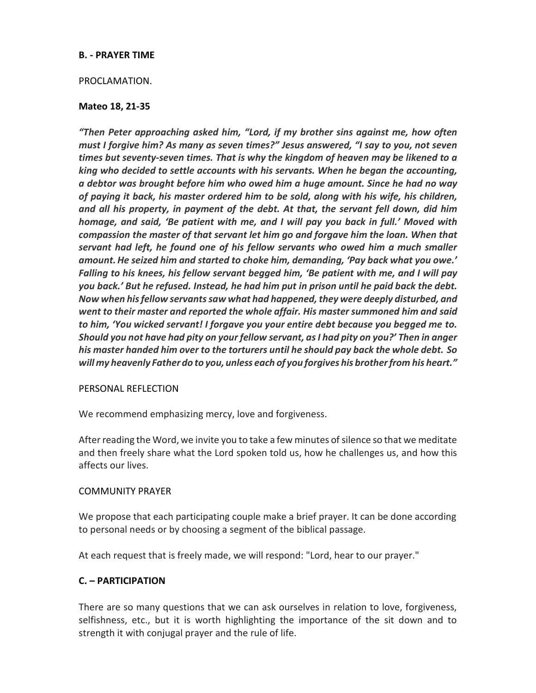#### **B. - PRAYER TIME**

#### PROCLAMATION.

#### **Mateo 18, 21-35**

*"Then Peter approaching asked him, "Lord, if my brother sins against me, how often must I forgive him? As many as seven times?" Jesus answered, "I say to you, not seven times but seventy-seven times. That is why the kingdom of heaven may be likened to a king who decided to settle accounts with his servants. When he began the accounting, a debtor was brought before him who owed him a huge amount. Since he had no way of paying it back, his master ordered him to be sold, along with his wife, his children, and all his property, in payment of the debt. At that, the servant fell down, did him homage, and said, 'Be patient with me, and I will pay you back in full.' Moved with compassion the master of that servant let him go and forgave him the loan. When that servant had left, he found one of his fellow servants who owed him a much smaller amount.He seized him and started to choke him, demanding, 'Pay back what you owe.' Falling to his knees, his fellow servant begged him, 'Be patient with me, and I will pay you back.' But he refused. Instead, he had him put in prison until he paid back the debt. Now when his fellow servants saw what had happened, they were deeply disturbed, and went to their master and reported the whole affair. His master summoned him and said to him, 'You wicked servant! I forgave you your entire debt because you begged me to. Should you not have had pity on your fellow servant, as I had pity on you?' Then in anger his master handed him over to the torturers until he should pay back the whole debt. So will my heavenly Father do to you, unless each of you forgives his brotherfrom his heart."*

#### PERSONAL REFLECTION

We recommend emphasizing mercy, love and forgiveness.

After reading the Word, we invite you to take a few minutes of silence so that we meditate and then freely share what the Lord spoken told us, how he challenges us, and how this affects our lives.

#### COMMUNITY PRAYER

We propose that each participating couple make a brief prayer. It can be done according to personal needs or by choosing a segment of the biblical passage.

At each request that is freely made, we will respond: "Lord, hear to our prayer."

#### **C. – PARTICIPATION**

There are so many questions that we can ask ourselves in relation to love, forgiveness, selfishness, etc., but it is worth highlighting the importance of the sit down and to strength it with conjugal prayer and the rule of life.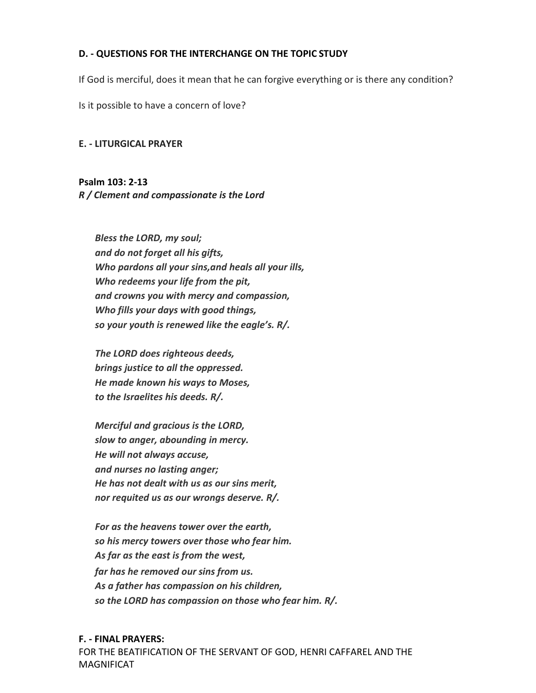# **D. - QUESTIONS FOR THE INTERCHANGE ON THE TOPIC STUDY**

If God is merciful, does it mean that he can forgive everything or is there any condition?

Is it possible to have a concern of love?

### **E. - LITURGICAL PRAYER**

**Psalm 103: 2-13** *R / Clement and compassionate is the Lord*

*Bless the LORD, my soul; and do not forget all his gifts, Who pardons all your sins,and heals all your ills, Who redeems your life from the pit, and crowns you with mercy and compassion, Who fills your days with good things, so your youth is renewed like the eagle's. R/.*

*The LORD does righteous deeds, brings justice to all the oppressed. He made known his ways to Moses, to the Israelites his deeds. R/.*

*Merciful and gracious is the LORD, slow to anger, abounding in mercy. He will not always accuse, and nurses no lasting anger; He has not dealt with us as our sins merit, nor requited us as our wrongs deserve. R/.*

*For as the heavens tower over the earth, so his mercy towers over those who fear him. As far as the east is from the west, far has he removed our sins from us. As a father has compassion on his children, so the LORD has compassion on those who fear him. R/.*

#### **F. - FINAL PRAYERS:**

FOR THE BEATIFICATION OF THE SERVANT OF GOD, HENRI CAFFAREL AND THE MAGNIFICAT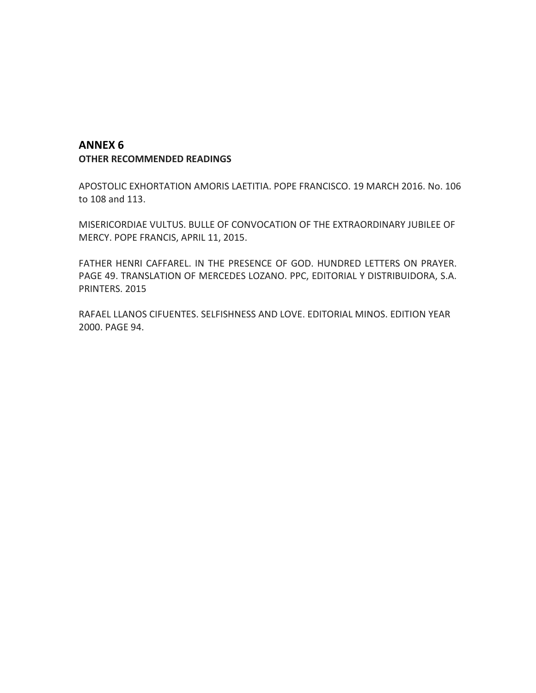# **ANNEX 6 OTHER RECOMMENDED READINGS**

APOSTOLIC EXHORTATION AMORIS LAETITIA. POPE FRANCISCO. 19 MARCH 2016. No. 106 to 108 and 113.

MISERICORDIAE VULTUS. BULLE OF CONVOCATION OF THE EXTRAORDINARY JUBILEE OF MERCY. POPE FRANCIS, APRIL 11, 2015.

FATHER HENRI CAFFAREL. IN THE PRESENCE OF GOD. HUNDRED LETTERS ON PRAYER. PAGE 49. TRANSLATION OF MERCEDES LOZANO. PPC, EDITORIAL Y DISTRIBUIDORA, S.A. PRINTERS. 2015

RAFAEL LLANOS CIFUENTES. SELFISHNESS AND LOVE. EDITORIAL MINOS. EDITION YEAR 2000. PAGE 94.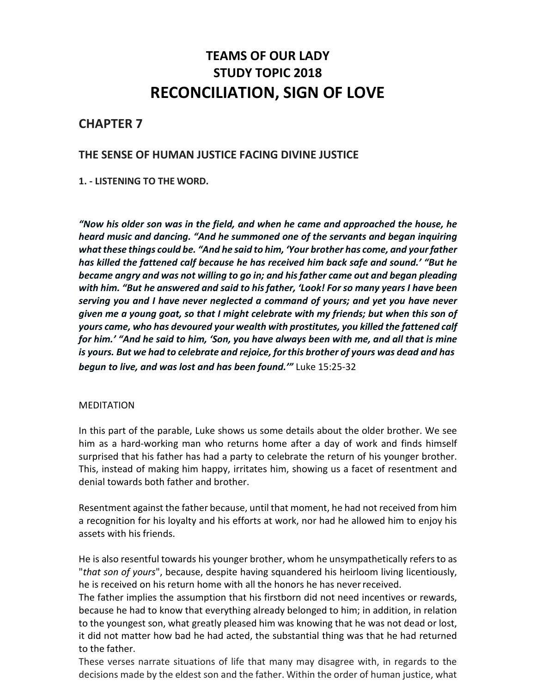# **TEAMS OF OUR LADY STUDY TOPIC 2018 RECONCILIATION, SIGN OF LOVE**

# **CHAPTER 7**

# **THE SENSE OF HUMAN JUSTICE FACING DIVINE JUSTICE**

**1. - LISTENING TO THE WORD.**

*"Now his older son was in the field, and when he came and approached the house, he heard music and dancing. "And he summoned one of the servants and began inquiring whatthese things could be. "And he said to him, 'Your brother has come, and yourfather has killed the fattened calf because he has received him back safe and sound.' "But he became angry and was not willing to go in; and hisfather came out and began pleading with him. "But he answered and said to hisfather, 'Look! For so many years I have been serving you and I have never neglected a command of yours; and yet you have never given me a young goat, so that I might celebrate with my friends; but when this son of yours came, who has devoured your wealth with prostitutes, you killed the fattened calf for him.' "And he said to him, 'Son, you have always been with me, and all that is mine is yours. But we had to celebrate and rejoice, forthis brother of yours was dead and has begun to live, and was lost and has been found.'"* Luke 15:25-32

### MEDITATION

In this part of the parable, Luke shows us some details about the older brother. We see him as a hard-working man who returns home after a day of work and finds himself surprised that his father has had a party to celebrate the return of his younger brother. This, instead of making him happy, irritates him, showing us a facet of resentment and denial towards both father and brother.

Resentment against the father because, until that moment, he had not received from him a recognition for his loyalty and his efforts at work, nor had he allowed him to enjoy his assets with his friends.

He is also resentful towards his younger brother, whom he unsympathetically refersto as "*that son of yours*", because, despite having squandered his heirloom living licentiously, he is received on his return home with all the honors he has neverreceived.

The father implies the assumption that his firstborn did not need incentives or rewards, because he had to know that everything already belonged to him; in addition, in relation to the youngest son, what greatly pleased him was knowing that he was not dead or lost, it did not matter how bad he had acted, the substantial thing was that he had returned to the father.

These verses narrate situations of life that many may disagree with, in regards to the decisions made by the eldest son and the father. Within the order of human justice, what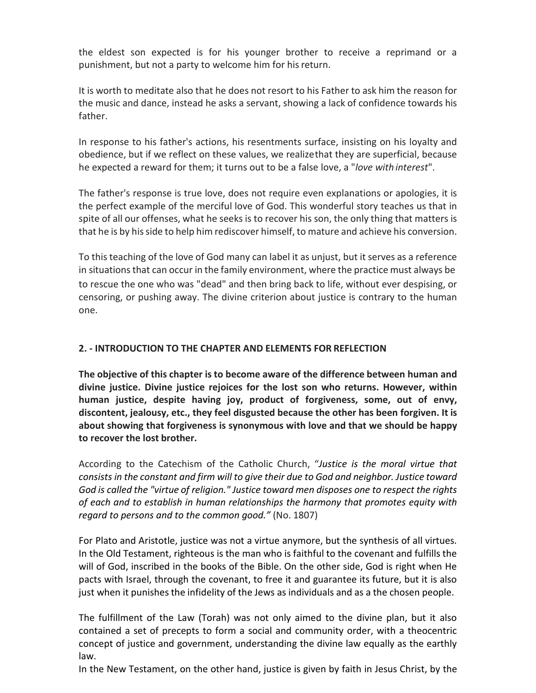the eldest son expected is for his younger brother to receive a reprimand or a punishment, but not a party to welcome him for hisreturn.

It is worth to meditate also that he does not resort to his Father to ask him the reason for the music and dance, instead he asks a servant, showing a lack of confidence towards his father.

In response to his father's actions, his resentments surface, insisting on his loyalty and obedience, but if we reflect on these values, we realizethat they are superficial, because he expected a reward for them; it turns out to be a false love, a "*love with interest*".

The father's response is true love, does not require even explanations or apologies, it is the perfect example of the merciful love of God. This wonderful story teaches us that in spite of all our offenses, what he seeks is to recover his son, the only thing that matters is that he is by his side to help him rediscover himself, to mature and achieve his conversion.

To thisteaching of the love of God many can label it as unjust, but it serves as a reference in situations that can occur in the family environment, where the practice must always be to rescue the one who was "dead" and then bring back to life, without ever despising, or censoring, or pushing away. The divine criterion about justice is contrary to the human one.

# **2. - INTRODUCTION TO THE CHAPTER AND ELEMENTS FOR REFLECTION**

**The objective of this chapter is to become aware of the difference between human and divine justice. Divine justice rejoices for the lost son who returns. However, within human justice, despite having joy, product of forgiveness, some, out of envy, discontent, jealousy, etc., they feel disgusted because the other has been forgiven. It is about showing that forgiveness is synonymous with love and that we should be happy to recover the lost brother.**

According to the Catechism of the Catholic Church, "*Justice is the moral virtue that consists in the constant and firm will to give their due to God and neighbor. Justice toward God is called the "virtue of religion." Justice toward men disposes one to respect the rights of each and to establish in human relationships the harmony that promotes equity with regard to persons and to the common good."* (No. 1807)

For Plato and Aristotle, justice was not a virtue anymore, but the synthesis of all virtues. In the Old Testament, righteous is the man who is faithful to the covenant and fulfills the will of God, inscribed in the books of the Bible. On the other side, God is right when He pacts with Israel, through the covenant, to free it and guarantee its future, but it is also just when it punishes the infidelity of the Jews as individuals and as a the chosen people.

The fulfillment of the Law (Torah) was not only aimed to the divine plan, but it also contained a set of precepts to form a social and community order, with a theocentric concept of justice and government, understanding the divine law equally as the earthly law.

In the New Testament, on the other hand, justice is given by faith in Jesus Christ, by the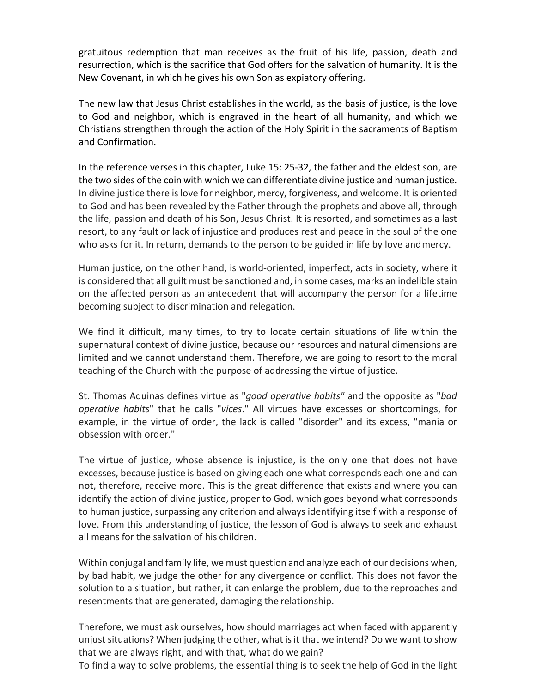gratuitous redemption that man receives as the fruit of his life, passion, death and resurrection, which is the sacrifice that God offers for the salvation of humanity. It is the New Covenant, in which he gives his own Son as expiatory offering.

The new law that Jesus Christ establishes in the world, as the basis of justice, is the love to God and neighbor, which is engraved in the heart of all humanity, and which we Christians strengthen through the action of the Holy Spirit in the sacraments of Baptism and Confirmation.

In the reference verses in this chapter, Luke 15: 25-32, the father and the eldest son, are the two sides of the coin with which we can differentiate divine justice and human justice. In divine justice there islove for neighbor, mercy, forgiveness, and welcome. It is oriented to God and has been revealed by the Father through the prophets and above all, through the life, passion and death of his Son, Jesus Christ. It is resorted, and sometimes as a last resort, to any fault or lack of injustice and produces rest and peace in the soul of the one who asks for it. In return, demands to the person to be guided in life by love andmercy.

Human justice, on the other hand, is world-oriented, imperfect, acts in society, where it is considered that all guilt must be sanctioned and, in some cases, marks an indelible stain on the affected person as an antecedent that will accompany the person for a lifetime becoming subject to discrimination and relegation.

We find it difficult, many times, to try to locate certain situations of life within the supernatural context of divine justice, because our resources and natural dimensions are limited and we cannot understand them. Therefore, we are going to resort to the moral teaching of the Church with the purpose of addressing the virtue of justice.

St. Thomas Aquinas defines virtue as "*good operative habits"* and the opposite as "*bad operative habits*" that he calls "*vices*." All virtues have excesses or shortcomings, for example, in the virtue of order, the lack is called "disorder" and its excess, "mania or obsession with order."

The virtue of justice, whose absence is injustice, is the only one that does not have excesses, because justice is based on giving each one what corresponds each one and can not, therefore, receive more. This is the great difference that exists and where you can identify the action of divine justice, proper to God, which goes beyond what corresponds to human justice, surpassing any criterion and always identifying itself with a response of love. From this understanding of justice, the lesson of God is always to seek and exhaust all means for the salvation of his children.

Within conjugal and family life, we must question and analyze each of our decisions when, by bad habit, we judge the other for any divergence or conflict. This does not favor the solution to a situation, but rather, it can enlarge the problem, due to the reproaches and resentments that are generated, damaging the relationship.

Therefore, we must ask ourselves, how should marriages act when faced with apparently unjust situations? When judging the other, what is it that we intend? Do we want to show that we are always right, and with that, what do we gain?

To find a way to solve problems, the essential thing is to seek the help of God in the light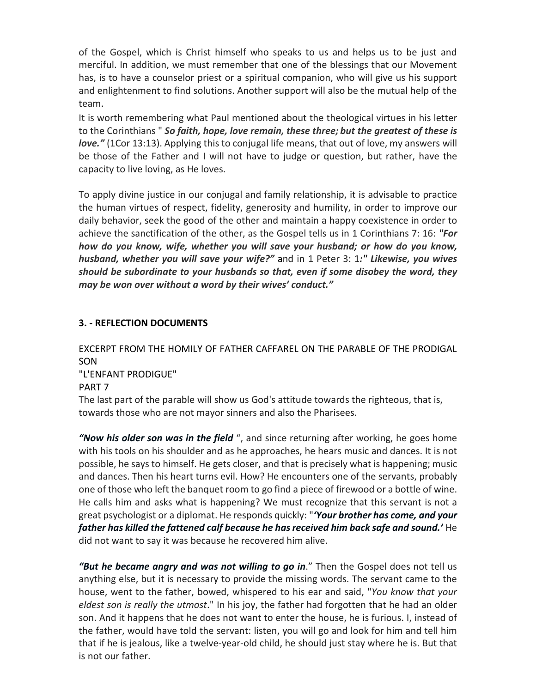of the Gospel, which is Christ himself who speaks to us and helps us to be just and merciful. In addition, we must remember that one of the blessings that our Movement has, is to have a counselor priest or a spiritual companion, who will give us his support and enlightenment to find solutions. Another support will also be the mutual help of the team.

It is worth remembering what Paul mentioned about the theological virtues in his letter to the Corinthians " *So faith, hope, love remain, these three; but the greatest of these is love."* (1Cor 13:13). Applying this to conjugal life means, that out of love, my answers will be those of the Father and I will not have to judge or question, but rather, have the capacity to live loving, as He loves.

To apply divine justice in our conjugal and family relationship, it is advisable to practice the human virtues of respect, fidelity, generosity and humility, in order to improve our daily behavior, seek the good of the other and maintain a happy coexistence in order to achieve the sanctification of the other, as the Gospel tells us in 1 Corinthians 7: 16: *"For how do you know, wife, whether you will save your husband; or how do you know, husband, whether you will save your wife?"* and in 1 Peter 3: 1*:" Likewise, you wives should be subordinate to your husbands so that, even if some disobey the word, they may be won over without a word by their wives' conduct."*

# **3. - REFLECTION DOCUMENTS**

EXCERPT FROM THE HOMILY OF FATHER CAFFAREL ON THE PARABLE OF THE PRODIGAL SON "L'ENFANT PRODIGUE" PART 7

The last part of the parable will show us God's attitude towards the righteous, that is, towards those who are not mayor sinners and also the Pharisees.

*"Now his older son was in the field* ", and since returning after working, he goes home with his tools on his shoulder and as he approaches, he hears music and dances. It is not possible, he says to himself. He gets closer, and that is precisely what is happening; music and dances. Then his heart turns evil. How? He encounters one of the servants, probably one of those who left the banquet room to go find a piece of firewood or a bottle of wine. He calls him and asks what is happening? We must recognize that this servant is not a great psychologist or a diplomat. He responds quickly: "*'Your brother has come, and your father has killed the fattened calf because he hasreceived him back safe and sound.'* He did not want to say it was because he recovered him alive.

*"But he became angry and was not willing to go in*." Then the Gospel does not tell us anything else, but it is necessary to provide the missing words. The servant came to the house, went to the father, bowed, whispered to his ear and said, "*You know that your eldest son is really the utmost*." In his joy, the father had forgotten that he had an older son. And it happens that he does not want to enter the house, he is furious. I, instead of the father, would have told the servant: listen, you will go and look for him and tell him that if he is jealous, like a twelve-year-old child, he should just stay where he is. But that is not our father.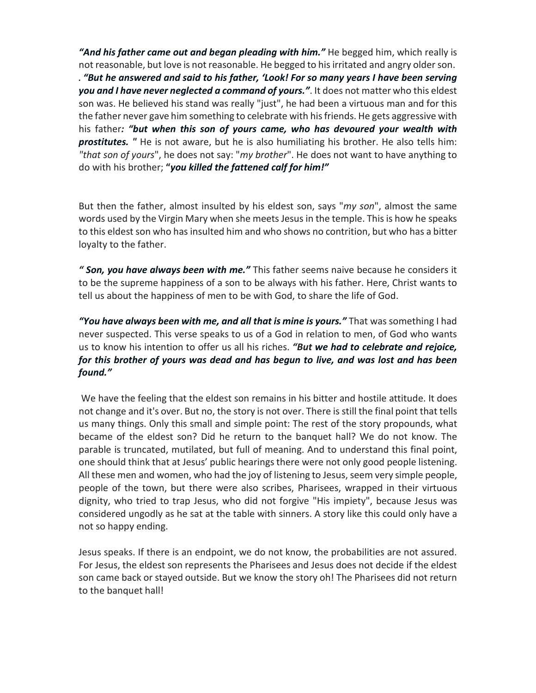**"And his father came out and began pleading with him."** He begged him, which really is not reasonable, but love is not reasonable. He begged to his irritated and angry older son.

*. "But he answered and said to his father, 'Look! For so many years I have been serving you and I have never neglected a command of yours."*. It does not matter who this eldest son was. He believed his stand was really "just", he had been a virtuous man and for this the father never gave him something to celebrate with his friends. He gets aggressive with his father*: "but when this son of yours came, who has devoured your wealth with prostitutes. "* He is not aware, but he is also humiliating his brother. He also tells him: *"that son of yours*", he does not say: "*my brother*". He does not want to have anything to do with his brother; **"***you killed the fattened calf for him!"*

But then the father, almost insulted by his eldest son, says "*my son*", almost the same words used by the Virgin Mary when she meets Jesus in the temple. This is how he speaks to this eldest son who has insulted him and who shows no contrition, but who has a bitter loyalty to the father.

*" Son, you have always been with me."* This father seems naive because he considers it to be the supreme happiness of a son to be always with his father. Here, Christ wants to tell us about the happiness of men to be with God, to share the life of God.

*"You have always been with me, and all that is mine is yours."* That was something I had never suspected. This verse speaks to us of a God in relation to men, of God who wants us to know his intention to offer us all his riches. *"But we had to celebrate and rejoice, for this brother of yours was dead and has begun to live, and was lost and has been found."*

We have the feeling that the eldest son remains in his bitter and hostile attitude. It does not change and it's over. But no, the story is not over. There is still the final point that tells us many things. Only this small and simple point: The rest of the story propounds, what became of the eldest son? Did he return to the banquet hall? We do not know. The parable is truncated, mutilated, but full of meaning. And to understand this final point, one should think that at Jesus' public hearings there were not only good people listening. All these men and women, who had the joy of listening to Jesus, seem very simple people, people of the town, but there were also scribes, Pharisees, wrapped in their virtuous dignity, who tried to trap Jesus, who did not forgive "His impiety", because Jesus was considered ungodly as he sat at the table with sinners. A story like this could only have a not so happy ending.

Jesus speaks. If there is an endpoint, we do not know, the probabilities are not assured. For Jesus, the eldest son represents the Pharisees and Jesus does not decide if the eldest son came back or stayed outside. But we know the story oh! The Pharisees did not return to the banquet hall!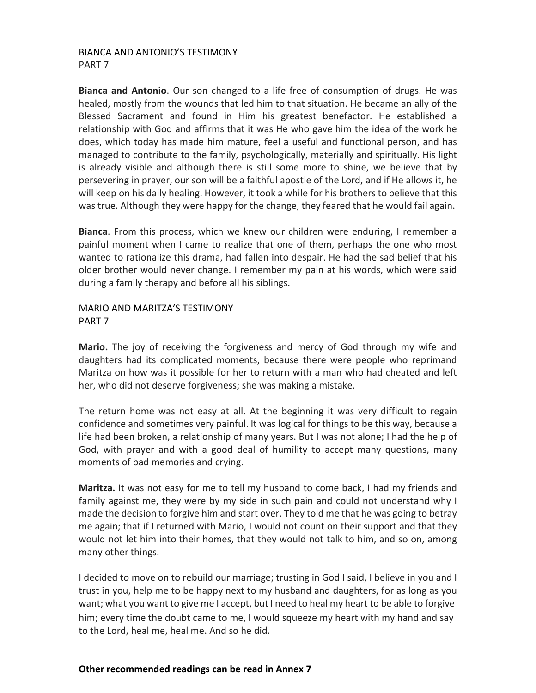### BIANCA AND ANTONIO'S TESTIMONY PART 7

**Bianca and Antonio**. Our son changed to a life free of consumption of drugs. He was healed, mostly from the wounds that led him to that situation. He became an ally of the Blessed Sacrament and found in Him his greatest benefactor. He established a relationship with God and affirms that it was He who gave him the idea of the work he does, which today has made him mature, feel a useful and functional person, and has managed to contribute to the family, psychologically, materially and spiritually. His light is already visible and although there is still some more to shine, we believe that by persevering in prayer, our son will be a faithful apostle of the Lord, and if He allows it, he will keep on his daily healing. However, it took a while for his brothers to believe that this was true. Although they were happy for the change, they feared that he would fail again.

**Bianca**. From this process, which we knew our children were enduring, I remember a painful moment when I came to realize that one of them, perhaps the one who most wanted to rationalize this drama, had fallen into despair. He had the sad belief that his older brother would never change. I remember my pain at his words, which were said during a family therapy and before all his siblings.

# MARIO AND MARITZA'S TESTIMONY PART 7

**Mario.** The joy of receiving the forgiveness and mercy of God through my wife and daughters had its complicated moments, because there were people who reprimand Maritza on how was it possible for her to return with a man who had cheated and left her, who did not deserve forgiveness; she was making a mistake.

The return home was not easy at all. At the beginning it was very difficult to regain confidence and sometimes very painful. It was logical for things to be this way, because a life had been broken, a relationship of many years. But I was not alone; I had the help of God, with prayer and with a good deal of humility to accept many questions, many moments of bad memories and crying.

**Maritza.** It was not easy for me to tell my husband to come back, I had my friends and family against me, they were by my side in such pain and could not understand why I made the decision to forgive him and start over. They told me that he was going to betray me again; that if I returned with Mario, I would not count on their support and that they would not let him into their homes, that they would not talk to him, and so on, among many other things.

I decided to move on to rebuild our marriage; trusting in God I said, I believe in you and I trust in you, help me to be happy next to my husband and daughters, for as long as you want; what you want to give me I accept, but I need to heal my heart to be able to forgive him; every time the doubt came to me, I would squeeze my heart with my hand and say to the Lord, heal me, heal me. And so he did.

### **Other recommended readings can be read in Annex 7**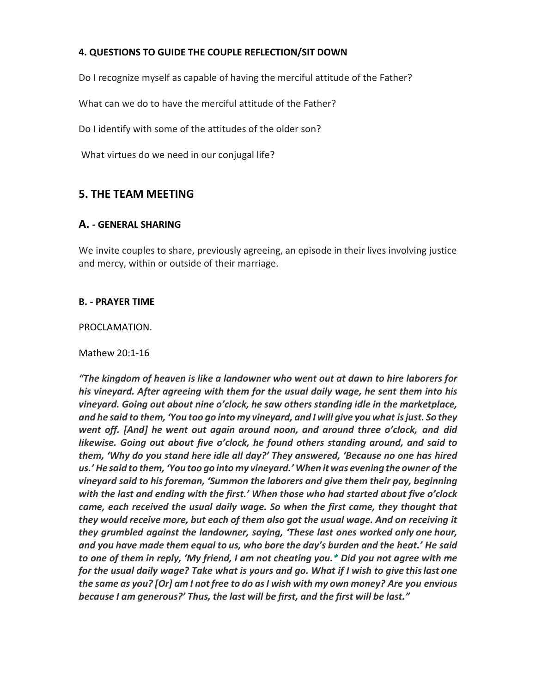# **4. QUESTIONS TO GUIDE THE COUPLE REFLECTION/SIT DOWN**

Do I recognize myself as capable of having the merciful attitude of the Father?

What can we do to have the merciful attitude of the Father?

Do I identify with some of the attitudes of the older son?

What virtues do we need in our conjugal life?

# **5. THE TEAM MEETING**

# **A. - GENERAL SHARING**

We invite couples to share, previously agreeing, an episode in their lives involving justice and mercy, within or outside of their marriage.

#### **B. - PRAYER TIME**

PROCLAMATION.

### Mathew 20:1-16

*"The kingdom of heaven is like a landowner who went out at dawn to hire laborers for his vineyard. After agreeing with them for the usual daily wage, he sent them into his vineyard. Going out about nine o'clock, he saw others standing idle in the marketplace, and he said to them, 'You too go into my vineyard, and I will give you what isjust. So they went off. [And] he went out again around noon, and around three o'clock, and did likewise. Going out about five o'clock, he found others standing around, and said to them, 'Why do you stand here idle all day?' They answered, 'Because no one has hired us.' He said to them, 'You too go into my vineyard.' When it was evening the owner of the vineyard said to his foreman, 'Summon the laborers and give them their pay, beginning with the last and ending with the first.' When those who had started about five o'clock came, each received the usual daily wage. So when the first came, they thought that they would receive more, but each of them also got the usual wage. And on receiving it they grumbled against the landowner, saying, 'These last ones worked only one hour, and you have made them equal to us, who bore the day's burden and the heat.' He said to one of them in reply, 'My friend, I am not cheating you[.\\*](http://www.usccb.org/bible/matthew/20#48020013-1) Did you not agree with me for the usual daily wage? Take what is yours and go. What if I wish to give thislast one the same as you? [Or] am I notfree to do asI wish with my own money? Are you envious because I am generous?' Thus, the last will be first, and the first will be last."*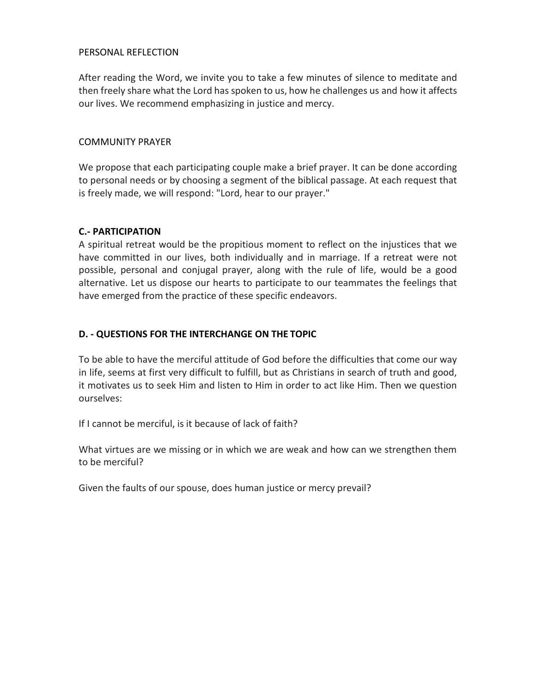#### PERSONAL REFLECTION

After reading the Word, we invite you to take a few minutes of silence to meditate and then freely share what the Lord has spoken to us, how he challenges us and how it affects our lives. We recommend emphasizing in justice and mercy.

### COMMUNITY PRAYER

We propose that each participating couple make a brief prayer. It can be done according to personal needs or by choosing a segment of the biblical passage. At each request that is freely made, we will respond: "Lord, hear to our prayer."

### **C.- PARTICIPATION**

A spiritual retreat would be the propitious moment to reflect on the injustices that we have committed in our lives, both individually and in marriage. If a retreat were not possible, personal and conjugal prayer, along with the rule of life, would be a good alternative. Let us dispose our hearts to participate to our teammates the feelings that have emerged from the practice of these specific endeavors.

# **D. - QUESTIONS FOR THE INTERCHANGE ON THE TOPIC**

To be able to have the merciful attitude of God before the difficulties that come our way in life, seems at first very difficult to fulfill, but as Christians in search of truth and good, it motivates us to seek Him and listen to Him in order to act like Him. Then we question ourselves:

If I cannot be merciful, is it because of lack of faith?

What virtues are we missing or in which we are weak and how can we strengthen them to be merciful?

Given the faults of our spouse, does human justice or mercy prevail?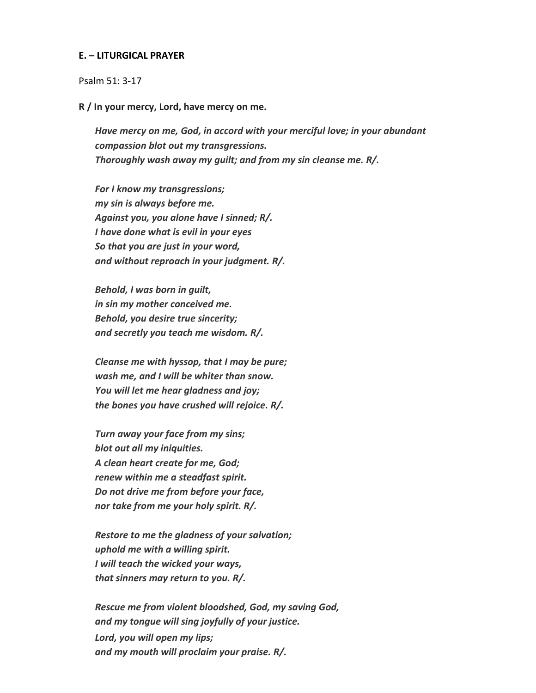#### **E. – LITURGICAL PRAYER**

#### Psalm 51: 3-17

**R / In your mercy, Lord, have mercy on me.**

*Have mercy on me, God, in accord with your merciful love; in your abundant compassion blot out my transgressions. Thoroughly wash away my guilt; and from my sin cleanse me. R/.*

*For I know my transgressions; my sin is always before me. Against you, you alone have I sinned; R/. I have done what is evil in your eyes So that you are just in your word, and without reproach in your judgment. R/.*

*Behold, I was born in guilt, in sin my mother conceived me. Behold, you desire true sincerity; and secretly you teach me wisdom. R/.*

*Cleanse me with hyssop, that I may be pure; wash me, and I will be whiter than snow. You will let me hear gladness and joy; the bones you have crushed will rejoice. R/.*

*Turn away your face from my sins; blot out all my iniquities. A clean heart create for me, God; renew within me a steadfast spirit. Do not drive me from before your face, nor take from me your holy spirit. R/.*

*Restore to me the gladness of your salvation; uphold me with a willing spirit. I will teach the wicked your ways, that sinners may return to you. R/.*

*Rescue me from violent bloodshed, God, my saving God, and my tongue will sing joyfully of your justice. Lord, you will open my lips; and my mouth will proclaim your praise. R/.*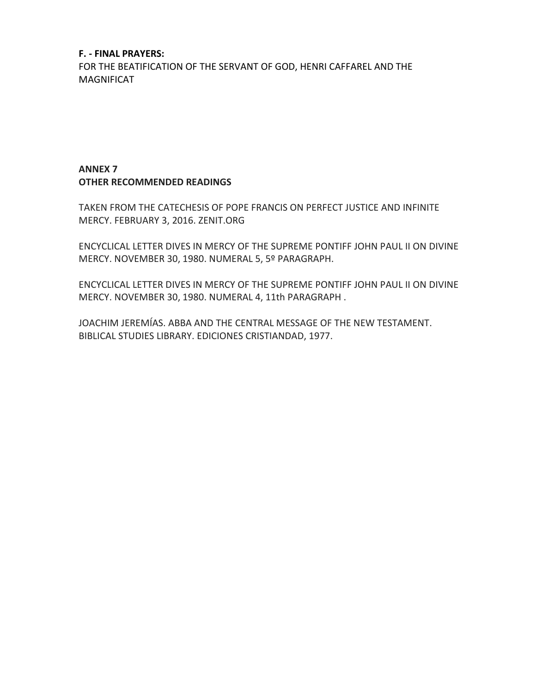### **F. - FINAL PRAYERS:**

FOR THE BEATIFICATION OF THE SERVANT OF GOD, HENRI CAFFAREL AND THE MAGNIFICAT

# **ANNEX 7 OTHER RECOMMENDED READINGS**

TAKEN FROM THE CATECHESIS OF POPE FRANCIS ON PERFECT JUSTICE AND INFINITE MERCY. FEBRUARY 3, 2016. ZENIT.ORG

ENCYCLICAL LETTER DIVES IN MERCY OF THE SUPREME PONTIFF JOHN PAUL II ON DIVINE MERCY. NOVEMBER 30, 1980. NUMERAL 5, 5º PARAGRAPH.

ENCYCLICAL LETTER DIVES IN MERCY OF THE SUPREME PONTIFF JOHN PAUL II ON DIVINE MERCY. NOVEMBER 30, 1980. NUMERAL 4, 11th PARAGRAPH .

JOACHIM JEREMÍAS. ABBA AND THE CENTRAL MESSAGE OF THE NEW TESTAMENT. BIBLICAL STUDIES LIBRARY. EDICIONES CRISTIANDAD, 1977.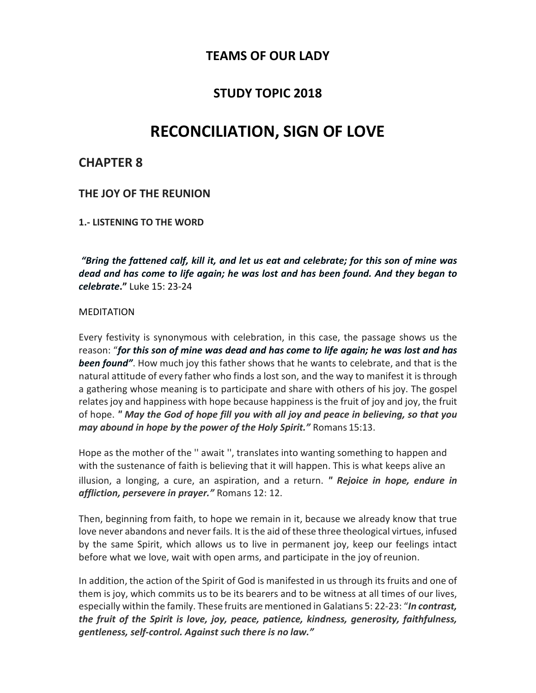# **TEAMS OF OUR LADY**

# **STUDY TOPIC 2018**

# **RECONCILIATION, SIGN OF LOVE**

# **CHAPTER 8**

# **THE JOY OF THE REUNION**

**1.- LISTENING TO THE WORD**

*"Bring the fattened calf, kill it, and let us eat and celebrate; for this son of mine was dead and has come to life again; he was lost and has been found. And they began to celebrate***."** Luke 15: 23-24

#### MEDITATION

Every festivity is synonymous with celebration, in this case, the passage shows us the reason: "*for this son of mine was dead and has come to life again; he was lost and has been found"*. How much joy this father shows that he wants to celebrate, and that is the natural attitude of every father who finds a lost son, and the way to manifest it isthrough a gathering whose meaning is to participate and share with others of his joy. The gospel relates joy and happiness with hope because happiness is the fruit of joy and joy, the fruit of hope. *" May the God of hope fill you with all joy and peace in believing, so that you may abound in hope by the power of the Holy Spirit."* Romans 15:13.

Hope as the mother of the '' await '', translates into wanting something to happen and with the sustenance of faith is believing that it will happen. This is what keeps alive an illusion, a longing, a cure, an aspiration, and a return. *" Rejoice in hope, endure in affliction, persevere in prayer."* Romans 12: 12.

Then, beginning from faith, to hope we remain in it, because we already know that true love never abandons and never fails. It is the aid of these three theological virtues, infused by the same Spirit, which allows us to live in permanent joy, keep our feelings intact before what we love, wait with open arms, and participate in the joy ofreunion.

In addition, the action of the Spirit of God is manifested in us through its fruits and one of them is joy, which commits us to be its bearers and to be witness at all times of our lives, especially within the family. These fruits are mentioned in Galatians 5: 22-23: "*In contrast, the fruit of the Spirit is love, joy, peace, patience, kindness, generosity, faithfulness, gentleness, self-control. Against such there is no law."*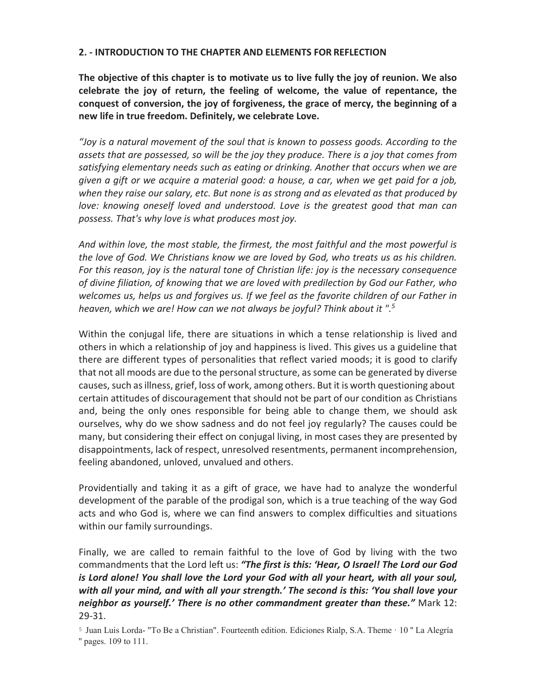### **2. - INTRODUCTION TO THE CHAPTER AND ELEMENTS FOR REFLECTION**

**The objective of this chapter is to motivate us to live fully the joy of reunion. We also celebrate the joy of return, the feeling of welcome, the value of repentance, the conquest of conversion, the joy of forgiveness, the grace of mercy, the beginning of a new life in true freedom. Definitely, we celebrate Love.**

*"Joy is a natural movement of the soul that is known to possess goods. According to the assets that are possessed, so will be the joy they produce. There is a joy that comes from satisfying elementary needs such as eating or drinking. Another that occurs when we are given a gift or we acquire a material good: a house, a car, when we get paid for a job, when they raise our salary, etc. But none is as strong and as elevated as that produced by*  love: knowing oneself loved and understood. Love is the greatest good that man can *possess. That's why love is what produces most joy.*

*And within love, the most stable, the firmest, the most faithful and the most powerful is the love of God. We Christians know we are loved by God, who treats us as his children. For this reason, joy is the natural tone of Christian life: joy is the necessary consequence of divine filiation, of knowing that we are loved with predilection by God our Father, who welcomes us, helps us and forgives us. If we feel as the favorite children of our Father in heaven, which we are! How can we not always be joyful? Think about it ".5*

Within the conjugal life, there are situations in which a tense relationship is lived and others in which a relationship of joy and happiness is lived. This gives us a guideline that there are different types of personalities that reflect varied moods; it is good to clarify that not all moods are due to the personal structure, as some can be generated by diverse causes, such as illness, grief, loss of work, among others. But it is worth questioning about certain attitudes of discouragement that should not be part of our condition as Christians and, being the only ones responsible for being able to change them, we should ask ourselves, why do we show sadness and do not feel joy regularly? The causes could be many, but considering their effect on conjugal living, in most cases they are presented by disappointments, lack of respect, unresolved resentments, permanent incomprehension, feeling abandoned, unloved, unvalued and others.

Providentially and taking it as a gift of grace, we have had to analyze the wonderful development of the parable of the prodigal son, which is a true teaching of the way God acts and who God is, where we can find answers to complex difficulties and situations within our family surroundings.

Finally, we are called to remain faithful to the love of God by living with the two commandments that the Lord left us: *"The first is this: 'Hear, O Israel! The Lord our God is Lord alone! You shall love the Lord your God with all your heart, with all your soul, with all your mind, and with all your strength.' The second is this: 'You shall love your neighbor as yourself.' There is no other commandment greater than these."* Mark 12: 29-31.

<sup>5</sup> Juan Luis Lorda- "To Be a Christian". Fourteenth edition. Ediciones Rialp, S.A. Theme · 10 " La Alegría '' pages. 109 to 111.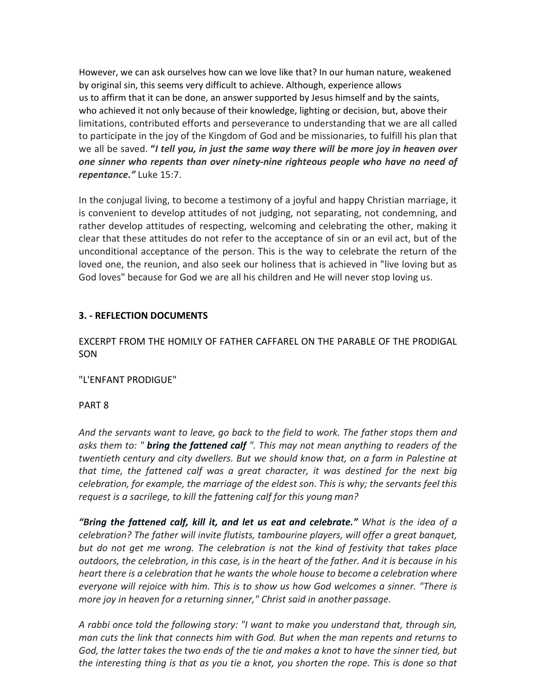However, we can ask ourselves how can we love like that? In our human nature, weakened by original sin, this seems very difficult to achieve. Although, experience allows us to affirm that it can be done, an answer supported by Jesus himself and by the saints, who achieved it not only because of their knowledge, lighting or decision, but, above their limitations, contributed efforts and perseverance to understanding that we are all called to participate in the joy of the Kingdom of God and be missionaries, to fulfill his plan that we all be saved. **"***I tell you, in just the same way there will be more joy in heaven over one sinner who repents than over ninety-nine righteous people who have no need of repentance."* Luke 15:7.

In the conjugal living, to become a testimony of a joyful and happy Christian marriage, it is convenient to develop attitudes of not judging, not separating, not condemning, and rather develop attitudes of respecting, welcoming and celebrating the other, making it clear that these attitudes do not refer to the acceptance of sin or an evil act, but of the unconditional acceptance of the person. This is the way to celebrate the return of the loved one, the reunion, and also seek our holiness that is achieved in "live loving but as God loves" because for God we are all his children and He will never stop loving us.

# **3. - REFLECTION DOCUMENTS**

EXCERPT FROM THE HOMILY OF FATHER CAFFAREL ON THE PARABLE OF THE PRODIGAL SON

"L'ENFANT PRODIGUE"

# PART 8

*And the servants want to leave, go back to the field to work. The father stops them and asks them to: " bring the fattened calf ". This may not mean anything to readers of the twentieth century and city dwellers. But we should know that, on a farm in Palestine at that time, the fattened calf was a great character, it was destined for the next big celebration, for example, the marriage of the eldest son. This is why; the servants feel this request is a sacrilege, to kill the fattening calf for this young man?*

*"Bring the fattened calf, kill it, and let us eat and celebrate." What is the idea of a celebration? The father will invite flutists, tambourine players, will offer a great banquet, but do not get me wrong. The celebration is not the kind of festivity that takes place*  outdoors, the celebration, in this case, is in the heart of the father. And it is because in his *heart there is a celebration that he wants the whole house to become a celebration where everyone will rejoice with him. This is to show us how God welcomes a sinner. "There is more joy in heaven for a returning sinner," Christ said in another passage.*

*A rabbi once told the following story: "I want to make you understand that, through sin, man cuts the link that connects him with God. But when the man repents and returns to*  God, the latter takes the two ends of the tie and makes a knot to have the sinner tied, but *the interesting thing is that as you tie a knot, you shorten the rope. This is done so that*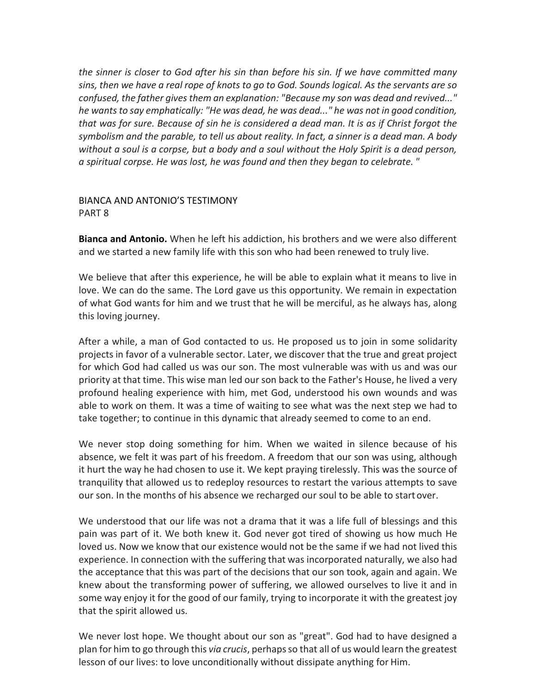*the sinner is closer to God after his sin than before his sin. If we have committed many*  sins, then we have a real rope of knots to go to God. Sounds logical. As the servants are so *confused, the father givesthem an explanation: "Because my son was dead and revived..." he* wants to say emphatically: "He was dead, he was dead..." he was not in good condition, *that was for sure. Because of sin he is considered a dead man. It is as if Christ forgot the*  symbolism and the parable, to tell us about reality. In fact, a sinner is a dead man. A body *without a soul is a corpse, but a body and a soul without the Holy Spirit is a dead person, a spiritual corpse. He was lost, he was found and then they began to celebrate. "*

# BIANCA AND ANTONIO'S TESTIMONY PART 8

**Bianca and Antonio.** When he left his addiction, his brothers and we were also different and we started a new family life with this son who had been renewed to truly live.

We believe that after this experience, he will be able to explain what it means to live in love. We can do the same. The Lord gave us this opportunity. We remain in expectation of what God wants for him and we trust that he will be merciful, as he always has, along this loving journey.

After a while, a man of God contacted to us. He proposed us to join in some solidarity projects in favor of a vulnerable sector. Later, we discover that the true and great project for which God had called us was our son. The most vulnerable was with us and was our priority at that time. This wise man led our son back to the Father's House, he lived a very profound healing experience with him, met God, understood his own wounds and was able to work on them. It was a time of waiting to see what was the next step we had to take together; to continue in this dynamic that already seemed to come to an end.

We never stop doing something for him. When we waited in silence because of his absence, we felt it was part of his freedom. A freedom that our son was using, although it hurt the way he had chosen to use it. We kept praying tirelessly. This was the source of tranquility that allowed us to redeploy resources to restart the various attempts to save our son. In the months of his absence we recharged our soul to be able to startover.

We understood that our life was not a drama that it was a life full of blessings and this pain was part of it. We both knew it. God never got tired of showing us how much He loved us. Now we know that our existence would not be the same if we had not lived this experience. In connection with the suffering that was incorporated naturally, we also had the acceptance that this was part of the decisions that our son took, again and again. We knew about the transforming power of suffering, we allowed ourselves to live it and in some way enjoy it for the good of our family, trying to incorporate it with the greatest joy that the spirit allowed us.

We never lost hope. We thought about our son as "great". God had to have designed a plan for him to go through this *via crucis*, perhapsso that all of us would learn the greatest lesson of our lives: to love unconditionally without dissipate anything for Him.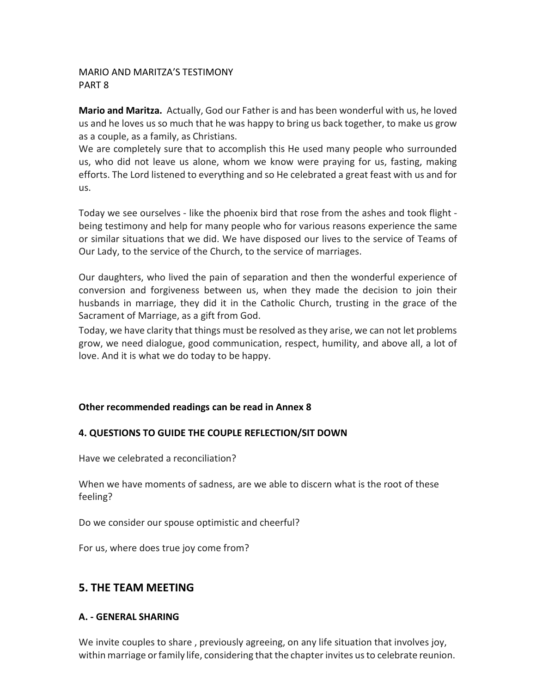# MARIO AND MARITZA'S TESTIMONY PART 8

**Mario and Maritza.** Actually, God our Father is and has been wonderful with us, he loved us and he loves us so much that he was happy to bring us back together, to make us grow as a couple, as a family, as Christians.

We are completely sure that to accomplish this He used many people who surrounded us, who did not leave us alone, whom we know were praying for us, fasting, making efforts. The Lord listened to everything and so He celebrated a great feast with us and for us.

Today we see ourselves - like the phoenix bird that rose from the ashes and took flight being testimony and help for many people who for various reasons experience the same or similar situations that we did. We have disposed our lives to the service of Teams of Our Lady, to the service of the Church, to the service of marriages.

Our daughters, who lived the pain of separation and then the wonderful experience of conversion and forgiveness between us, when they made the decision to join their husbands in marriage, they did it in the Catholic Church, trusting in the grace of the Sacrament of Marriage, as a gift from God.

Today, we have clarity that things must be resolved asthey arise, we can not let problems grow, we need dialogue, good communication, respect, humility, and above all, a lot of love. And it is what we do today to be happy.

# **Other recommended readings can be read in Annex 8**

# **4. QUESTIONS TO GUIDE THE COUPLE REFLECTION/SIT DOWN**

Have we celebrated a reconciliation?

When we have moments of sadness, are we able to discern what is the root of these feeling?

Do we consider our spouse optimistic and cheerful?

For us, where does true joy come from?

# **5. THE TEAM MEETING**

### **A. - GENERAL SHARING**

We invite couples to share , previously agreeing, on any life situation that involves joy, within marriage orfamily life, considering that the chapter invites usto celebrate reunion.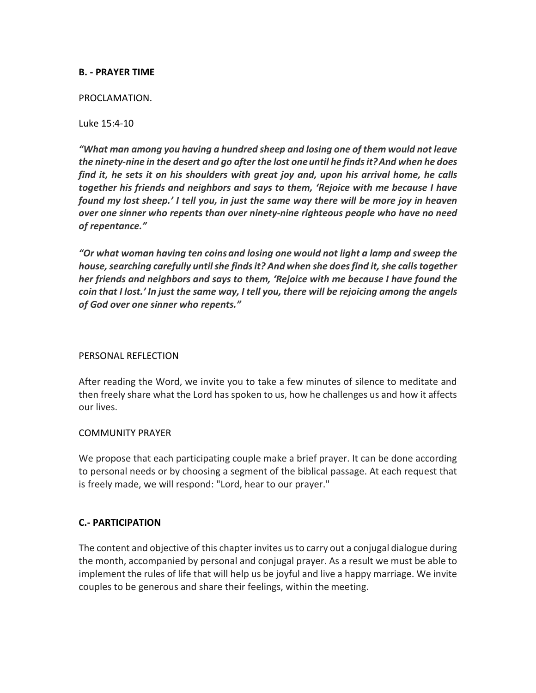### **B. - PRAYER TIME**

#### PROCLAMATION.

Luke 15:4-10

*"What man among you having a hundred sheep and losing one of them would not leave the ninety-nine in the desert and go after the lost oneuntil he findsit?And when he does find it, he sets it on his shoulders with great joy and, upon his arrival home, he calls together his friends and neighbors and says to them, 'Rejoice with me because I have found my lost sheep.' I tell you, in just the same way there will be more joy in heaven over one sinner who repents than over ninety-nine righteous people who have no need of repentance."*

*"Or what woman having ten coins and losing one would not light a lamp and sweep the house,searching carefully untilshe findsit? And when she doesfind it,she callstogether her friends and neighbors and says to them, 'Rejoice with me because I have found the*  coin that I lost.' In just the same way, I tell you, there will be rejoicing among the angels *of God over one sinner who repents."*

#### PERSONAL REFLECTION

After reading the Word, we invite you to take a few minutes of silence to meditate and then freely share what the Lord has spoken to us, how he challenges us and how it affects our lives.

#### COMMUNITY PRAYER

We propose that each participating couple make a brief prayer. It can be done according to personal needs or by choosing a segment of the biblical passage. At each request that is freely made, we will respond: "Lord, hear to our prayer."

#### **C.- PARTICIPATION**

The content and objective of this chapter invites us to carry out a conjugal dialogue during the month, accompanied by personal and conjugal prayer. As a result we must be able to implement the rules of life that will help us be joyful and live a happy marriage. We invite couples to be generous and share their feelings, within the meeting.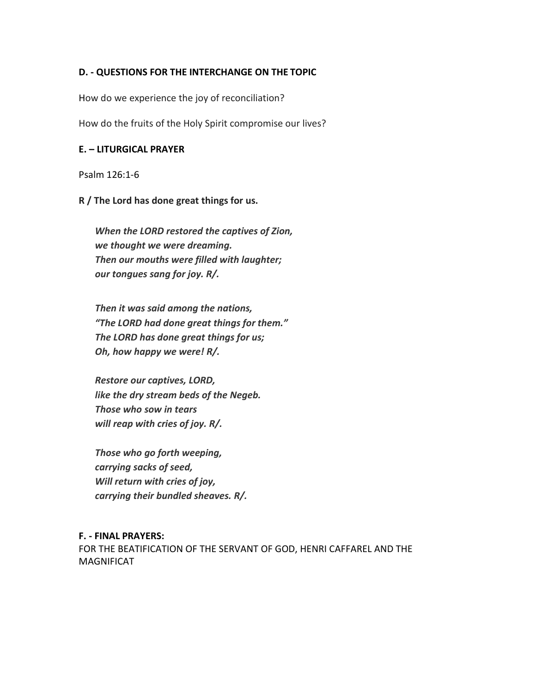#### **D. - QUESTIONS FOR THE INTERCHANGE ON THE TOPIC**

How do we experience the joy of reconciliation?

How do the fruits of the Holy Spirit compromise our lives?

#### **E. – LITURGICAL PRAYER**

Psalm 126:1-6

#### **R / The Lord has done great things for us.**

*When the LORD restored the captives of Zion, we thought we were dreaming. Then our mouths were filled with laughter; our tongues sang for joy. R/.*

*Then it was said among the nations, "The LORD had done great things for them." The LORD has done great things for us; Oh, how happy we were! R/.*

*Restore our captives, LORD, like the dry stream beds of the Negeb. Those who sow in tears will reap with cries of joy. R/.*

*Those who go forth weeping, carrying sacks of seed, Will return with cries of joy, carrying their bundled sheaves. R/.*

#### **F. - FINAL PRAYERS:**

FOR THE BEATIFICATION OF THE SERVANT OF GOD, HENRI CAFFAREL AND THE MAGNIFICAT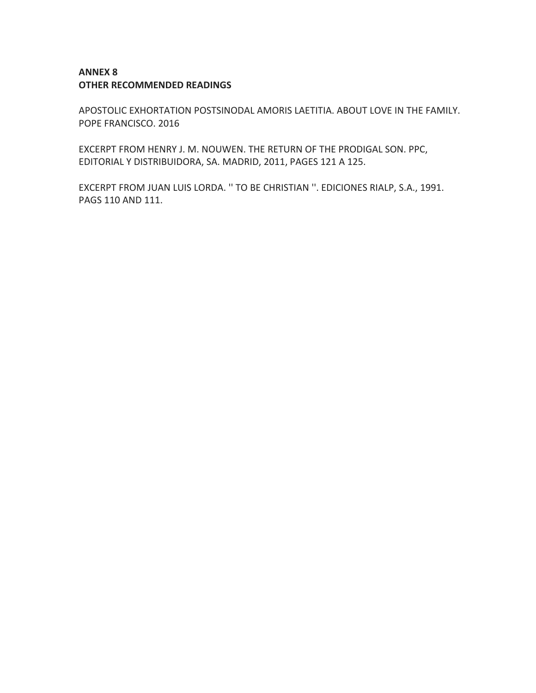## **ANNEX 8 OTHER RECOMMENDED READINGS**

APOSTOLIC EXHORTATION POSTSINODAL AMORIS LAETITIA. ABOUT LOVE IN THE FAMILY. POPE FRANCISCO. 2016

EXCERPT FROM HENRY J. M. NOUWEN. THE RETURN OF THE PRODIGAL SON. PPC, EDITORIAL Y DISTRIBUIDORA, SA. MADRID, 2011, PAGES 121 A 125.

EXCERPT FROM JUAN LUIS LORDA. '' TO BE CHRISTIAN ''. EDICIONES RIALP, S.A., 1991. PAGS 110 AND 111.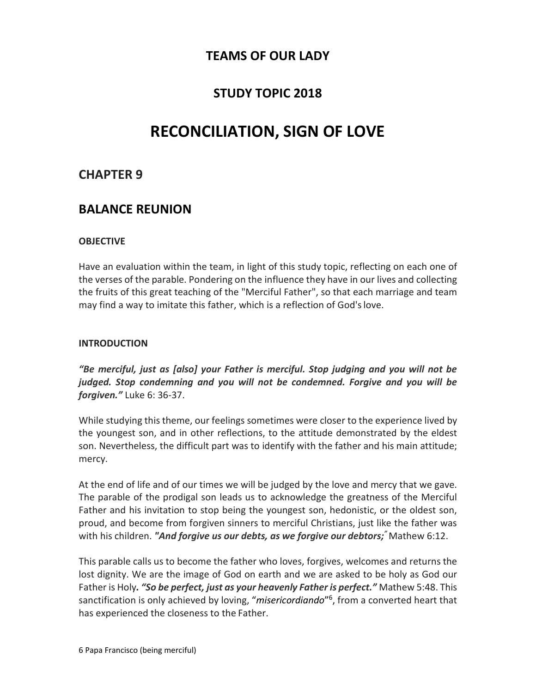# **TEAMS OF OUR LADY**

# **STUDY TOPIC 2018**

# **RECONCILIATION, SIGN OF LOVE**

## **CHAPTER 9**

## **BALANCE REUNION**

#### **OBJECTIVE**

Have an evaluation within the team, in light of this study topic, reflecting on each one of the verses of the parable. Pondering on the influence they have in our lives and collecting the fruits of this great teaching of the "Merciful Father", so that each marriage and team may find a way to imitate this father, which is a reflection of God'slove.

#### **INTRODUCTION**

*"Be merciful, just as [also] your Father is merciful. Stop judging and you will not be judged. Stop condemning and you will not be condemned. Forgive and you will be forgiven."* Luke 6: 36-37.

While studying this theme, our feelings sometimes were closer to the experience lived by the youngest son, and in other reflections, to the attitude demonstrated by the eldest son. Nevertheless, the difficult part was to identify with the father and his main attitude; mercy.

At the end of life and of our times we will be judged by the love and mercy that we gave. The parable of the prodigal son leads us to acknowledge the greatness of the Merciful Father and his invitation to stop being the youngest son, hedonistic, or the oldest son, proud, and become from forgiven sinners to merciful Christians, just like the father was with his children. *"And forgive us our debts, as we forgive our debtors;"* Mathew 6:12.

This parable calls us to become the father who loves, forgives, welcomes and returns the lost dignity. We are the image of God on earth and we are asked to be holy as God our Father is Holy*. "So be perfect, just as your heavenly Father is perfect."* Mathew 5:48. This sanctification is only achieved by loving, "*misericordiando*"6, from a converted heart that has experienced the closeness to the Father.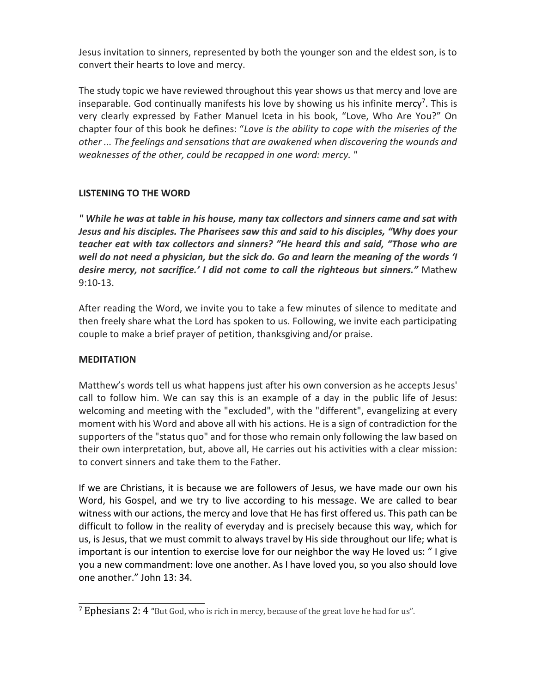Jesus invitation to sinners, represented by both the younger son and the eldest son, is to convert their hearts to love and mercy.

The study topic we have reviewed throughout this year shows us that mercy and love are inseparable. God continually manifests his love by showing us his infinite mercy<sup>7</sup>. This is very clearly expressed by Father Manuel Iceta in his book, "Love, Who Are You?" On chapter four of this book he defines: "*Love is the ability to cope with the miseries of the other ... The feelings and sensations that are awakened when discovering the wounds and weaknesses of the other, could be recapped in one word: mercy. "*

## **LISTENING TO THE WORD**

*" While he was at table in his house, many tax collectors and sinners came and sat with Jesus and his disciples. The Pharisees saw this and said to his disciples, "Why does your teacher eat with tax collectors and sinners? "He heard this and said, "Those who are well do not need a physician, but the sick do. Go and learn the meaning of the words 'I desire mercy, not sacrifice.' I did not come to call the righteous but sinners."* Mathew 9:10-13.

After reading the Word, we invite you to take a few minutes of silence to meditate and then freely share what the Lord has spoken to us. Following, we invite each participating couple to make a brief prayer of petition, thanksgiving and/or praise.

## **MEDITATION**

Matthew's words tell us what happens just after his own conversion as he accepts Jesus' call to follow him. We can say this is an example of a day in the public life of Jesus: welcoming and meeting with the "excluded", with the "different", evangelizing at every moment with his Word and above all with his actions. He is a sign of contradiction for the supporters of the "status quo" and for those who remain only following the law based on their own interpretation, but, above all, He carries out his activities with a clear mission: to convert sinners and take them to the Father.

If we are Christians, it is because we are followers of Jesus, we have made our own his Word, his Gospel, and we try to live according to his message. We are called to bear witness with our actions, the mercy and love that He has first offered us. This path can be difficult to follow in the reality of everyday and is precisely because this way, which for us, is Jesus, that we must commit to always travel by His side throughout our life; what is important is our intention to exercise love for our neighbor the way He loved us: " I give you a new commandment: love one another. As I have loved you, so you also should love one another." John 13: 34.

<sup>7</sup> Ephesians 2: 4 "But God, who is rich in mercy, because of the great love he had for us".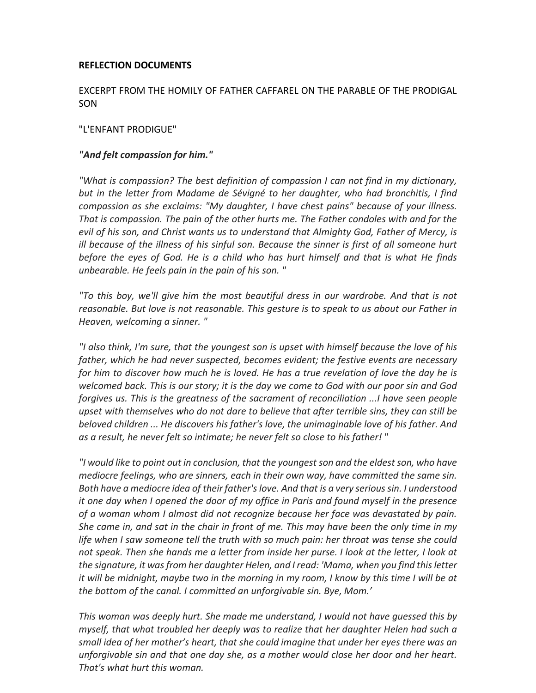#### **REFLECTION DOCUMENTS**

#### EXCERPT FROM THE HOMILY OF FATHER CAFFAREL ON THE PARABLE OF THE PRODIGAL SON

#### "L'ENFANT PRODIGUE"

#### *"And felt compassion for him."*

*"What is compassion? The best definition of compassion I can not find in my dictionary, but in the letter from Madame de Sévigné to her daughter, who had bronchitis, I find compassion as she exclaims: "My daughter, I have chest pains" because of your illness. That is compassion. The pain of the other hurts me. The Father condoles with and for the evil of his son, and Christ wants us to understand that Almighty God, Father of Mercy, is ill because of the illness of his sinful son. Because the sinner is first of all someone hurt before the eyes of God. He is a child who has hurt himself and that is what He finds unbearable. He feels pain in the pain of his son. "*

*"To this boy, we'll give him the most beautiful dress in our wardrobe. And that is not reasonable. But love is not reasonable. This gesture is to speak to us about our Father in Heaven, welcoming a sinner. "*

*"I also think, I'm sure, that the youngest son is upset with himself because the love of his father, which he had never suspected, becomes evident; the festive events are necessary for him to discover how much he is loved. He has a true revelation of love the day he is welcomed back. This is our story; it is the day we come to God with our poor sin and God forgives us. This is the greatness of the sacrament of reconciliation ...I have seen people upset with themselves who do not dare to believe that after terrible sins, they can still be beloved children ... He discovers his father's love, the unimaginable love of his father. And as a result, he never felt so intimate; he never felt so close to his father! "*

*"I would like to point out in conclusion, that the youngest son and the eldestson, who have mediocre feelings, who are sinners, each in their own way, have committed the same sin. Both have a mediocre idea of theirfather'slove. And that is a very serioussin. I understood it one day when I opened the door of my office in Paris and found myself in the presence of a woman whom I almost did not recognize because her face was devastated by pain. She came in, and sat in the chair in front of me. This may have been the only time in my life when I saw someone tell the truth with so much pain: her throat was tense she could not speak. Then she hands me a letter from inside her purse. I look at the letter, I look at the signature, it wasfrom her daughter Helen, and I read: 'Mama, when you find thisletter it will be midnight, maybe two in the morning in my room, I know by this time I will be at the bottom of the canal. I committed an unforgivable sin. Bye, Mom.'*

*This woman was deeply hurt. She made me understand, I would not have guessed this by myself, that what troubled her deeply was to realize that her daughter Helen had such a small idea of her mother's heart, that she could imagine that under her eyes there was an unforgivable sin and that one day she, as a mother would close her door and her heart. That's what hurt this woman.*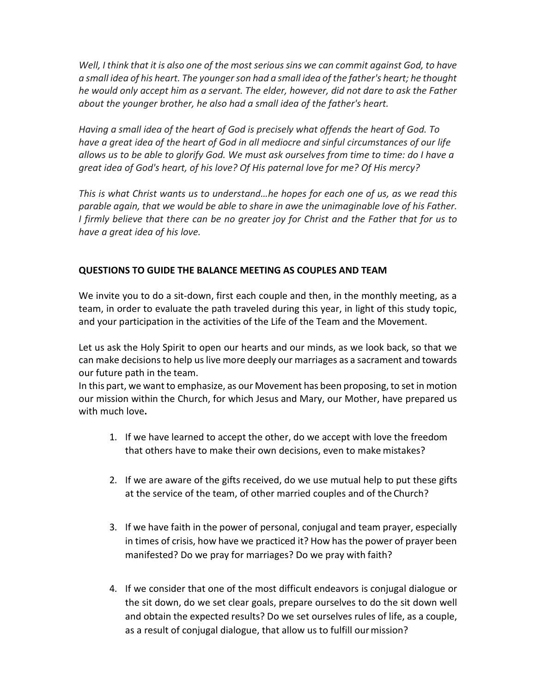Well, I think that it is also one of the most serious sins we can commit against God, to have *a small idea of his heart. The youngerson had a small idea of the father's heart; he thought he would only accept him as a servant. The elder, however, did not dare to ask the Father about the younger brother, he also had a small idea of the father's heart.*

*Having a small idea of the heart of God is precisely what offends the heart of God. To have a great idea of the heart of God in all mediocre and sinful circumstances of our life allows us to be able to glorify God. We must ask ourselves from time to time: do I have a great idea of God's heart, of his love? Of His paternal love for me? Of His mercy?*

*This is what Christ wants us to understand…he hopes for each one of us, as we read this parable again, that we would be able to share in awe the unimaginable love of his Father. I firmly believe that there can be no greater joy for Christ and the Father that for us to have a great idea of his love.*

## **QUESTIONS TO GUIDE THE BALANCE MEETING AS COUPLES AND TEAM**

We invite you to do a sit-down, first each couple and then, in the monthly meeting, as a team, in order to evaluate the path traveled during this year, in light of this study topic, and your participation in the activities of the Life of the Team and the Movement.

Let us ask the Holy Spirit to open our hearts and our minds, as we look back, so that we can make decisions to help us live more deeply our marriages as a sacrament and towards our future path in the team.

In this part, we want to emphasize, as our Movement has been proposing, to set in motion our mission within the Church, for which Jesus and Mary, our Mother, have prepared us with much love**.**

- 1. If we have learned to accept the other, do we accept with love the freedom that others have to make their own decisions, even to make mistakes?
- 2. If we are aware of the gifts received, do we use mutual help to put these gifts at the service of the team, of other married couples and of the Church?
- 3. If we have faith in the power of personal, conjugal and team prayer, especially in times of crisis, how have we practiced it? How has the power of prayer been manifested? Do we pray for marriages? Do we pray with faith?
- 4. If we consider that one of the most difficult endeavors is conjugal dialogue or the sit down, do we set clear goals, prepare ourselves to do the sit down well and obtain the expected results? Do we set ourselves rules of life, as a couple, as a result of conjugal dialogue, that allow us to fulfill ourmission?